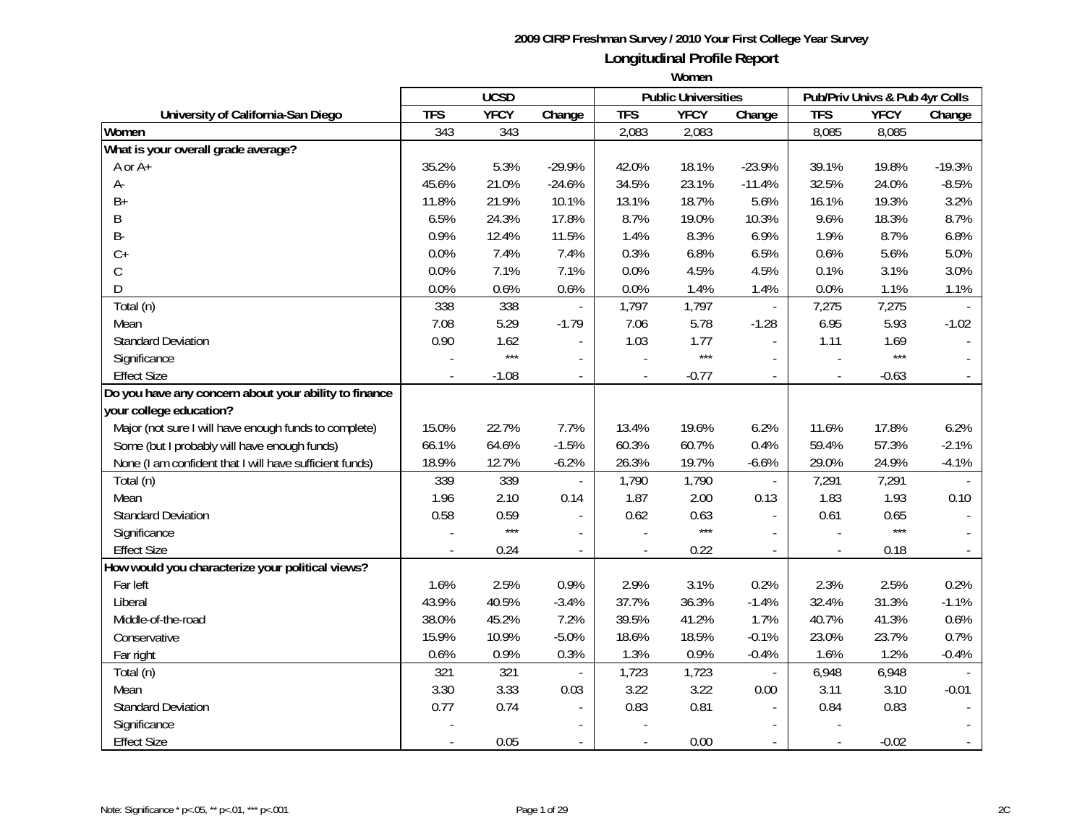|                                                         |            | <b>UCSD</b> |                          |                          | <b>Public Universities</b> |                          |            | Pub/Priv Univs & Pub 4yr Colls |          |
|---------------------------------------------------------|------------|-------------|--------------------------|--------------------------|----------------------------|--------------------------|------------|--------------------------------|----------|
| University of California-San Diego                      | <b>TFS</b> | <b>YFCY</b> | Change                   | <b>TFS</b>               | <b>YFCY</b>                | Change                   | <b>TFS</b> | <b>YFCY</b>                    | Change   |
| Women                                                   | 343        | 343         |                          | 2,083                    | 2,083                      |                          | 8,085      | 8,085                          |          |
| What is your overall grade average?                     |            |             |                          |                          |                            |                          |            |                                |          |
| A or A+                                                 | 35.2%      | 5.3%        | $-29.9%$                 | 42.0%                    | 18.1%                      | $-23.9%$                 | 39.1%      | 19.8%                          | $-19.3%$ |
| А-                                                      | 45.6%      | 21.0%       | $-24.6%$                 | 34.5%                    | 23.1%                      | $-11.4%$                 | 32.5%      | 24.0%                          | $-8.5%$  |
| $B+$                                                    | 11.8%      | 21.9%       | 10.1%                    | 13.1%                    | 18.7%                      | 5.6%                     | 16.1%      | 19.3%                          | 3.2%     |
| B                                                       | 6.5%       | 24.3%       | 17.8%                    | 8.7%                     | 19.0%                      | 10.3%                    | 9.6%       | 18.3%                          | 8.7%     |
| <b>B-</b>                                               | 0.9%       | 12.4%       | 11.5%                    | 1.4%                     | 8.3%                       | 6.9%                     | 1.9%       | 8.7%                           | 6.8%     |
| $C+$                                                    | 0.0%       | 7.4%        | 7.4%                     | 0.3%                     | 6.8%                       | 6.5%                     | 0.6%       | 5.6%                           | 5.0%     |
| $\mathsf C$                                             | 0.0%       | 7.1%        | 7.1%                     | 0.0%                     | 4.5%                       | 4.5%                     | 0.1%       | 3.1%                           | 3.0%     |
| D                                                       | 0.0%       | 0.6%        | 0.6%                     | 0.0%                     | 1.4%                       | 1.4%                     | 0.0%       | 1.1%                           | 1.1%     |
| Total (n)                                               | 338        | 338         |                          | 1,797                    | 1,797                      |                          | 7,275      | 7,275                          |          |
| Mean                                                    | 7.08       | 5.29        | $-1.79$                  | 7.06                     | 5.78                       | $-1.28$                  | 6.95       | 5.93                           | $-1.02$  |
| <b>Standard Deviation</b>                               | 0.90       | 1.62        |                          | 1.03                     | 1.77                       |                          | 1.11       | 1.69                           |          |
| Significance                                            |            | $***$       |                          | $\overline{a}$           | $***$                      |                          |            | $***$                          |          |
| <b>Effect Size</b>                                      |            | $-1.08$     |                          |                          | $-0.77$                    |                          |            | $-0.63$                        |          |
| Do you have any concern about your ability to finance   |            |             |                          |                          |                            |                          |            |                                |          |
| your college education?                                 |            |             |                          |                          |                            |                          |            |                                |          |
| Major (not sure I will have enough funds to complete)   | 15.0%      | 22.7%       | 7.7%                     | 13.4%                    | 19.6%                      | 6.2%                     | 11.6%      | 17.8%                          | 6.2%     |
| Some (but I probably will have enough funds)            | 66.1%      | 64.6%       | $-1.5%$                  | 60.3%                    | 60.7%                      | 0.4%                     | 59.4%      | 57.3%                          | $-2.1%$  |
| None (I am confident that I will have sufficient funds) | 18.9%      | 12.7%       | $-6.2%$                  | 26.3%                    | 19.7%                      | $-6.6%$                  | 29.0%      | 24.9%                          | $-4.1%$  |
| Total (n)                                               | 339        | 339         | $\overline{\phantom{a}}$ | 1,790                    | 1,790                      | $\overline{\phantom{a}}$ | 7,291      | 7,291                          |          |
| Mean                                                    | 1.96       | 2.10        | 0.14                     | 1.87                     | 2.00                       | 0.13                     | 1.83       | 1.93                           | 0.10     |
| <b>Standard Deviation</b>                               | 0.58       | 0.59        | $\overline{a}$           | 0.62                     | 0.63                       |                          | 0.61       | 0.65                           |          |
| Significance                                            |            | $***$       | $\overline{\phantom{a}}$ |                          | $***$                      |                          |            | $***$                          |          |
| <b>Effect Size</b>                                      |            | 0.24        | $\blacksquare$           |                          | 0.22                       |                          |            | 0.18                           |          |
| How would you characterize your political views?        |            |             |                          |                          |                            |                          |            |                                |          |
| Far left                                                | 1.6%       | 2.5%        | 0.9%                     | 2.9%                     | 3.1%                       | 0.2%                     | 2.3%       | 2.5%                           | 0.2%     |
| Liberal                                                 | 43.9%      | 40.5%       | $-3.4%$                  | 37.7%                    | 36.3%                      | $-1.4%$                  | 32.4%      | 31.3%                          | $-1.1%$  |
| Middle-of-the-road                                      | 38.0%      | 45.2%       | 7.2%                     | 39.5%                    | 41.2%                      | 1.7%                     | 40.7%      | 41.3%                          | 0.6%     |
| Conservative                                            | 15.9%      | 10.9%       | $-5.0%$                  | 18.6%                    | 18.5%                      | $-0.1%$                  | 23.0%      | 23.7%                          | 0.7%     |
| Far right                                               | 0.6%       | 0.9%        | 0.3%                     | 1.3%                     | 0.9%                       | $-0.4%$                  | 1.6%       | 1.2%                           | $-0.4%$  |
| Total (n)                                               | 321        | 321         | $\overline{\phantom{a}}$ | 1,723                    | 1,723                      |                          | 6,948      | 6,948                          |          |
| Mean                                                    | 3.30       | 3.33        | 0.03                     | 3.22                     | 3.22                       | 0.00                     | 3.11       | 3.10                           | $-0.01$  |
| <b>Standard Deviation</b>                               | 0.77       | 0.74        |                          | 0.83                     | 0.81                       |                          | 0.84       | 0.83                           |          |
| Significance                                            |            |             |                          |                          |                            |                          |            |                                |          |
| <b>Effect Size</b>                                      |            | 0.05        | $\blacksquare$           | $\overline{\phantom{a}}$ | 0.00                       |                          |            | $-0.02$                        |          |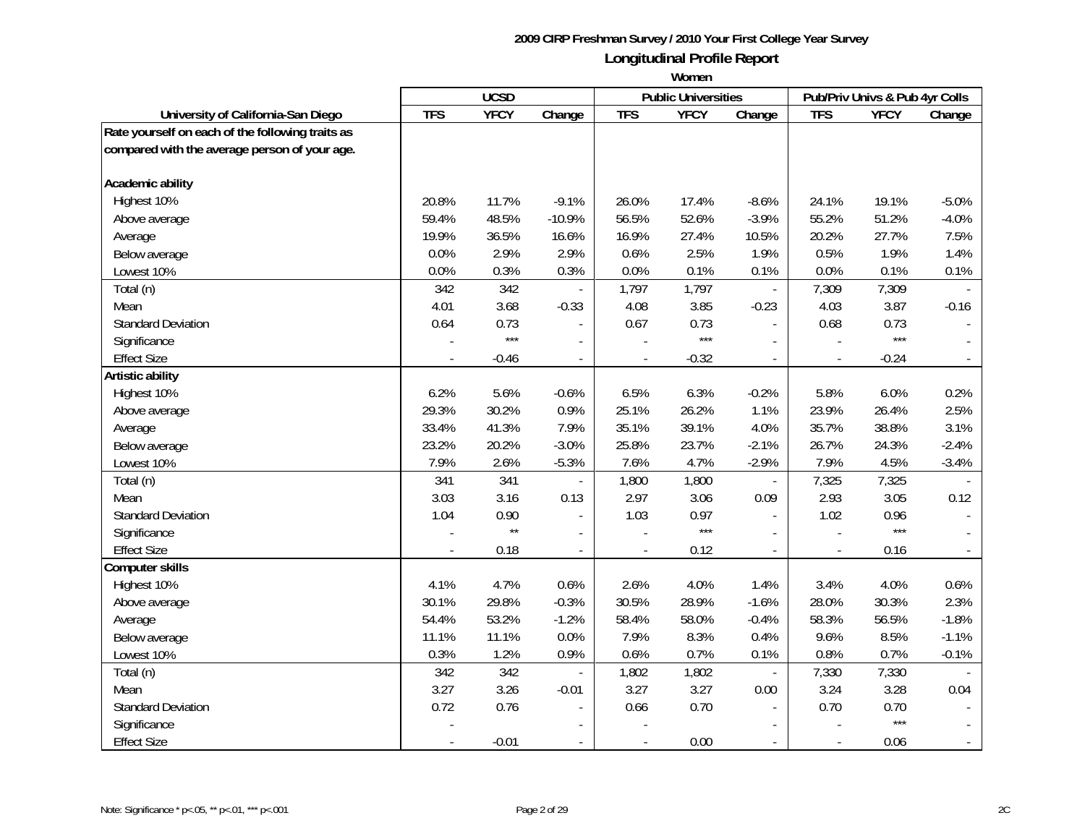|                                                  |            | <b>UCSD</b>  |                          |                | <b>Public Universities</b> |                          |                          | Pub/Priv Univs & Pub 4yr Colls |                          |
|--------------------------------------------------|------------|--------------|--------------------------|----------------|----------------------------|--------------------------|--------------------------|--------------------------------|--------------------------|
| University of California-San Diego               | <b>TFS</b> | <b>YFCY</b>  | Change                   | <b>TFS</b>     | <b>YFCY</b>                | Change                   | <b>TFS</b>               | <b>YFCY</b>                    | Change                   |
| Rate yourself on each of the following traits as |            |              |                          |                |                            |                          |                          |                                |                          |
| compared with the average person of your age.    |            |              |                          |                |                            |                          |                          |                                |                          |
|                                                  |            |              |                          |                |                            |                          |                          |                                |                          |
| Academic ability                                 |            |              |                          |                |                            |                          |                          |                                |                          |
| Highest 10%                                      | 20.8%      | 11.7%        | $-9.1%$                  | 26.0%          | 17.4%                      | $-8.6%$                  | 24.1%                    | 19.1%                          | $-5.0%$                  |
| Above average                                    | 59.4%      | 48.5%        | $-10.9%$                 | 56.5%          | 52.6%                      | $-3.9%$                  | 55.2%                    | 51.2%                          | $-4.0%$                  |
| Average                                          | 19.9%      | 36.5%        | 16.6%                    | 16.9%          | 27.4%                      | 10.5%                    | 20.2%                    | 27.7%                          | 7.5%                     |
| Below average                                    | 0.0%       | 2.9%         | 2.9%                     | 0.6%           | 2.5%                       | 1.9%                     | 0.5%                     | 1.9%                           | 1.4%                     |
| Lowest 10%                                       | $0.0\%$    | 0.3%         | 0.3%                     | 0.0%           | 0.1%                       | 0.1%                     | 0.0%                     | 0.1%                           | 0.1%                     |
| Total (n)                                        | 342        | 342          |                          | 1,797          | 1,797                      |                          | 7,309                    | 7,309                          |                          |
| Mean                                             | 4.01       | 3.68         | $-0.33$                  | 4.08           | 3.85                       | $-0.23$                  | 4.03                     | 3.87                           | $-0.16$                  |
| <b>Standard Deviation</b>                        | 0.64       | 0.73         |                          | 0.67           | 0.73                       |                          | 0.68                     | 0.73                           |                          |
| Significance                                     |            | $***$        |                          |                | $***$                      |                          |                          | $***$                          |                          |
| <b>Effect Size</b>                               |            | $-0.46$      | $\overline{\phantom{a}}$ |                | $-0.32$                    | $\overline{\phantom{a}}$ |                          | $-0.24$                        |                          |
| Artistic ability                                 |            |              |                          |                |                            |                          |                          |                                |                          |
| Highest 10%                                      | 6.2%       | 5.6%         | $-0.6%$                  | 6.5%           | 6.3%                       | $-0.2%$                  | 5.8%                     | 6.0%                           | 0.2%                     |
| Above average                                    | 29.3%      | 30.2%        | 0.9%                     | 25.1%          | 26.2%                      | 1.1%                     | 23.9%                    | 26.4%                          | 2.5%                     |
| Average                                          | 33.4%      | 41.3%        | 7.9%                     | 35.1%          | 39.1%                      | 4.0%                     | 35.7%                    | 38.8%                          | 3.1%                     |
| Below average                                    | 23.2%      | 20.2%        | $-3.0%$                  | 25.8%          | 23.7%                      | $-2.1%$                  | 26.7%                    | 24.3%                          | $-2.4%$                  |
| Lowest 10%                                       | 7.9%       | 2.6%         | $-5.3%$                  | 7.6%           | 4.7%                       | $-2.9%$                  | 7.9%                     | 4.5%                           | $-3.4%$                  |
| Total (n)                                        | 341        | 341          | $\overline{a}$           | 1,800          | 1,800                      | $\overline{\phantom{a}}$ | 7,325                    | 7,325                          |                          |
| Mean                                             | 3.03       | 3.16         | 0.13                     | 2.97           | 3.06                       | 0.09                     | 2.93                     | 3.05                           | 0.12                     |
| <b>Standard Deviation</b>                        | 1.04       | 0.90         | $\overline{a}$           | 1.03           | 0.97                       | $\overline{\phantom{a}}$ | 1.02                     | 0.96                           |                          |
| Significance                                     |            | $\star\star$ | $\overline{a}$           |                | $***$                      |                          |                          | $***$                          |                          |
| <b>Effect Size</b>                               |            | 0.18         | $\overline{\phantom{a}}$ | $\overline{a}$ | 0.12                       | $\overline{\phantom{a}}$ | $\overline{\phantom{a}}$ | 0.16                           |                          |
| <b>Computer skills</b>                           |            |              |                          |                |                            |                          |                          |                                |                          |
| Highest 10%                                      | 4.1%       | 4.7%         | 0.6%                     | 2.6%           | 4.0%                       | 1.4%                     | 3.4%                     | 4.0%                           | 0.6%                     |
| Above average                                    | 30.1%      | 29.8%        | $-0.3%$                  | 30.5%          | 28.9%                      | $-1.6%$                  | 28.0%                    | 30.3%                          | 2.3%                     |
| Average                                          | 54.4%      | 53.2%        | $-1.2%$                  | 58.4%          | 58.0%                      | $-0.4%$                  | 58.3%                    | 56.5%                          | $-1.8%$                  |
| Below average                                    | 11.1%      | 11.1%        | 0.0%                     | 7.9%           | 8.3%                       | 0.4%                     | 9.6%                     | 8.5%                           | $-1.1%$                  |
| Lowest 10%                                       | 0.3%       | 1.2%         | 0.9%                     | 0.6%           | 0.7%                       | 0.1%                     | 0.8%                     | 0.7%                           | $-0.1%$                  |
| Total (n)                                        | 342        | 342          |                          | 1,802          | 1,802                      | $\blacksquare$           | 7,330                    | 7,330                          |                          |
| Mean                                             | 3.27       | 3.26         | $-0.01$                  | 3.27           | 3.27                       | 0.00                     | 3.24                     | 3.28                           | 0.04                     |
| <b>Standard Deviation</b>                        | 0.72       | 0.76         |                          | 0.66           | 0.70                       |                          | 0.70                     | 0.70                           |                          |
| Significance                                     |            |              |                          |                |                            |                          |                          | $***$                          |                          |
| <b>Effect Size</b>                               |            | $-0.01$      | $\blacksquare$           | $\blacksquare$ | 0.00                       | $\blacksquare$           | $\blacksquare$           | 0.06                           | $\overline{\phantom{a}}$ |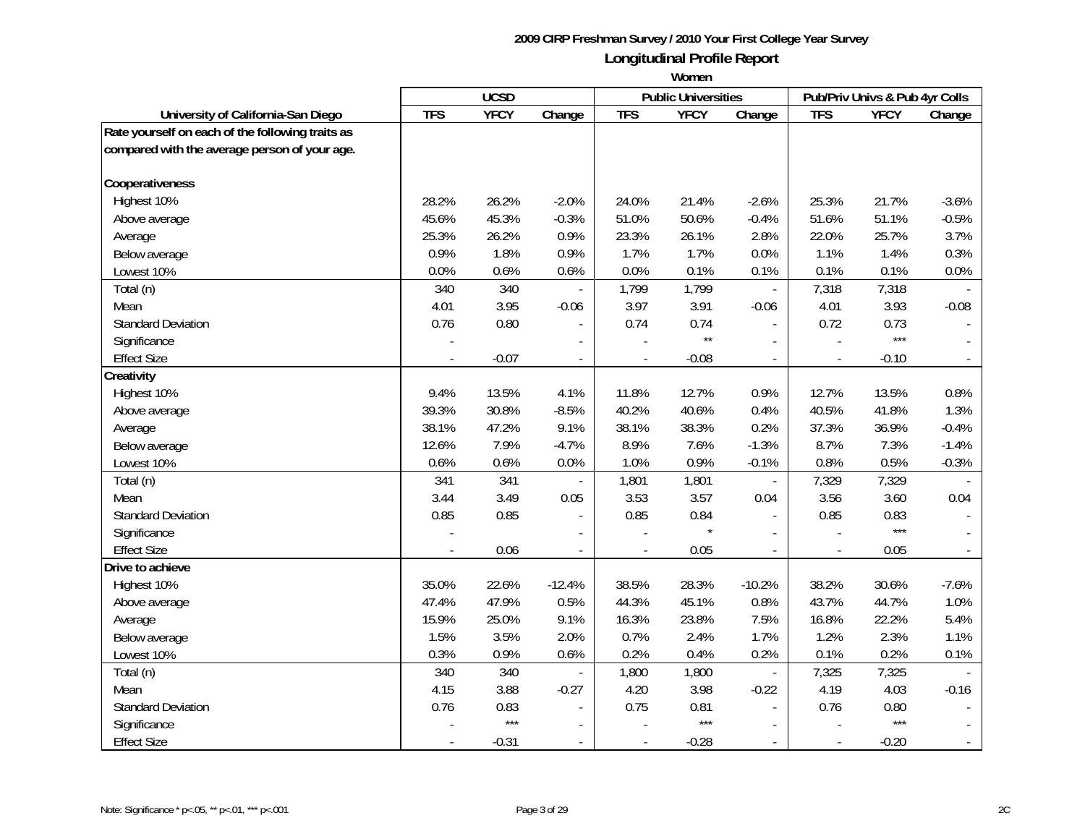|                                                  |            | <b>UCSD</b> |                          |                          | <b>Public Universities</b> |                          |               | Pub/Priv Univs & Pub 4yr Colls |                |
|--------------------------------------------------|------------|-------------|--------------------------|--------------------------|----------------------------|--------------------------|---------------|--------------------------------|----------------|
| University of California-San Diego               | <b>TFS</b> | <b>YFCY</b> | Change                   | <b>TFS</b>               | <b>YFCY</b>                | Change                   | <b>TFS</b>    | <b>YFCY</b>                    | Change         |
| Rate yourself on each of the following traits as |            |             |                          |                          |                            |                          |               |                                |                |
| compared with the average person of your age.    |            |             |                          |                          |                            |                          |               |                                |                |
|                                                  |            |             |                          |                          |                            |                          |               |                                |                |
| Cooperativeness                                  |            |             |                          |                          |                            |                          |               |                                |                |
| Highest 10%                                      | 28.2%      | 26.2%       | $-2.0%$                  | 24.0%                    | 21.4%                      | $-2.6%$                  | 25.3%         | 21.7%                          | $-3.6%$        |
| Above average                                    | 45.6%      | 45.3%       | $-0.3%$                  | 51.0%                    | 50.6%                      | $-0.4%$                  | 51.6%         | 51.1%                          | $-0.5%$        |
| Average                                          | 25.3%      | 26.2%       | 0.9%                     | 23.3%                    | 26.1%                      | 2.8%                     | 22.0%         | 25.7%                          | 3.7%           |
| Below average                                    | 0.9%       | 1.8%        | 0.9%                     | 1.7%                     | 1.7%                       | 0.0%                     | 1.1%          | 1.4%                           | 0.3%           |
| Lowest 10%                                       | $0.0\%$    | 0.6%        | 0.6%                     | 0.0%                     | 0.1%                       | 0.1%                     | 0.1%          | 0.1%                           | 0.0%           |
| Total (n)                                        | 340        | 340         |                          | 1,799                    | 1,799                      |                          | 7,318         | 7,318                          |                |
| Mean                                             | 4.01       | 3.95        | $-0.06$                  | 3.97                     | 3.91                       | $-0.06$                  | 4.01          | 3.93                           | $-0.08$        |
| <b>Standard Deviation</b>                        | 0.76       | 0.80        |                          | 0.74                     | 0.74                       |                          | 0.72          | 0.73                           |                |
| Significance                                     |            |             |                          |                          | $\star\star$               |                          |               | $***$                          |                |
| <b>Effect Size</b>                               |            | $-0.07$     |                          |                          | $-0.08$                    |                          |               | $-0.10$                        |                |
| Creativity                                       |            |             |                          |                          |                            |                          |               |                                |                |
| Highest 10%                                      | 9.4%       | 13.5%       | 4.1%                     | 11.8%                    | 12.7%                      | 0.9%                     | 12.7%         | 13.5%                          | 0.8%           |
| Above average                                    | 39.3%      | 30.8%       | $-8.5%$                  | 40.2%                    | 40.6%                      | 0.4%                     | 40.5%         | 41.8%                          | 1.3%           |
| Average                                          | 38.1%      | 47.2%       | 9.1%                     | 38.1%                    | 38.3%                      | 0.2%                     | 37.3%         | 36.9%                          | $-0.4%$        |
| Below average                                    | 12.6%      | 7.9%        | $-4.7%$                  | 8.9%                     | 7.6%                       | $-1.3%$                  | 8.7%          | 7.3%                           | $-1.4%$        |
| Lowest 10%                                       | 0.6%       | 0.6%        | 0.0%                     | 1.0%                     | 0.9%                       | $-0.1%$                  | 0.8%          | 0.5%                           | $-0.3%$        |
| Total (n)                                        | 341        | 341         | $\overline{a}$           | 1,801                    | 1,801                      | $\overline{\phantom{a}}$ | 7,329         | 7,329                          |                |
| Mean                                             | 3.44       | 3.49        | 0.05                     | 3.53                     | 3.57                       | 0.04                     | 3.56          | 3.60                           | 0.04           |
| <b>Standard Deviation</b>                        | 0.85       | 0.85        | $\overline{a}$           | 0.85                     | 0.84                       | $\overline{a}$           | 0.85          | 0.83                           |                |
| Significance                                     |            |             | $\overline{a}$           |                          |                            |                          |               | ***                            |                |
| <b>Effect Size</b>                               |            | 0.06        | $\overline{\phantom{a}}$ | $\blacksquare$           | 0.05                       | $\blacksquare$           |               | 0.05                           |                |
| Drive to achieve                                 |            |             |                          |                          |                            |                          |               |                                |                |
| Highest 10%                                      | 35.0%      | 22.6%       | $-12.4%$                 | 38.5%                    | 28.3%                      | $-10.2%$                 | 38.2%         | 30.6%                          | $-7.6%$        |
| Above average                                    | 47.4%      | 47.9%       | 0.5%                     | 44.3%                    | 45.1%                      | 0.8%                     | 43.7%         | 44.7%                          | 1.0%           |
| Average                                          | 15.9%      | 25.0%       | 9.1%                     | 16.3%                    | 23.8%                      | 7.5%                     | 16.8%         | 22.2%                          | 5.4%           |
| Below average                                    | 1.5%       | 3.5%        | 2.0%                     | 0.7%                     | 2.4%                       | 1.7%                     | 1.2%          | 2.3%                           | 1.1%           |
| Lowest 10%                                       | 0.3%       | 0.9%        | 0.6%                     | 0.2%                     | 0.4%                       | 0.2%                     | 0.1%          | 0.2%                           | 0.1%           |
| Total (n)                                        | 340        | 340         |                          | 1,800                    | 1,800                      | $\overline{\phantom{a}}$ | 7,325         | 7,325                          |                |
| Mean                                             | 4.15       | 3.88        | $-0.27$                  | 4.20                     | 3.98                       | $-0.22$                  | 4.19          | 4.03                           | $-0.16$        |
| <b>Standard Deviation</b>                        | 0.76       | 0.83        |                          | 0.75                     | 0.81                       |                          | 0.76          | 0.80                           |                |
| Significance                                     |            | $***$       |                          |                          | $***$                      |                          |               | $***$                          |                |
| <b>Effect Size</b>                               |            | $-0.31$     | $\blacksquare$           | $\overline{\phantom{a}}$ | $-0.28$                    | $\overline{\phantom{a}}$ | $\frac{1}{2}$ | $-0.20$                        | $\blacksquare$ |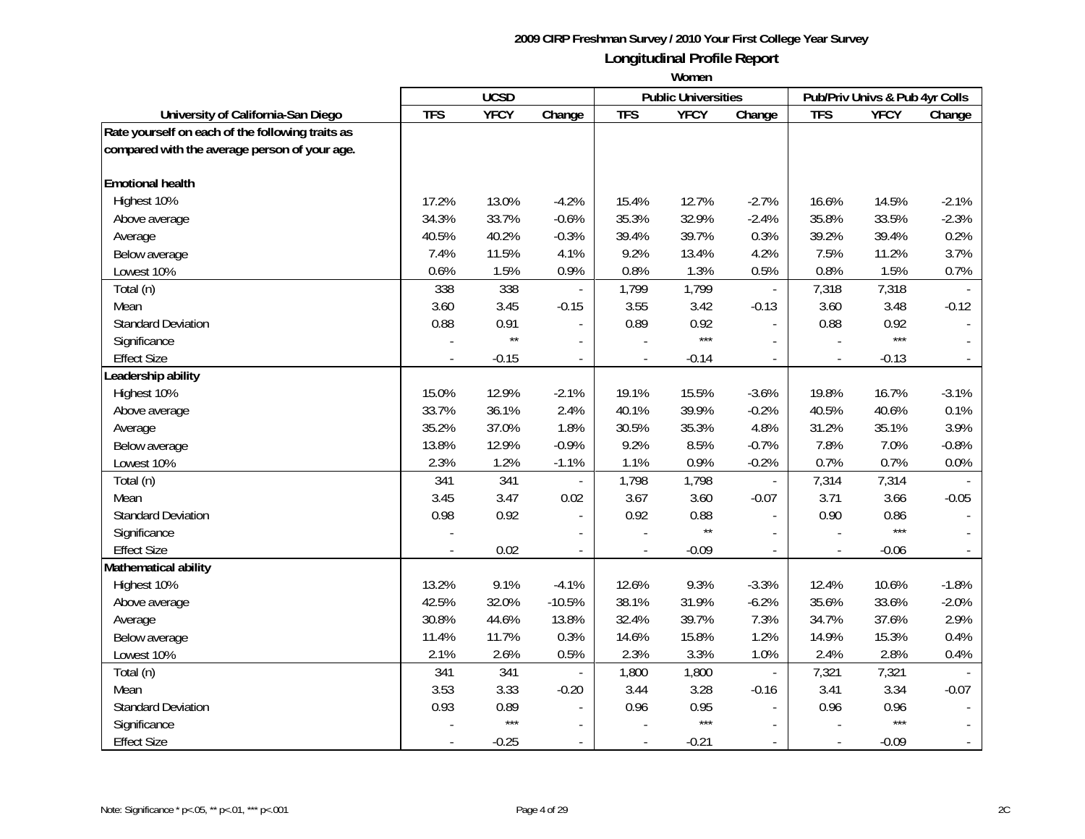|                                                  |            | <b>UCSD</b>  |                          |                | <b>Public Universities</b> |                          |                | Pub/Priv Univs & Pub 4yr Colls |                |
|--------------------------------------------------|------------|--------------|--------------------------|----------------|----------------------------|--------------------------|----------------|--------------------------------|----------------|
| University of California-San Diego               | <b>TFS</b> | <b>YFCY</b>  | Change                   | <b>TFS</b>     | <b>YFCY</b>                | Change                   | <b>TFS</b>     | <b>YFCY</b>                    | Change         |
| Rate yourself on each of the following traits as |            |              |                          |                |                            |                          |                |                                |                |
| compared with the average person of your age.    |            |              |                          |                |                            |                          |                |                                |                |
|                                                  |            |              |                          |                |                            |                          |                |                                |                |
| <b>Emotional health</b>                          |            |              |                          |                |                            |                          |                |                                |                |
| Highest 10%                                      | 17.2%      | 13.0%        | $-4.2%$                  | 15.4%          | 12.7%                      | $-2.7%$                  | 16.6%          | 14.5%                          | $-2.1%$        |
| Above average                                    | 34.3%      | 33.7%        | $-0.6%$                  | 35.3%          | 32.9%                      | $-2.4%$                  | 35.8%          | 33.5%                          | $-2.3%$        |
| Average                                          | 40.5%      | 40.2%        | $-0.3%$                  | 39.4%          | 39.7%                      | 0.3%                     | 39.2%          | 39.4%                          | 0.2%           |
| Below average                                    | 7.4%       | 11.5%        | 4.1%                     | 9.2%           | 13.4%                      | 4.2%                     | 7.5%           | 11.2%                          | 3.7%           |
| Lowest 10%                                       | 0.6%       | 1.5%         | 0.9%                     | 0.8%           | 1.3%                       | 0.5%                     | 0.8%           | 1.5%                           | 0.7%           |
| Total (n)                                        | 338        | 338          |                          | 1,799          | 1,799                      |                          | 7,318          | 7,318                          |                |
| Mean                                             | 3.60       | 3.45         | $-0.15$                  | 3.55           | 3.42                       | $-0.13$                  | 3.60           | 3.48                           | $-0.12$        |
| <b>Standard Deviation</b>                        | 0.88       | 0.91         | $\overline{\phantom{a}}$ | 0.89           | 0.92                       | $\blacksquare$           | 0.88           | 0.92                           |                |
| Significance                                     |            | $\star\star$ |                          |                | $***$                      |                          |                | $***$                          |                |
| <b>Effect Size</b>                               |            | $-0.15$      |                          |                | $-0.14$                    |                          |                | $-0.13$                        |                |
| eadership ability                                |            |              |                          |                |                            |                          |                |                                |                |
| Highest 10%                                      | 15.0%      | 12.9%        | $-2.1%$                  | 19.1%          | 15.5%                      | $-3.6%$                  | 19.8%          | 16.7%                          | $-3.1%$        |
| Above average                                    | 33.7%      | 36.1%        | 2.4%                     | 40.1%          | 39.9%                      | $-0.2%$                  | 40.5%          | 40.6%                          | 0.1%           |
| Average                                          | 35.2%      | 37.0%        | 1.8%                     | 30.5%          | 35.3%                      | 4.8%                     | 31.2%          | 35.1%                          | 3.9%           |
| Below average                                    | 13.8%      | 12.9%        | $-0.9%$                  | 9.2%           | 8.5%                       | $-0.7%$                  | 7.8%           | 7.0%                           | $-0.8%$        |
| Lowest 10%                                       | 2.3%       | 1.2%         | $-1.1%$                  | 1.1%           | 0.9%                       | $-0.2%$                  | 0.7%           | 0.7%                           | 0.0%           |
| Total (n)                                        | 341        | 341          | $\overline{a}$           | 1,798          | 1,798                      | $\overline{\phantom{a}}$ | 7,314          | 7,314                          |                |
| Mean                                             | 3.45       | 3.47         | 0.02                     | 3.67           | 3.60                       | $-0.07$                  | 3.71           | 3.66                           | $-0.05$        |
| <b>Standard Deviation</b>                        | 0.98       | 0.92         | $\overline{\phantom{a}}$ | 0.92           | 0.88                       | $\blacksquare$           | 0.90           | 0.86                           |                |
| Significance                                     |            |              | $\overline{a}$           |                | $\star\star$               |                          |                | $***$                          |                |
| <b>Effect Size</b>                               |            | 0.02         | $\overline{a}$           | $\overline{a}$ | $-0.09$                    | $\overline{a}$           |                | $-0.06$                        |                |
| Mathematical ability                             |            |              |                          |                |                            |                          |                |                                |                |
| Highest 10%                                      | 13.2%      | 9.1%         | $-4.1%$                  | 12.6%          | 9.3%                       | $-3.3%$                  | 12.4%          | 10.6%                          | $-1.8%$        |
| Above average                                    | 42.5%      | 32.0%        | $-10.5%$                 | 38.1%          | 31.9%                      | $-6.2%$                  | 35.6%          | 33.6%                          | $-2.0%$        |
| Average                                          | 30.8%      | 44.6%        | 13.8%                    | 32.4%          | 39.7%                      | 7.3%                     | 34.7%          | 37.6%                          | 2.9%           |
| Below average                                    | 11.4%      | 11.7%        | 0.3%                     | 14.6%          | 15.8%                      | 1.2%                     | 14.9%          | 15.3%                          | 0.4%           |
| Lowest 10%                                       | 2.1%       | 2.6%         | 0.5%                     | 2.3%           | 3.3%                       | 1.0%                     | 2.4%           | 2.8%                           | 0.4%           |
| Total (n)                                        | 341        | 341          |                          | 1,800          | 1,800                      | $\overline{\phantom{a}}$ | 7,321          | 7,321                          |                |
| Mean                                             | 3.53       | 3.33         | $-0.20$                  | 3.44           | 3.28                       | $-0.16$                  | 3.41           | 3.34                           | $-0.07$        |
| <b>Standard Deviation</b>                        | 0.93       | 0.89         |                          | 0.96           | 0.95                       |                          | 0.96           | 0.96                           |                |
| Significance                                     |            | $***$        |                          |                | $***$                      |                          |                | $***$                          |                |
| <b>Effect Size</b>                               |            | $-0.25$      | $\blacksquare$           | $\overline{a}$ | $-0.21$                    | $\overline{a}$           | $\overline{a}$ | $-0.09$                        | $\blacksquare$ |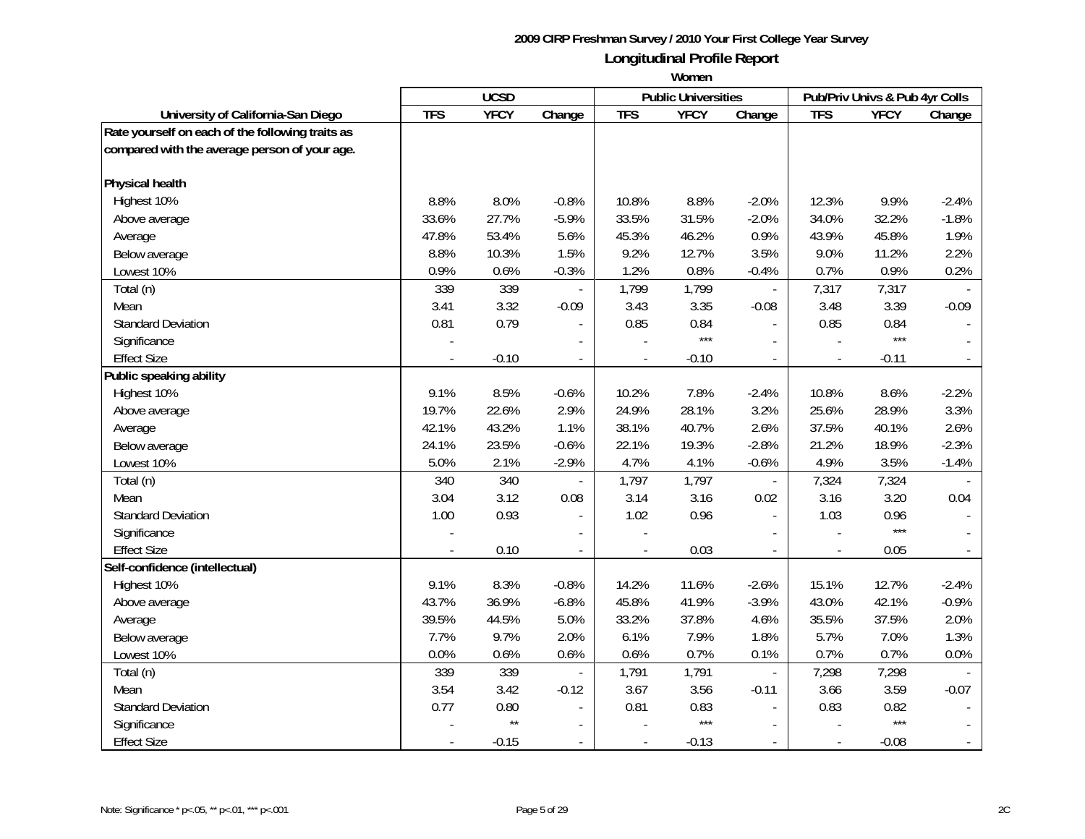|                                                  |            | <b>UCSD</b>  |                |                          | <b>Public Universities</b> |                          |                | Pub/Priv Univs & Pub 4yr Colls |                          |
|--------------------------------------------------|------------|--------------|----------------|--------------------------|----------------------------|--------------------------|----------------|--------------------------------|--------------------------|
| University of California-San Diego               | <b>TFS</b> | <b>YFCY</b>  | Change         | <b>TFS</b>               | <b>YFCY</b>                | Change                   | <b>TFS</b>     | <b>YFCY</b>                    | Change                   |
| Rate yourself on each of the following traits as |            |              |                |                          |                            |                          |                |                                |                          |
| compared with the average person of your age.    |            |              |                |                          |                            |                          |                |                                |                          |
|                                                  |            |              |                |                          |                            |                          |                |                                |                          |
| Physical health                                  |            |              |                |                          |                            |                          |                |                                |                          |
| Highest 10%                                      | 8.8%       | 8.0%         | $-0.8%$        | 10.8%                    | 8.8%                       | $-2.0%$                  | 12.3%          | 9.9%                           | $-2.4%$                  |
| Above average                                    | 33.6%      | 27.7%        | $-5.9%$        | 33.5%                    | 31.5%                      | $-2.0%$                  | 34.0%          | 32.2%                          | $-1.8%$                  |
| Average                                          | 47.8%      | 53.4%        | 5.6%           | 45.3%                    | 46.2%                      | 0.9%                     | 43.9%          | 45.8%                          | 1.9%                     |
| Below average                                    | 8.8%       | 10.3%        | 1.5%           | 9.2%                     | 12.7%                      | 3.5%                     | 9.0%           | 11.2%                          | 2.2%                     |
| Lowest 10%                                       | 0.9%       | 0.6%         | $-0.3%$        | 1.2%                     | 0.8%                       | $-0.4%$                  | 0.7%           | 0.9%                           | 0.2%                     |
| Total (n)                                        | 339        | 339          |                | 1,799                    | 1,799                      |                          | 7,317          | 7,317                          |                          |
| Mean                                             | 3.41       | 3.32         | $-0.09$        | 3.43                     | 3.35                       | $-0.08$                  | 3.48           | 3.39                           | $-0.09$                  |
| <b>Standard Deviation</b>                        | 0.81       | 0.79         |                | 0.85                     | 0.84                       |                          | 0.85           | 0.84                           |                          |
| Significance                                     |            |              |                |                          | $***$                      |                          |                | $***$                          |                          |
| <b>Effect Size</b>                               |            | $-0.10$      |                |                          | $-0.10$                    |                          |                | $-0.11$                        |                          |
| Public speaking ability                          |            |              |                |                          |                            |                          |                |                                |                          |
| Highest 10%                                      | 9.1%       | 8.5%         | $-0.6%$        | 10.2%                    | 7.8%                       | $-2.4%$                  | 10.8%          | 8.6%                           | $-2.2%$                  |
| Above average                                    | 19.7%      | 22.6%        | 2.9%           | 24.9%                    | 28.1%                      | 3.2%                     | 25.6%          | 28.9%                          | 3.3%                     |
| Average                                          | 42.1%      | 43.2%        | 1.1%           | 38.1%                    | 40.7%                      | 2.6%                     | 37.5%          | 40.1%                          | 2.6%                     |
| Below average                                    | 24.1%      | 23.5%        | $-0.6%$        | 22.1%                    | 19.3%                      | $-2.8%$                  | 21.2%          | 18.9%                          | $-2.3%$                  |
| Lowest 10%                                       | 5.0%       | 2.1%         | $-2.9%$        | 4.7%                     | 4.1%                       | $-0.6%$                  | 4.9%           | 3.5%                           | $-1.4%$                  |
| Total (n)                                        | 340        | 340          | $\overline{a}$ | 1,797                    | 1,797                      | $\overline{\phantom{a}}$ | 7,324          | 7,324                          |                          |
| Mean                                             | 3.04       | 3.12         | 0.08           | 3.14                     | 3.16                       | 0.02                     | 3.16           | 3.20                           | 0.04                     |
| <b>Standard Deviation</b>                        | 1.00       | 0.93         | $\overline{a}$ | 1.02                     | 0.96                       | $\overline{a}$           | 1.03           | 0.96                           |                          |
| Significance                                     |            |              |                |                          |                            | $\overline{\phantom{a}}$ |                | ***                            |                          |
| <b>Effect Size</b>                               |            | 0.10         | $\overline{a}$ | $\overline{a}$           | 0.03                       | $\overline{a}$           |                | 0.05                           |                          |
| Self-confidence (intellectual)                   |            |              |                |                          |                            |                          |                |                                |                          |
| Highest 10%                                      | 9.1%       | 8.3%         | $-0.8%$        | 14.2%                    | 11.6%                      | $-2.6%$                  | 15.1%          | 12.7%                          | $-2.4%$                  |
| Above average                                    | 43.7%      | 36.9%        | $-6.8%$        | 45.8%                    | 41.9%                      | $-3.9%$                  | 43.0%          | 42.1%                          | $-0.9%$                  |
| Average                                          | 39.5%      | 44.5%        | 5.0%           | 33.2%                    | 37.8%                      | 4.6%                     | 35.5%          | 37.5%                          | 2.0%                     |
| Below average                                    | 7.7%       | 9.7%         | 2.0%           | 6.1%                     | 7.9%                       | 1.8%                     | 5.7%           | 7.0%                           | 1.3%                     |
| Lowest 10%                                       | 0.0%       | 0.6%         | 0.6%           | 0.6%                     | 0.7%                       | 0.1%                     | 0.7%           | 0.7%                           | 0.0%                     |
| Total (n)                                        | 339        | 339          |                | 1,791                    | 1,791                      | $\overline{\phantom{a}}$ | 7,298          | 7,298                          |                          |
| Mean                                             | 3.54       | 3.42         | $-0.12$        | 3.67                     | 3.56                       | $-0.11$                  | 3.66           | 3.59                           | $-0.07$                  |
| <b>Standard Deviation</b>                        | 0.77       | 0.80         |                | 0.81                     | 0.83                       |                          | 0.83           | 0.82                           |                          |
| Significance                                     |            | $\star\star$ | $\overline{a}$ |                          | $***$                      |                          |                | $***$                          |                          |
| <b>Effect Size</b>                               |            | $-0.15$      | $\blacksquare$ | $\overline{\phantom{a}}$ | $-0.13$                    | $\overline{a}$           | $\overline{a}$ | $-0.08$                        | $\overline{\phantom{a}}$ |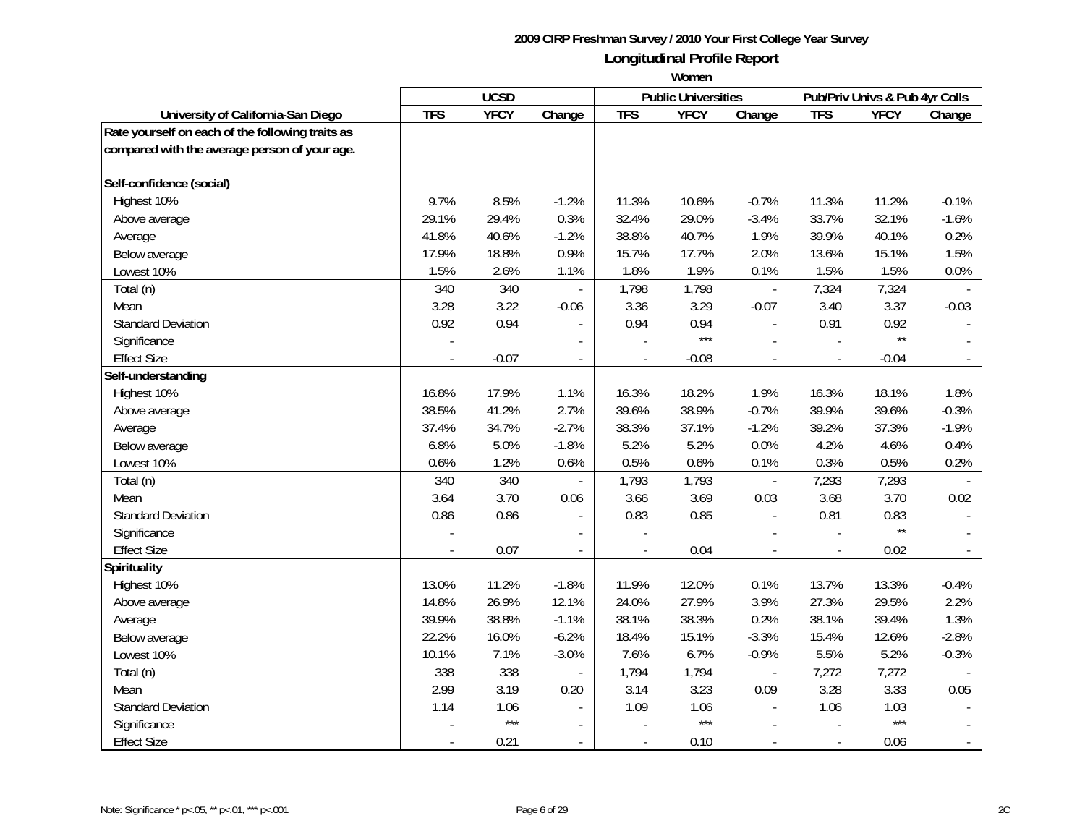|                                                  | <b>UCSD</b> |             |                | <b>Public Universities</b> |             | Pub/Priv Univs & Pub 4yr Colls |                |              |                          |
|--------------------------------------------------|-------------|-------------|----------------|----------------------------|-------------|--------------------------------|----------------|--------------|--------------------------|
| University of California-San Diego               | <b>TFS</b>  | <b>YFCY</b> | Change         | <b>TFS</b>                 | <b>YFCY</b> | Change                         | <b>TFS</b>     | <b>YFCY</b>  | Change                   |
| Rate yourself on each of the following traits as |             |             |                |                            |             |                                |                |              |                          |
| compared with the average person of your age.    |             |             |                |                            |             |                                |                |              |                          |
|                                                  |             |             |                |                            |             |                                |                |              |                          |
| Self-confidence (social)                         |             |             |                |                            |             |                                |                |              |                          |
| Highest 10%                                      | 9.7%        | 8.5%        | $-1.2%$        | 11.3%                      | 10.6%       | $-0.7%$                        | 11.3%          | 11.2%        | $-0.1%$                  |
| Above average                                    | 29.1%       | 29.4%       | 0.3%           | 32.4%                      | 29.0%       | $-3.4%$                        | 33.7%          | 32.1%        | $-1.6%$                  |
| Average                                          | 41.8%       | 40.6%       | $-1.2%$        | 38.8%                      | 40.7%       | 1.9%                           | 39.9%          | 40.1%        | 0.2%                     |
| Below average                                    | 17.9%       | 18.8%       | 0.9%           | 15.7%                      | 17.7%       | 2.0%                           | 13.6%          | 15.1%        | 1.5%                     |
| Lowest 10%                                       | 1.5%        | 2.6%        | 1.1%           | 1.8%                       | 1.9%        | 0.1%                           | 1.5%           | 1.5%         | 0.0%                     |
| Total (n)                                        | 340         | 340         |                | 1,798                      | 1,798       |                                | 7,324          | 7,324        |                          |
| Mean                                             | 3.28        | 3.22        | $-0.06$        | 3.36                       | 3.29        | $-0.07$                        | 3.40           | 3.37         | $-0.03$                  |
| <b>Standard Deviation</b>                        | 0.92        | 0.94        |                | 0.94                       | 0.94        |                                | 0.91           | 0.92         |                          |
| Significance                                     |             |             |                |                            | $***$       |                                |                | $\star\star$ |                          |
| <b>Effect Size</b>                               |             | $-0.07$     |                |                            | $-0.08$     |                                |                | $-0.04$      |                          |
| Self-understanding                               |             |             |                |                            |             |                                |                |              |                          |
| Highest 10%                                      | 16.8%       | 17.9%       | 1.1%           | 16.3%                      | 18.2%       | 1.9%                           | 16.3%          | 18.1%        | 1.8%                     |
| Above average                                    | 38.5%       | 41.2%       | 2.7%           | 39.6%                      | 38.9%       | $-0.7%$                        | 39.9%          | 39.6%        | $-0.3%$                  |
| Average                                          | 37.4%       | 34.7%       | $-2.7%$        | 38.3%                      | 37.1%       | $-1.2%$                        | 39.2%          | 37.3%        | $-1.9%$                  |
| Below average                                    | 6.8%        | 5.0%        | $-1.8%$        | 5.2%                       | 5.2%        | 0.0%                           | 4.2%           | 4.6%         | 0.4%                     |
| Lowest 10%                                       | 0.6%        | 1.2%        | 0.6%           | 0.5%                       | 0.6%        | 0.1%                           | 0.3%           | 0.5%         | 0.2%                     |
| Total (n)                                        | 340         | 340         | $\centerdot$   | 1,793                      | 1,793       | $\overline{\phantom{a}}$       | 7,293          | 7,293        |                          |
| Mean                                             | 3.64        | 3.70        | 0.06           | 3.66                       | 3.69        | 0.03                           | 3.68           | 3.70         | 0.02                     |
| <b>Standard Deviation</b>                        | 0.86        | 0.86        | $\sim$         | 0.83                       | 0.85        | $\overline{a}$                 | 0.81           | 0.83         |                          |
| Significance                                     |             |             |                |                            |             | $\overline{a}$                 |                | $\star\star$ |                          |
| <b>Effect Size</b>                               |             | 0.07        | $\overline{a}$ |                            | 0.04        | $\overline{a}$                 |                | 0.02         |                          |
| <b>Spirituality</b>                              |             |             |                |                            |             |                                |                |              |                          |
| Highest 10%                                      | 13.0%       | 11.2%       | $-1.8%$        | 11.9%                      | 12.0%       | 0.1%                           | 13.7%          | 13.3%        | $-0.4%$                  |
| Above average                                    | 14.8%       | 26.9%       | 12.1%          | 24.0%                      | 27.9%       | 3.9%                           | 27.3%          | 29.5%        | 2.2%                     |
| Average                                          | 39.9%       | 38.8%       | $-1.1%$        | 38.1%                      | 38.3%       | 0.2%                           | 38.1%          | 39.4%        | 1.3%                     |
| Below average                                    | 22.2%       | 16.0%       | $-6.2%$        | 18.4%                      | 15.1%       | $-3.3%$                        | 15.4%          | 12.6%        | $-2.8%$                  |
| Lowest 10%                                       | 10.1%       | 7.1%        | $-3.0%$        | 7.6%                       | 6.7%        | $-0.9%$                        | 5.5%           | 5.2%         | $-0.3%$                  |
| Total (n)                                        | 338         | 338         |                | 1,794                      | 1,794       | $\overline{\phantom{a}}$       | 7,272          | 7,272        |                          |
| Mean                                             | 2.99        | 3.19        | 0.20           | 3.14                       | 3.23        | 0.09                           | 3.28           | 3.33         | 0.05                     |
| <b>Standard Deviation</b>                        | 1.14        | 1.06        |                | 1.09                       | 1.06        |                                | 1.06           | 1.03         |                          |
| Significance                                     |             | $***$       |                |                            | $***$       | $\blacksquare$                 |                | $***$        |                          |
| <b>Effect Size</b>                               |             | 0.21        | $\blacksquare$ | $\overline{a}$             | 0.10        | $\blacksquare$                 | $\overline{a}$ | 0.06         | $\overline{\phantom{a}}$ |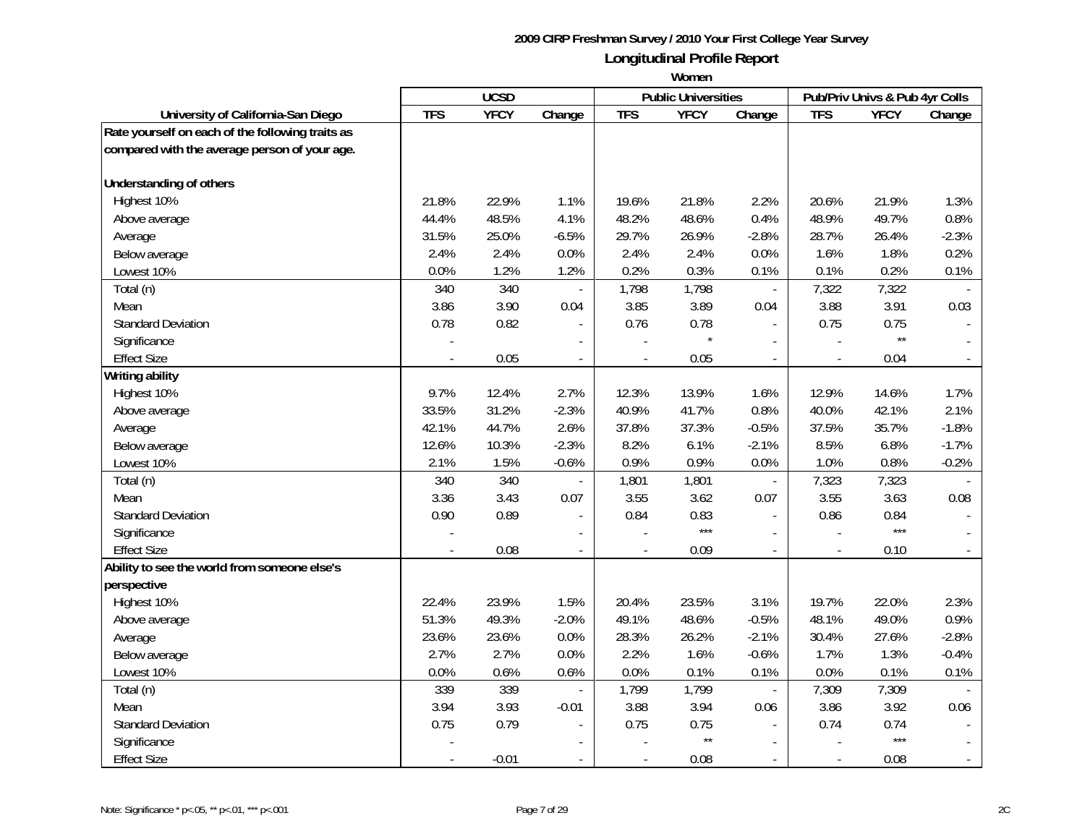|                                                  |            | <b>UCSD</b> |                |                | <b>Public Universities</b> |                          |            | Pub/Priv Univs & Pub 4yr Colls |         |
|--------------------------------------------------|------------|-------------|----------------|----------------|----------------------------|--------------------------|------------|--------------------------------|---------|
| University of California-San Diego               | <b>TFS</b> | <b>YFCY</b> | Change         | <b>TFS</b>     | <b>YFCY</b>                | Change                   | <b>TFS</b> | <b>YFCY</b>                    | Change  |
| Rate yourself on each of the following traits as |            |             |                |                |                            |                          |            |                                |         |
| compared with the average person of your age.    |            |             |                |                |                            |                          |            |                                |         |
|                                                  |            |             |                |                |                            |                          |            |                                |         |
| Understanding of others                          |            |             |                |                |                            |                          |            |                                |         |
| Highest 10%                                      | 21.8%      | 22.9%       | 1.1%           | 19.6%          | 21.8%                      | 2.2%                     | 20.6%      | 21.9%                          | 1.3%    |
| Above average                                    | 44.4%      | 48.5%       | 4.1%           | 48.2%          | 48.6%                      | 0.4%                     | 48.9%      | 49.7%                          | 0.8%    |
| Average                                          | 31.5%      | 25.0%       | $-6.5%$        | 29.7%          | 26.9%                      | $-2.8%$                  | 28.7%      | 26.4%                          | $-2.3%$ |
| Below average                                    | 2.4%       | 2.4%        | 0.0%           | 2.4%           | 2.4%                       | 0.0%                     | 1.6%       | 1.8%                           | 0.2%    |
| Lowest 10%                                       | $0.0\%$    | 1.2%        | 1.2%           | 0.2%           | 0.3%                       | 0.1%                     | 0.1%       | 0.2%                           | 0.1%    |
| Total (n)                                        | 340        | 340         | $\overline{a}$ | 1,798          | 1,798                      | $\overline{\phantom{a}}$ | 7,322      | 7,322                          |         |
| Mean                                             | 3.86       | 3.90        | 0.04           | 3.85           | 3.89                       | 0.04                     | 3.88       | 3.91                           | 0.03    |
| <b>Standard Deviation</b>                        | 0.78       | 0.82        |                | 0.76           | 0.78                       |                          | 0.75       | 0.75                           |         |
| Significance                                     |            |             |                |                |                            |                          |            | $\star\star$                   |         |
| <b>Effect Size</b>                               |            | 0.05        | $\blacksquare$ | $\blacksquare$ | 0.05                       | $\blacksquare$           |            | 0.04                           |         |
| <b>Writing ability</b>                           |            |             |                |                |                            |                          |            |                                |         |
| Highest 10%                                      | 9.7%       | 12.4%       | 2.7%           | 12.3%          | 13.9%                      | 1.6%                     | 12.9%      | 14.6%                          | 1.7%    |
| Above average                                    | 33.5%      | 31.2%       | $-2.3%$        | 40.9%          | 41.7%                      | 0.8%                     | 40.0%      | 42.1%                          | 2.1%    |
| Average                                          | 42.1%      | 44.7%       | 2.6%           | 37.8%          | 37.3%                      | $-0.5%$                  | 37.5%      | 35.7%                          | $-1.8%$ |
| Below average                                    | 12.6%      | 10.3%       | $-2.3%$        | 8.2%           | 6.1%                       | $-2.1%$                  | 8.5%       | 6.8%                           | $-1.7%$ |
| Lowest 10%                                       | 2.1%       | 1.5%        | $-0.6%$        | 0.9%           | 0.9%                       | 0.0%                     | 1.0%       | 0.8%                           | $-0.2%$ |
| Total (n)                                        | 340        | 340         |                | 1,801          | 1,801                      | $\overline{\phantom{a}}$ | 7,323      | 7,323                          |         |
| Mean                                             | 3.36       | 3.43        | 0.07           | 3.55           | 3.62                       | 0.07                     | 3.55       | 3.63                           | 0.08    |
| <b>Standard Deviation</b>                        | 0.90       | 0.89        |                | 0.84           | 0.83                       | $\overline{a}$           | 0.86       | 0.84                           |         |
| Significance                                     |            |             |                |                | $***$                      |                          |            | $***$                          |         |
| <b>Effect Size</b>                               |            | 0.08        |                |                | 0.09                       |                          |            | 0.10                           |         |
| Ability to see the world from someone else's     |            |             |                |                |                            |                          |            |                                |         |
| perspective                                      |            |             |                |                |                            |                          |            |                                |         |
| Highest 10%                                      | 22.4%      | 23.9%       | 1.5%           | 20.4%          | 23.5%                      | 3.1%                     | 19.7%      | 22.0%                          | 2.3%    |
| Above average                                    | 51.3%      | 49.3%       | $-2.0%$        | 49.1%          | 48.6%                      | $-0.5%$                  | 48.1%      | 49.0%                          | 0.9%    |
| Average                                          | 23.6%      | 23.6%       | 0.0%           | 28.3%          | 26.2%                      | $-2.1%$                  | 30.4%      | 27.6%                          | $-2.8%$ |
| Below average                                    | 2.7%       | 2.7%        | 0.0%           | 2.2%           | 1.6%                       | $-0.6%$                  | 1.7%       | 1.3%                           | $-0.4%$ |
| Lowest 10%                                       | 0.0%       | 0.6%        | 0.6%           | 0.0%           | 0.1%                       | 0.1%                     | 0.0%       | 0.1%                           | 0.1%    |
| Total (n)                                        | 339        | 339         | $\blacksquare$ | 1,799          | 1,799                      | $\blacksquare$           | 7,309      | 7,309                          |         |
| Mean                                             | 3.94       | 3.93        | $-0.01$        | 3.88           | 3.94                       | 0.06                     | 3.86       | 3.92                           | 0.06    |
| <b>Standard Deviation</b>                        | 0.75       | 0.79        |                | 0.75           | 0.75                       |                          | 0.74       | 0.74                           |         |
| Significance                                     |            |             |                |                | $\star\star$               |                          |            | $***$                          |         |
| <b>Effect Size</b>                               |            | $-0.01$     |                |                | 0.08                       |                          |            | 0.08                           |         |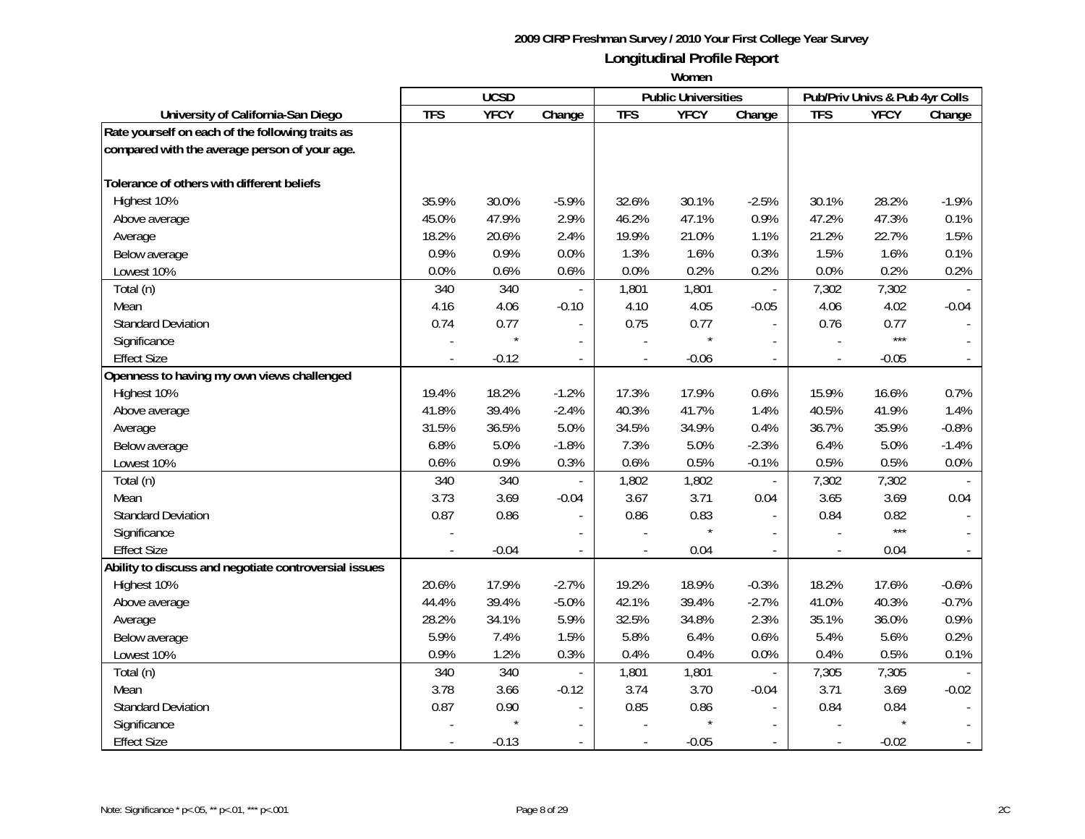|                                                       |            | <b>UCSD</b> |                          |                          | <b>Public Universities</b> |                          |                | Pub/Priv Univs & Pub 4yr Colls |         |
|-------------------------------------------------------|------------|-------------|--------------------------|--------------------------|----------------------------|--------------------------|----------------|--------------------------------|---------|
| University of California-San Diego                    | <b>TFS</b> | <b>YFCY</b> | Change                   | <b>TFS</b>               | <b>YFCY</b>                | Change                   | <b>TFS</b>     | <b>YFCY</b>                    | Change  |
| Rate yourself on each of the following traits as      |            |             |                          |                          |                            |                          |                |                                |         |
| compared with the average person of your age.         |            |             |                          |                          |                            |                          |                |                                |         |
| Tolerance of others with different beliefs            |            |             |                          |                          |                            |                          |                |                                |         |
| Highest 10%                                           | 35.9%      | 30.0%       | $-5.9%$                  | 32.6%                    | 30.1%                      | $-2.5%$                  | 30.1%          | 28.2%                          | $-1.9%$ |
| Above average                                         | 45.0%      | 47.9%       | 2.9%                     | 46.2%                    | 47.1%                      | 0.9%                     | 47.2%          | 47.3%                          | 0.1%    |
| Average                                               | 18.2%      | 20.6%       | 2.4%                     | 19.9%                    | 21.0%                      | 1.1%                     | 21.2%          | 22.7%                          | 1.5%    |
| Below average                                         | 0.9%       | 0.9%        | 0.0%                     | 1.3%                     | 1.6%                       | 0.3%                     | 1.5%           | 1.6%                           | 0.1%    |
| Lowest 10%                                            | 0.0%       | 0.6%        | 0.6%                     | 0.0%                     | 0.2%                       | 0.2%                     | 0.0%           | 0.2%                           | 0.2%    |
| Total (n)                                             | 340        | 340         |                          | 1,801                    | 1,801                      |                          | 7,302          | 7,302                          |         |
| Mean                                                  | 4.16       | 4.06        | $-0.10$                  | 4.10                     | 4.05                       | $-0.05$                  | 4.06           | 4.02                           | $-0.04$ |
| <b>Standard Deviation</b>                             | 0.74       | 0.77        |                          | 0.75                     | 0.77                       |                          | 0.76           | 0.77                           |         |
| Significance                                          |            |             |                          |                          |                            |                          |                | $***$                          |         |
| <b>Effect Size</b>                                    |            | $-0.12$     | $\overline{a}$           |                          | $-0.06$                    |                          |                | $-0.05$                        |         |
| Openness to having my own views challenged            |            |             |                          |                          |                            |                          |                |                                |         |
| Highest 10%                                           | 19.4%      | 18.2%       | $-1.2%$                  | 17.3%                    | 17.9%                      | 0.6%                     | 15.9%          | 16.6%                          | 0.7%    |
| Above average                                         | 41.8%      | 39.4%       | $-2.4%$                  | 40.3%                    | 41.7%                      | 1.4%                     | 40.5%          | 41.9%                          | 1.4%    |
| Average                                               | 31.5%      | 36.5%       | 5.0%                     | 34.5%                    | 34.9%                      | 0.4%                     | 36.7%          | 35.9%                          | $-0.8%$ |
| Below average                                         | 6.8%       | 5.0%        | $-1.8%$                  | 7.3%                     | 5.0%                       | $-2.3%$                  | 6.4%           | 5.0%                           | $-1.4%$ |
| Lowest 10%                                            | 0.6%       | 0.9%        | 0.3%                     | 0.6%                     | 0.5%                       | $-0.1%$                  | 0.5%           | 0.5%                           | 0.0%    |
| Total (n)                                             | 340        | 340         | $\overline{\phantom{a}}$ | 1,802                    | 1,802                      | $\overline{\phantom{a}}$ | 7,302          | 7,302                          |         |
| Mean                                                  | 3.73       | 3.69        | $-0.04$                  | 3.67                     | 3.71                       | 0.04                     | 3.65           | 3.69                           | 0.04    |
| <b>Standard Deviation</b>                             | 0.87       | 0.86        | $\overline{\phantom{a}}$ | 0.86                     | 0.83                       |                          | 0.84           | 0.82                           |         |
| Significance                                          |            |             |                          |                          |                            |                          |                | $***$                          |         |
| <b>Effect Size</b>                                    |            | $-0.04$     | $\overline{a}$           | $\overline{\phantom{a}}$ | 0.04                       |                          |                | 0.04                           |         |
| Ability to discuss and negotiate controversial issues |            |             |                          |                          |                            |                          |                |                                |         |
| Highest 10%                                           | 20.6%      | 17.9%       | $-2.7%$                  | 19.2%                    | 18.9%                      | $-0.3%$                  | 18.2%          | 17.6%                          | $-0.6%$ |
| Above average                                         | 44.4%      | 39.4%       | $-5.0%$                  | 42.1%                    | 39.4%                      | $-2.7%$                  | 41.0%          | 40.3%                          | $-0.7%$ |
| Average                                               | 28.2%      | 34.1%       | 5.9%                     | 32.5%                    | 34.8%                      | 2.3%                     | 35.1%          | 36.0%                          | 0.9%    |
| Below average                                         | 5.9%       | 7.4%        | 1.5%                     | 5.8%                     | 6.4%                       | 0.6%                     | 5.4%           | 5.6%                           | 0.2%    |
| Lowest 10%                                            | 0.9%       | 1.2%        | 0.3%                     | 0.4%                     | 0.4%                       | 0.0%                     | 0.4%           | 0.5%                           | 0.1%    |
| Total (n)                                             | 340        | 340         |                          | 1,801                    | 1,801                      |                          | 7,305          | 7,305                          |         |
| Mean                                                  | 3.78       | 3.66        | $-0.12$                  | 3.74                     | 3.70                       | $-0.04$                  | 3.71           | 3.69                           | $-0.02$ |
| <b>Standard Deviation</b>                             | 0.87       | 0.90        |                          | 0.85                     | 0.86                       |                          | 0.84           | 0.84                           |         |
| Significance                                          |            |             |                          |                          |                            |                          |                |                                |         |
| <b>Effect Size</b>                                    |            | $-0.13$     | $\overline{\phantom{a}}$ | $\blacksquare$           | $-0.05$                    |                          | $\blacksquare$ | $-0.02$                        |         |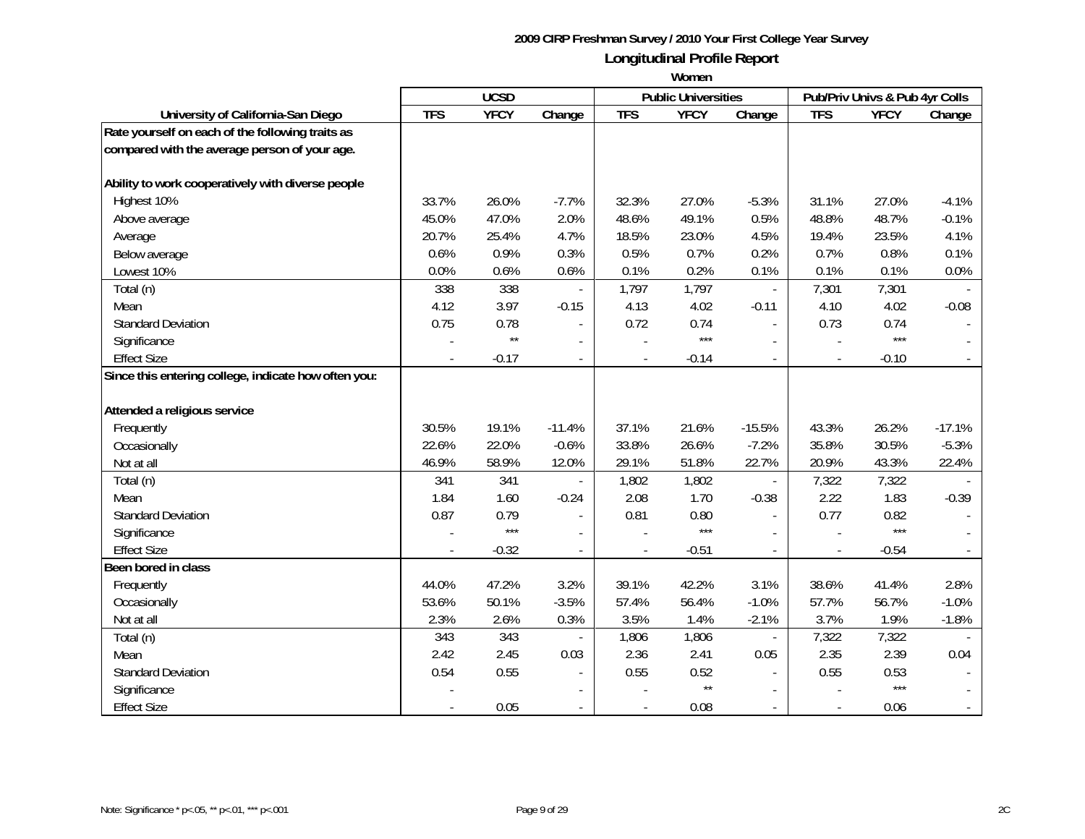|                                                      |            | <b>UCSD</b>  |                          |                          | <b>Public Universities</b> |                          |                | Pub/Priv Univs & Pub 4yr Colls |          |
|------------------------------------------------------|------------|--------------|--------------------------|--------------------------|----------------------------|--------------------------|----------------|--------------------------------|----------|
| University of California-San Diego                   | <b>TFS</b> | <b>YFCY</b>  | Change                   | <b>TFS</b>               | <b>YFCY</b>                | Change                   | <b>TFS</b>     | <b>YFCY</b>                    | Change   |
| Rate yourself on each of the following traits as     |            |              |                          |                          |                            |                          |                |                                |          |
| compared with the average person of your age.        |            |              |                          |                          |                            |                          |                |                                |          |
|                                                      |            |              |                          |                          |                            |                          |                |                                |          |
| Ability to work cooperatively with diverse people    |            |              |                          |                          |                            |                          |                |                                |          |
| Highest 10%                                          | 33.7%      | 26.0%        | $-7.7%$                  | 32.3%                    | 27.0%                      | $-5.3%$                  | 31.1%          | 27.0%                          | $-4.1%$  |
| Above average                                        | 45.0%      | 47.0%        | 2.0%                     | 48.6%                    | 49.1%                      | 0.5%                     | 48.8%          | 48.7%                          | $-0.1%$  |
| Average                                              | 20.7%      | 25.4%        | 4.7%                     | 18.5%                    | 23.0%                      | 4.5%                     | 19.4%          | 23.5%                          | 4.1%     |
| Below average                                        | 0.6%       | 0.9%         | 0.3%                     | 0.5%                     | 0.7%                       | 0.2%                     | 0.7%           | 0.8%                           | 0.1%     |
| Lowest 10%                                           | 0.0%       | 0.6%         | 0.6%                     | 0.1%                     | 0.2%                       | 0.1%                     | 0.1%           | 0.1%                           | 0.0%     |
| Total (n)                                            | 338        | 338          |                          | 1,797                    | 1,797                      | $\overline{\phantom{a}}$ | 7,301          | 7,301                          |          |
| Mean                                                 | 4.12       | 3.97         | $-0.15$                  | 4.13                     | 4.02                       | $-0.11$                  | 4.10           | 4.02                           | $-0.08$  |
| <b>Standard Deviation</b>                            | 0.75       | 0.78         | $\overline{a}$           | 0.72                     | 0.74                       | $\blacksquare$           | 0.73           | 0.74                           |          |
| Significance                                         |            | $\star\star$ | $\overline{a}$           |                          | $***$                      |                          |                | $***$                          |          |
| <b>Effect Size</b>                                   |            | $-0.17$      | $\overline{\phantom{a}}$ | $\overline{\phantom{a}}$ | $-0.14$                    | $\mathbf{r}$             | $\overline{a}$ | $-0.10$                        |          |
| Since this entering college, indicate how often you: |            |              |                          |                          |                            |                          |                |                                |          |
|                                                      |            |              |                          |                          |                            |                          |                |                                |          |
| Attended a religious service                         |            |              |                          |                          |                            |                          |                |                                |          |
| Frequently                                           | 30.5%      | 19.1%        | $-11.4%$                 | 37.1%                    | 21.6%                      | $-15.5%$                 | 43.3%          | 26.2%                          | $-17.1%$ |
| Occasionally                                         | 22.6%      | 22.0%        | $-0.6%$                  | 33.8%                    | 26.6%                      | $-7.2%$                  | 35.8%          | 30.5%                          | $-5.3%$  |
| Not at all                                           | 46.9%      | 58.9%        | 12.0%                    | 29.1%                    | 51.8%                      | 22.7%                    | 20.9%          | 43.3%                          | 22.4%    |
| Total (n)                                            | 341        | 341          |                          | 1,802                    | 1,802                      |                          | 7,322          | 7,322                          |          |
| Mean                                                 | 1.84       | 1.60         | $-0.24$                  | 2.08                     | 1.70                       | $-0.38$                  | 2.22           | 1.83                           | $-0.39$  |
| <b>Standard Deviation</b>                            | 0.87       | 0.79         |                          | 0.81                     | 0.80                       |                          | 0.77           | 0.82                           |          |
| Significance                                         |            | $***$        |                          |                          | $***$                      | $\mathbf{r}$             |                | $***$                          |          |
| <b>Effect Size</b>                                   |            | $-0.32$      | $\overline{\phantom{a}}$ |                          | $-0.51$                    | $\overline{\phantom{a}}$ | $\frac{1}{2}$  | $-0.54$                        |          |
| Been bored in class                                  |            |              |                          |                          |                            |                          |                |                                |          |
| Frequently                                           | 44.0%      | 47.2%        | 3.2%                     | 39.1%                    | 42.2%                      | 3.1%                     | 38.6%          | 41.4%                          | 2.8%     |
| Occasionally                                         | 53.6%      | 50.1%        | $-3.5%$                  | 57.4%                    | 56.4%                      | $-1.0%$                  | 57.7%          | 56.7%                          | $-1.0%$  |
| Not at all                                           | 2.3%       | 2.6%         | 0.3%                     | 3.5%                     | 1.4%                       | $-2.1%$                  | 3.7%           | 1.9%                           | $-1.8%$  |
| Total (n)                                            | 343        | 343          |                          | 1,806                    | 1,806                      | $\overline{\phantom{a}}$ | 7,322          | 7,322                          |          |
| Mean                                                 | 2.42       | 2.45         | 0.03                     | 2.36                     | 2.41                       | 0.05                     | 2.35           | 2.39                           | 0.04     |
| <b>Standard Deviation</b>                            | 0.54       | 0.55         |                          | 0.55                     | 0.52                       |                          | 0.55           | 0.53                           |          |
| Significance                                         |            |              |                          |                          | $\star\star$               |                          |                | $***$                          |          |
| <b>Effect Size</b>                                   |            | 0.05         |                          |                          | 0.08                       |                          |                | 0.06                           |          |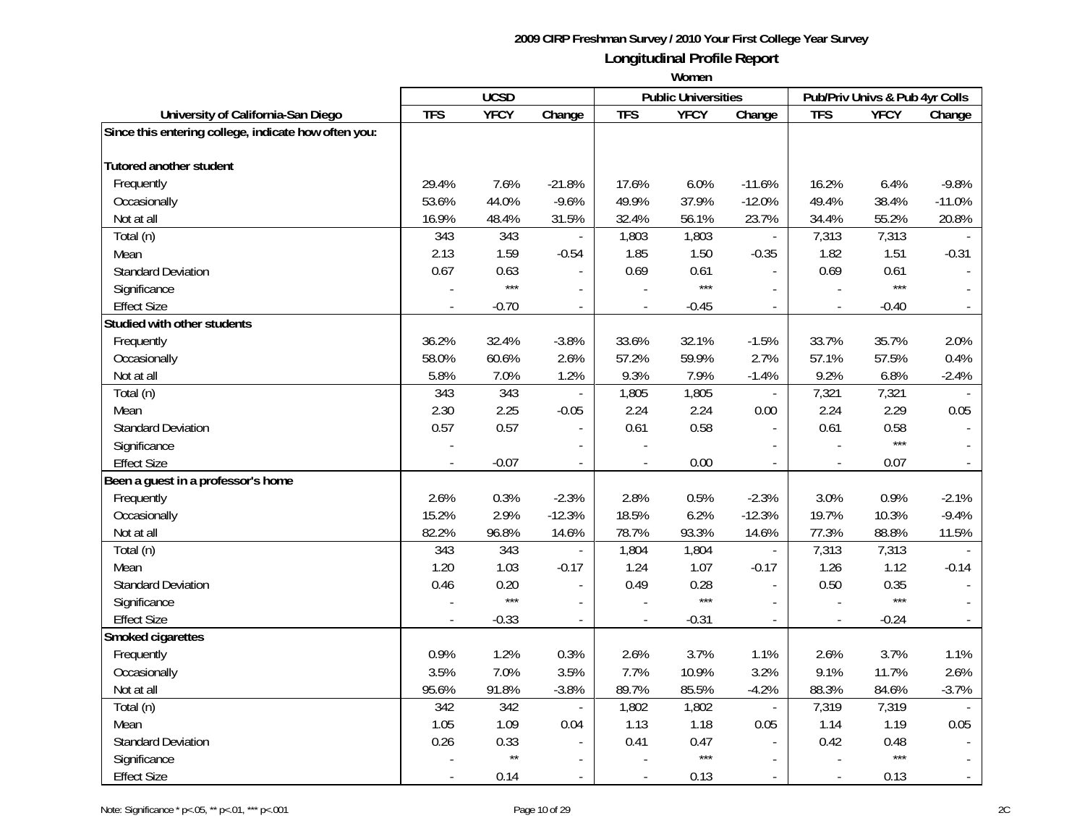|                                                      |              | <b>UCSD</b>   |                          |                | <b>Public Universities</b> |                          | Pub/Priv Univs & Pub 4yr Colls |               |              |
|------------------------------------------------------|--------------|---------------|--------------------------|----------------|----------------------------|--------------------------|--------------------------------|---------------|--------------|
| University of California-San Diego                   | <b>TFS</b>   | <b>YFCY</b>   | Change                   | <b>TFS</b>     | <b>YFCY</b>                | Change                   | <b>TFS</b>                     | <b>YFCY</b>   | Change       |
| Since this entering college, indicate how often you: |              |               |                          |                |                            |                          |                                |               |              |
| <b>Tutored another student</b>                       |              |               |                          |                |                            |                          |                                |               |              |
| Frequently                                           | 29.4%        | 7.6%          | $-21.8%$                 | 17.6%          | 6.0%                       | $-11.6%$                 | 16.2%                          | 6.4%          | $-9.8%$      |
| Occasionally                                         | 53.6%        | 44.0%         | $-9.6%$                  | 49.9%          | 37.9%                      | $-12.0%$                 | 49.4%                          | 38.4%         | $-11.0%$     |
|                                                      |              |               |                          |                |                            |                          |                                |               |              |
| Not at all                                           | 16.9%<br>343 | 48.4%         | 31.5%                    | 32.4%          | 56.1%                      | 23.7%                    | 34.4%                          | 55.2%         | 20.8%        |
| Total (n)                                            | 2.13         | 343<br>1.59   | $\blacksquare$           | 1,803<br>1.85  | 1,803                      | $\overline{\phantom{a}}$ | 7,313<br>1.82                  | 7,313<br>1.51 |              |
| Mean                                                 |              |               | $-0.54$                  |                | 1.50                       | $-0.35$                  |                                |               | $-0.31$      |
| <b>Standard Deviation</b>                            | 0.67         | 0.63<br>$***$ |                          | 0.69           | 0.61<br>$***$              |                          | 0.69                           | 0.61<br>$***$ |              |
| Significance                                         |              |               |                          |                |                            |                          |                                |               |              |
| <b>Effect Size</b>                                   |              | $-0.70$       | $\overline{\phantom{a}}$ |                | $-0.45$                    | $\mathbf{r}$             | $\overline{\phantom{a}}$       | $-0.40$       |              |
| Studied with other students                          |              |               |                          |                |                            |                          |                                |               |              |
| Frequently                                           | 36.2%        | 32.4%         | $-3.8%$                  | 33.6%          | 32.1%                      | $-1.5%$                  | 33.7%                          | 35.7%         | 2.0%         |
| Occasionally                                         | 58.0%        | 60.6%         | 2.6%                     | 57.2%          | 59.9%                      | 2.7%                     | 57.1%                          | 57.5%         | 0.4%         |
| Not at all                                           | 5.8%         | 7.0%          | 1.2%                     | 9.3%           | 7.9%                       | $-1.4%$                  | 9.2%                           | 6.8%          | $-2.4%$      |
| Total (n)                                            | 343          | 343           | $\overline{\phantom{a}}$ | 1,805          | 1,805                      | $\overline{\phantom{a}}$ | 7,321                          | 7,321         |              |
| Mean                                                 | 2.30         | 2.25          | $-0.05$                  | 2.24           | 2.24                       | 0.00                     | 2.24                           | 2.29          | 0.05         |
| <b>Standard Deviation</b>                            | 0.57         | 0.57          | $\overline{\phantom{a}}$ | 0.61           | 0.58                       | $\sim$                   | 0.61                           | 0.58          |              |
| Significance                                         |              |               |                          |                |                            |                          |                                | $***$         |              |
| <b>Effect Size</b>                                   |              | $-0.07$       | $\overline{a}$           |                | 0.00                       | $\mathbf{r}$             |                                | 0.07          |              |
| Been a guest in a professor's home                   |              |               |                          |                |                            |                          |                                |               |              |
| Frequently                                           | 2.6%         | 0.3%          | $-2.3%$                  | 2.8%           | 0.5%                       | $-2.3%$                  | 3.0%                           | 0.9%          | $-2.1%$      |
| Occasionally                                         | 15.2%        | 2.9%          | $-12.3%$                 | 18.5%          | 6.2%                       | $-12.3%$                 | 19.7%                          | 10.3%         | $-9.4%$      |
| Not at all                                           | 82.2%        | 96.8%         | 14.6%                    | 78.7%          | 93.3%                      | 14.6%                    | 77.3%                          | 88.8%         | 11.5%        |
| Total (n)                                            | 343          | 343           | $\overline{\phantom{a}}$ | 1,804          | 1,804                      | $\Box$                   | 7,313                          | 7,313         |              |
| Mean                                                 | 1.20         | 1.03          | $-0.17$                  | 1.24           | 1.07                       | $-0.17$                  | 1.26                           | 1.12          | $-0.14$      |
| <b>Standard Deviation</b>                            | 0.46         | 0.20          | $\blacksquare$           | 0.49           | 0.28                       | $\mathbb{L}$             | 0.50                           | 0.35          |              |
| Significance                                         |              | $***$         | $\blacksquare$           |                | $***$                      | $\overline{a}$           |                                | $***$         |              |
| <b>Effect Size</b>                                   |              | $-0.33$       | $\overline{a}$           | $\overline{a}$ | $-0.31$                    | $\sim$                   | $\overline{\phantom{a}}$       | $-0.24$       |              |
| Smoked cigarettes                                    |              |               |                          |                |                            |                          |                                |               |              |
| Frequently                                           | 0.9%         | 1.2%          | 0.3%                     | 2.6%           | 3.7%                       | 1.1%                     | 2.6%                           | 3.7%          | 1.1%         |
| Occasionally                                         | 3.5%         | 7.0%          | 3.5%                     | 7.7%           | 10.9%                      | 3.2%                     | 9.1%                           | 11.7%         | 2.6%         |
| Not at all                                           | 95.6%        | 91.8%         | $-3.8%$                  | 89.7%          | 85.5%                      | $-4.2%$                  | 88.3%                          | 84.6%         | $-3.7%$      |
| Total (n)                                            | 342          | 342           | $\overline{\phantom{a}}$ | 1,802          | 1,802                      | $\Box$                   | 7,319                          | 7,319         |              |
| Mean                                                 | 1.05         | 1.09          | 0.04                     | 1.13           | 1.18                       | 0.05                     | 1.14                           | 1.19          | 0.05         |
| <b>Standard Deviation</b>                            | 0.26         | 0.33          | $\blacksquare$           | 0.41           | 0.47                       | $\sim$                   | 0.42                           | 0.48          |              |
| Significance                                         |              | $\star\star$  |                          |                | $***$                      |                          |                                | $***$         |              |
| <b>Effect Size</b>                                   |              | 0.14          | $\overline{a}$           | $\sim$         | 0.13                       | $\sim$                   | $\blacksquare$                 | 0.13          | $\mathbb{L}$ |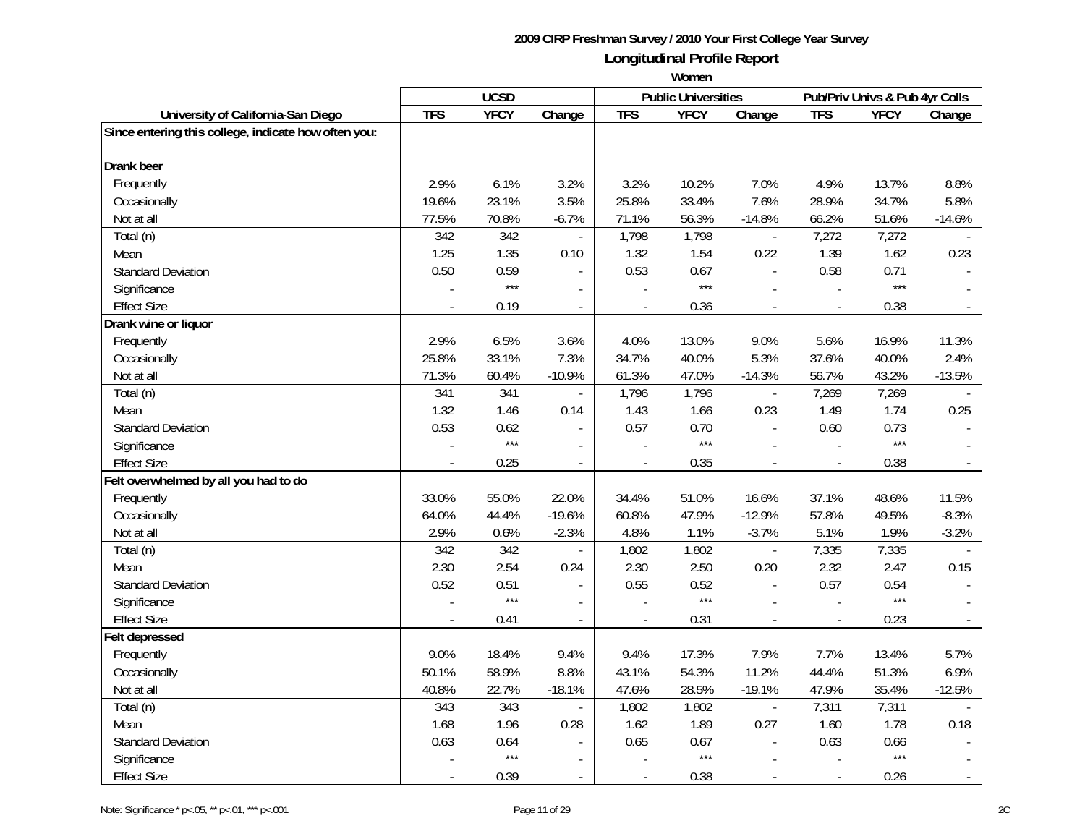|                                                      |            | <b>UCSD</b> |                          |                | <b>Public Universities</b> |                          |                          | Pub/Priv Univs & Pub 4yr Colls |              |
|------------------------------------------------------|------------|-------------|--------------------------|----------------|----------------------------|--------------------------|--------------------------|--------------------------------|--------------|
| University of California-San Diego                   | <b>TFS</b> | <b>YFCY</b> | Change                   | <b>TFS</b>     | <b>YFCY</b>                | Change                   | <b>TFS</b>               | <b>YFCY</b>                    | Change       |
| Since entering this college, indicate how often you: |            |             |                          |                |                            |                          |                          |                                |              |
| <b>Drank</b> beer                                    |            |             |                          |                |                            |                          |                          |                                |              |
| Frequently                                           | 2.9%       | 6.1%        | 3.2%                     | 3.2%           | 10.2%                      | 7.0%                     | 4.9%                     | 13.7%                          | 8.8%         |
| Occasionally                                         | 19.6%      | 23.1%       | 3.5%                     | 25.8%          | 33.4%                      | 7.6%                     | 28.9%                    | 34.7%                          | 5.8%         |
| Not at all                                           | 77.5%      | 70.8%       | $-6.7%$                  | 71.1%          | 56.3%                      | $-14.8%$                 | 66.2%                    | 51.6%                          | $-14.6%$     |
| Total (n)                                            | 342        | 342         | $\overline{\phantom{a}}$ | 1,798          | 1,798                      | $\overline{\phantom{a}}$ | 7,272                    | 7,272                          |              |
| Mean                                                 | 1.25       | 1.35        | 0.10                     | 1.32           | 1.54                       | 0.22                     | 1.39                     | 1.62                           | 0.23         |
| <b>Standard Deviation</b>                            | 0.50       | 0.59        |                          | 0.53           | 0.67                       |                          | 0.58                     | 0.71                           |              |
| Significance                                         |            | $***$       |                          |                | $***$                      |                          |                          | $***$                          |              |
| <b>Effect Size</b>                                   |            | 0.19        | $\overline{a}$           |                | 0.36                       |                          | $\overline{\phantom{a}}$ | 0.38                           |              |
| Drank wine or liquor                                 |            |             |                          |                |                            |                          |                          |                                |              |
| Frequently                                           | 2.9%       | 6.5%        | 3.6%                     | 4.0%           | 13.0%                      | 9.0%                     | 5.6%                     | 16.9%                          | 11.3%        |
| Occasionally                                         | 25.8%      | 33.1%       | 7.3%                     | 34.7%          | 40.0%                      | 5.3%                     | 37.6%                    | 40.0%                          | 2.4%         |
| Not at all                                           | 71.3%      | 60.4%       | $-10.9%$                 | 61.3%          | 47.0%                      | $-14.3%$                 | 56.7%                    | 43.2%                          | $-13.5%$     |
| Total (n)                                            | 341        | 341         | $\overline{\phantom{a}}$ | 1,796          | 1,796                      | $\overline{\phantom{a}}$ | 7,269                    | 7,269                          |              |
| Mean                                                 | 1.32       | 1.46        | 0.14                     | 1.43           | 1.66                       | 0.23                     | 1.49                     | 1.74                           | 0.25         |
| <b>Standard Deviation</b>                            | 0.53       | 0.62        | $\overline{\phantom{a}}$ | 0.57           | 0.70                       | $\sim$                   | 0.60                     | 0.73                           |              |
| Significance                                         |            | $***$       |                          |                | $***$                      |                          |                          | $***$                          |              |
| <b>Effect Size</b>                                   |            | 0.25        | $\blacksquare$           |                | 0.35                       | $\mathcal{L}$            |                          | 0.38                           |              |
| Felt overwhelmed by all you had to do                |            |             |                          |                |                            |                          |                          |                                |              |
| Frequently                                           | 33.0%      | 55.0%       | 22.0%                    | 34.4%          | 51.0%                      | 16.6%                    | 37.1%                    | 48.6%                          | 11.5%        |
| Occasionally                                         | 64.0%      | 44.4%       | $-19.6%$                 | 60.8%          | 47.9%                      | $-12.9%$                 | 57.8%                    | 49.5%                          | $-8.3%$      |
| Not at all                                           | 2.9%       | 0.6%        | $-2.3%$                  | 4.8%           | 1.1%                       | $-3.7%$                  | 5.1%                     | 1.9%                           | $-3.2%$      |
| Total (n)                                            | 342        | 342         |                          | 1,802          | 1,802                      | $\overline{a}$           | 7,335                    | 7,335                          |              |
| Mean                                                 | 2.30       | 2.54        | 0.24                     | 2.30           | 2.50                       | 0.20                     | 2.32                     | 2.47                           | 0.15         |
| <b>Standard Deviation</b>                            | 0.52       | 0.51        | $\blacksquare$           | 0.55           | 0.52                       | $\overline{a}$           | 0.57                     | 0.54                           |              |
| Significance                                         |            | $***$       | $\blacksquare$           |                | $***$                      |                          |                          | $***$                          |              |
| <b>Effect Size</b>                                   |            | 0.41        | $\overline{a}$           | $\overline{a}$ | 0.31                       |                          | $\overline{a}$           | 0.23                           |              |
| Felt depressed                                       |            |             |                          |                |                            |                          |                          |                                |              |
| Frequently                                           | 9.0%       | 18.4%       | 9.4%                     | 9.4%           | 17.3%                      | 7.9%                     | 7.7%                     | 13.4%                          | 5.7%         |
| Occasionally                                         | 50.1%      | 58.9%       | 8.8%                     | 43.1%          | 54.3%                      | 11.2%                    | 44.4%                    | 51.3%                          | 6.9%         |
| Not at all                                           | 40.8%      | 22.7%       | $-18.1%$                 | 47.6%          | 28.5%                      | $-19.1%$                 | 47.9%                    | 35.4%                          | $-12.5%$     |
| Total (n)                                            | 343        | 343         | $\overline{\phantom{a}}$ | 1,802          | 1,802                      | $\overline{\phantom{a}}$ | 7,311                    | 7,311                          |              |
| Mean                                                 | 1.68       | 1.96        | 0.28                     | 1.62           | 1.89                       | 0.27                     | 1.60                     | 1.78                           | 0.18         |
| <b>Standard Deviation</b>                            | 0.63       | 0.64        | $\blacksquare$           | 0.65           | 0.67                       | $\overline{\phantom{a}}$ | 0.63                     | 0.66                           |              |
| Significance                                         |            | $***$       |                          |                | $***$                      |                          |                          | $***$                          |              |
| <b>Effect Size</b>                                   |            | 0.39        | $\overline{a}$           | $\sim$         | 0.38                       | $\sim$                   | $\blacksquare$           | 0.26                           | $\mathbb{L}$ |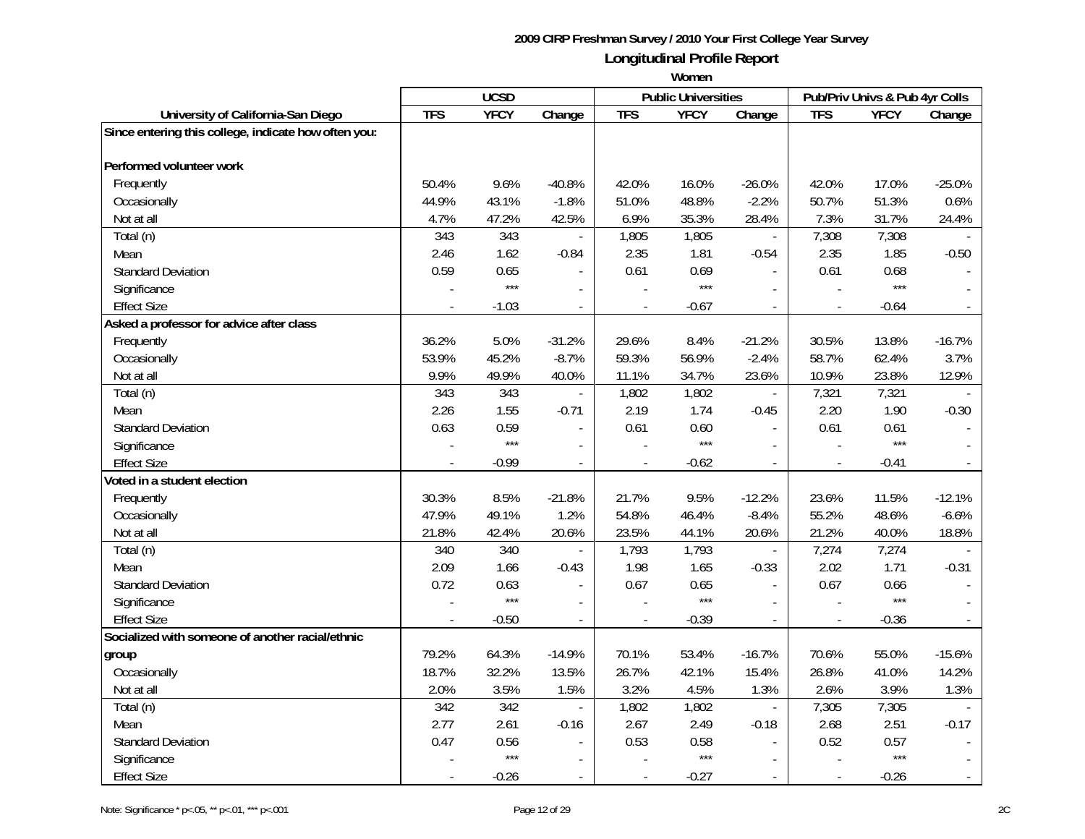|                                                      |            | <b>UCSD</b> |                |                          | <b>Public Universities</b> |                          |                          | Pub/Priv Univs & Pub 4yr Colls |                |
|------------------------------------------------------|------------|-------------|----------------|--------------------------|----------------------------|--------------------------|--------------------------|--------------------------------|----------------|
| University of California-San Diego                   | <b>TFS</b> | <b>YFCY</b> | Change         | <b>TFS</b>               | <b>YFCY</b>                | Change                   | <b>TFS</b>               | <b>YFCY</b>                    | Change         |
| Since entering this college, indicate how often you: |            |             |                |                          |                            |                          |                          |                                |                |
| Performed volunteer work                             |            |             |                |                          |                            |                          |                          |                                |                |
| Frequently                                           | 50.4%      | 9.6%        | $-40.8%$       | 42.0%                    | 16.0%                      | $-26.0%$                 | 42.0%                    | 17.0%                          | $-25.0%$       |
| Occasionally                                         | 44.9%      | 43.1%       | $-1.8%$        | 51.0%                    | 48.8%                      | $-2.2%$                  | 50.7%                    | 51.3%                          | 0.6%           |
| Not at all                                           | 4.7%       | 47.2%       | 42.5%          | 6.9%                     | 35.3%                      | 28.4%                    | 7.3%                     | 31.7%                          | 24.4%          |
| Total (n)                                            | 343        | 343         |                | 1,805                    | 1,805                      | $\overline{\phantom{a}}$ | 7,308                    | 7,308                          |                |
| Mean                                                 | 2.46       | 1.62        | $-0.84$        | 2.35                     | 1.81                       | $-0.54$                  | 2.35                     | 1.85                           | $-0.50$        |
| <b>Standard Deviation</b>                            | 0.59       | 0.65        |                | 0.61                     | 0.69                       |                          | 0.61                     | 0.68                           |                |
| Significance                                         |            | $***$       |                |                          | $***$                      |                          |                          | $***$                          |                |
| <b>Effect Size</b>                                   |            | $-1.03$     | $\blacksquare$ |                          | $-0.67$                    |                          |                          | $-0.64$                        |                |
| Asked a professor for advice after class             |            |             |                |                          |                            |                          |                          |                                |                |
| Frequently                                           | 36.2%      | 5.0%        | $-31.2%$       | 29.6%                    | 8.4%                       | $-21.2%$                 | 30.5%                    | 13.8%                          | $-16.7%$       |
| Occasionally                                         | 53.9%      | 45.2%       | $-8.7%$        | 59.3%                    | 56.9%                      | $-2.4%$                  | 58.7%                    | 62.4%                          | 3.7%           |
| Not at all                                           | 9.9%       | 49.9%       | 40.0%          | 11.1%                    | 34.7%                      | 23.6%                    | 10.9%                    | 23.8%                          | 12.9%          |
| Total (n)                                            | 343        | 343         |                | 1,802                    | 1,802                      | $\overline{\phantom{a}}$ | 7,321                    | 7,321                          |                |
| Mean                                                 | 2.26       | 1.55        | $-0.71$        | 2.19                     | 1.74                       | $-0.45$                  | 2.20                     | 1.90                           | $-0.30$        |
| <b>Standard Deviation</b>                            | 0.63       | 0.59        |                | 0.61                     | 0.60                       | $\blacksquare$           | 0.61                     | 0.61                           |                |
| Significance                                         |            | $***$       |                |                          | $***$                      |                          |                          | $***$                          |                |
| <b>Effect Size</b>                                   |            | $-0.99$     | $\overline{a}$ | $\overline{a}$           | $-0.62$                    | $\mathcal{L}$            | $\frac{1}{2}$            | $-0.41$                        |                |
| Voted in a student election                          |            |             |                |                          |                            |                          |                          |                                |                |
| Frequently                                           | 30.3%      | 8.5%        | $-21.8%$       | 21.7%                    | 9.5%                       | $-12.2%$                 | 23.6%                    | 11.5%                          | $-12.1%$       |
| Occasionally                                         | 47.9%      | 49.1%       | 1.2%           | 54.8%                    | 46.4%                      | $-8.4%$                  | 55.2%                    | 48.6%                          | $-6.6%$        |
| Not at all                                           | 21.8%      | 42.4%       | 20.6%          | 23.5%                    | 44.1%                      | 20.6%                    | 21.2%                    | 40.0%                          | 18.8%          |
| Total (n)                                            | 340        | 340         |                | 1,793                    | 1,793                      |                          | 7,274                    | 7,274                          |                |
| Mean                                                 | 2.09       | 1.66        | $-0.43$        | 1.98                     | 1.65                       | $-0.33$                  | 2.02                     | 1.71                           | $-0.31$        |
| <b>Standard Deviation</b>                            | 0.72       | 0.63        |                | 0.67                     | 0.65                       |                          | 0.67                     | 0.66                           |                |
| Significance                                         |            | $***$       | $\overline{a}$ |                          | $***$                      |                          |                          | $***$                          |                |
| <b>Effect Size</b>                                   |            | $-0.50$     | $\blacksquare$ | $\overline{a}$           | $-0.39$                    | $\blacksquare$           | $\overline{\phantom{a}}$ | $-0.36$                        |                |
| Socialized with someone of another racial/ethnic     |            |             |                |                          |                            |                          |                          |                                |                |
| group                                                | 79.2%      | 64.3%       | $-14.9%$       | 70.1%                    | 53.4%                      | $-16.7%$                 | 70.6%                    | 55.0%                          | $-15.6%$       |
| Occasionally                                         | 18.7%      | 32.2%       | 13.5%          | 26.7%                    | 42.1%                      | 15.4%                    | 26.8%                    | 41.0%                          | 14.2%          |
| Not at all                                           | 2.0%       | 3.5%        | 1.5%           | 3.2%                     | 4.5%                       | 1.3%                     | 2.6%                     | 3.9%                           | 1.3%           |
| Total (n)                                            | 342        | 342         | $\overline{a}$ | 1,802                    | 1,802                      | $\Box$                   | 7,305                    | 7,305                          |                |
| Mean                                                 | 2.77       | 2.61        | $-0.16$        | 2.67                     | 2.49                       | $-0.18$                  | 2.68                     | 2.51                           | $-0.17$        |
| <b>Standard Deviation</b>                            | 0.47       | 0.56        | $\blacksquare$ | 0.53                     | 0.58                       | $\blacksquare$           | 0.52                     | 0.57                           |                |
| Significance                                         |            | $***$       |                |                          | $***$                      |                          |                          | ***                            |                |
| <b>Effect Size</b>                                   |            | $-0.26$     | $\sim$         | $\overline{\phantom{a}}$ | $-0.27$                    | $\sim$                   | $\overline{a}$           | $-0.26$                        | $\blacksquare$ |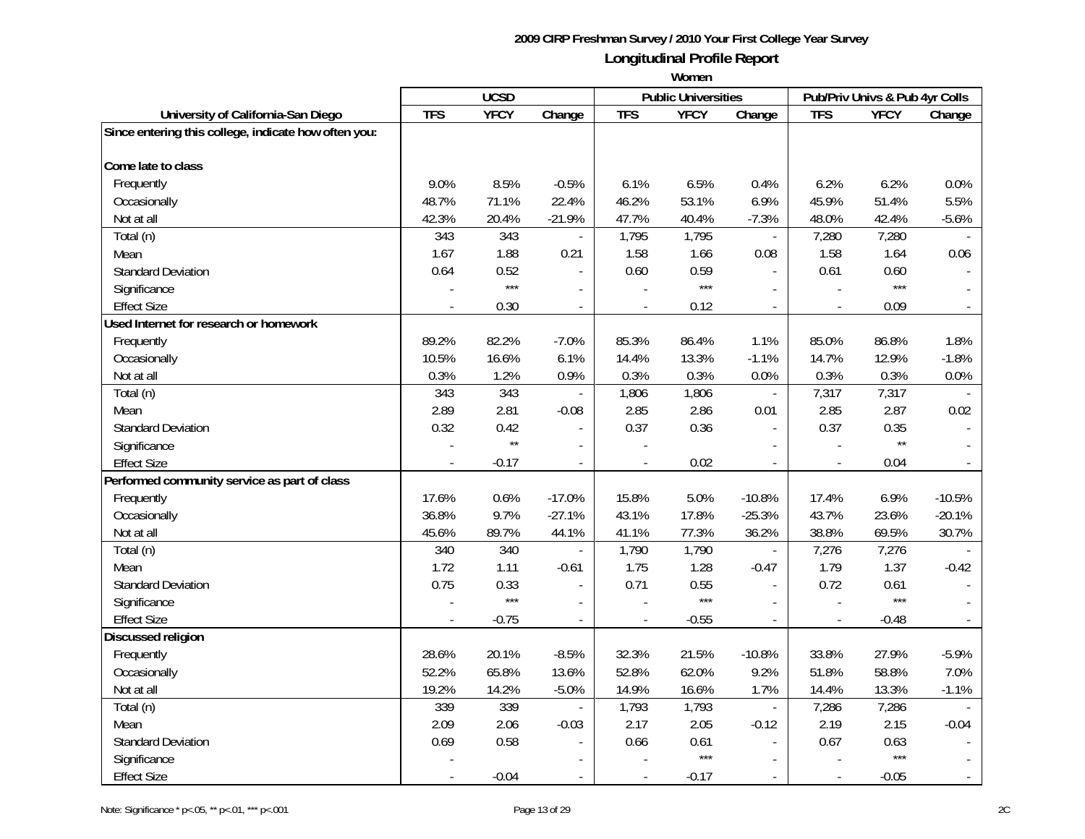|                                                      | <b>UCSD</b> |              |                | <b>Public Universities</b> |             | Pub/Priv Univs & Pub 4yr Colls |                |              |          |
|------------------------------------------------------|-------------|--------------|----------------|----------------------------|-------------|--------------------------------|----------------|--------------|----------|
| University of California-San Diego                   | <b>TFS</b>  | <b>YFCY</b>  | Change         | <b>TFS</b>                 | <b>YFCY</b> | Change                         | <b>TFS</b>     | <b>YFCY</b>  | Change   |
| Since entering this college, indicate how often you: |             |              |                |                            |             |                                |                |              |          |
| Come late to class                                   |             |              |                |                            |             |                                |                |              |          |
| Frequently                                           | 9.0%        | 8.5%         | $-0.5%$        | 6.1%                       | 6.5%        | 0.4%                           | 6.2%           | 6.2%         | 0.0%     |
| Occasionally                                         | 48.7%       | 71.1%        | 22.4%          | 46.2%                      | 53.1%       | 6.9%                           | 45.9%          | 51.4%        | 5.5%     |
| Not at all                                           | 42.3%       | 20.4%        | $-21.9%$       | 47.7%                      | 40.4%       | $-7.3%$                        | 48.0%          | 42.4%        | $-5.6%$  |
| Total (n)                                            | 343         | 343          | $\overline{a}$ | 1,795                      | 1,795       | $\overline{a}$                 | 7,280          | 7,280        |          |
| Mean                                                 | 1.67        | 1.88         | 0.21           | 1.58                       | 1.66        | 0.08                           | 1.58           | 1.64         | 0.06     |
| <b>Standard Deviation</b>                            | 0.64        | 0.52         |                | 0.60                       | 0.59        |                                | 0.61           | 0.60         |          |
| Significance                                         |             | $***$        |                |                            | $***$       |                                |                | $***$        |          |
| <b>Effect Size</b>                                   |             | 0.30         | $\overline{a}$ |                            | 0.12        |                                | $\overline{a}$ | 0.09         |          |
| Used Internet for research or homework               |             |              |                |                            |             |                                |                |              |          |
| Frequently                                           | 89.2%       | 82.2%        | $-7.0%$        | 85.3%                      | 86.4%       | 1.1%                           | 85.0%          | 86.8%        | 1.8%     |
| Occasionally                                         | 10.5%       | 16.6%        | 6.1%           | 14.4%                      | 13.3%       | $-1.1%$                        | 14.7%          | 12.9%        | $-1.8%$  |
| Not at all                                           | 0.3%        | 1.2%         | 0.9%           | 0.3%                       | 0.3%        | 0.0%                           | 0.3%           | 0.3%         | 0.0%     |
| Total (n)                                            | 343         | 343          |                | 1,806                      | 1,806       | $\overline{\phantom{a}}$       | 7,317          | 7,317        |          |
| Mean                                                 | 2.89        | 2.81         | $-0.08$        | 2.85                       | 2.86        | 0.01                           | 2.85           | 2.87         | 0.02     |
| <b>Standard Deviation</b>                            | 0.32        | 0.42         | $\blacksquare$ | 0.37                       | 0.36        | $\blacksquare$                 | 0.37           | 0.35         |          |
| Significance                                         |             | $\star\star$ |                |                            |             |                                |                | $\star\star$ |          |
| <b>Effect Size</b>                                   |             | $-0.17$      | $\overline{a}$ |                            | 0.02        |                                |                | 0.04         |          |
| Performed community service as part of class         |             |              |                |                            |             |                                |                |              |          |
| Frequently                                           | 17.6%       | 0.6%         | $-17.0%$       | 15.8%                      | 5.0%        | $-10.8%$                       | 17.4%          | 6.9%         | $-10.5%$ |
| Occasionally                                         | 36.8%       | 9.7%         | $-27.1%$       | 43.1%                      | 17.8%       | $-25.3%$                       | 43.7%          | 23.6%        | $-20.1%$ |
| Not at all                                           | 45.6%       | 89.7%        | 44.1%          | 41.1%                      | 77.3%       | 36.2%                          | 38.8%          | 69.5%        | 30.7%    |
| Total (n)                                            | 340         | 340          |                | 1,790                      | 1,790       | $\blacksquare$                 | 7,276          | 7,276        |          |
| Mean                                                 | 1.72        | 1.11         | $-0.61$        | 1.75                       | 1.28        | $-0.47$                        | 1.79           | 1.37         | $-0.42$  |
| <b>Standard Deviation</b>                            | 0.75        | 0.33         | $\blacksquare$ | 0.71                       | 0.55        |                                | 0.72           | 0.61         |          |
| Significance                                         |             | $***$        | $\overline{a}$ |                            | $***$       |                                |                | $***$        |          |
| <b>Effect Size</b>                                   |             | $-0.75$      | $\blacksquare$ |                            | $-0.55$     |                                | $\overline{a}$ | $-0.48$      |          |
| Discussed religion                                   |             |              |                |                            |             |                                |                |              |          |
| Frequently                                           | 28.6%       | 20.1%        | $-8.5%$        | 32.3%                      | 21.5%       | $-10.8%$                       | 33.8%          | 27.9%        | $-5.9%$  |
| Occasionally                                         | 52.2%       | 65.8%        | 13.6%          | 52.8%                      | 62.0%       | 9.2%                           | 51.8%          | 58.8%        | 7.0%     |
| Not at all                                           | 19.2%       | 14.2%        | $-5.0%$        | 14.9%                      | 16.6%       | 1.7%                           | 14.4%          | 13.3%        | $-1.1%$  |
| Total (n)                                            | 339         | 339          | $\overline{a}$ | 1,793                      | 1,793       | $\overline{\phantom{a}}$       | 7,286          | 7,286        |          |
| Mean                                                 | 2.09        | 2.06         | $-0.03$        | 2.17                       | 2.05        | $-0.12$                        | 2.19           | 2.15         | $-0.04$  |
| <b>Standard Deviation</b>                            | 0.69        | 0.58         | $\blacksquare$ | 0.66                       | 0.61        | $\blacksquare$                 | 0.67           | 0.63         |          |
| Significance                                         |             |              |                |                            | $***$       |                                |                | $***$        |          |
| <b>Effect Size</b>                                   |             | $-0.04$      | $\sim$         | $\overline{\phantom{a}}$   | $-0.17$     | $\sim$                         | $\overline{a}$ | $-0.05$      |          |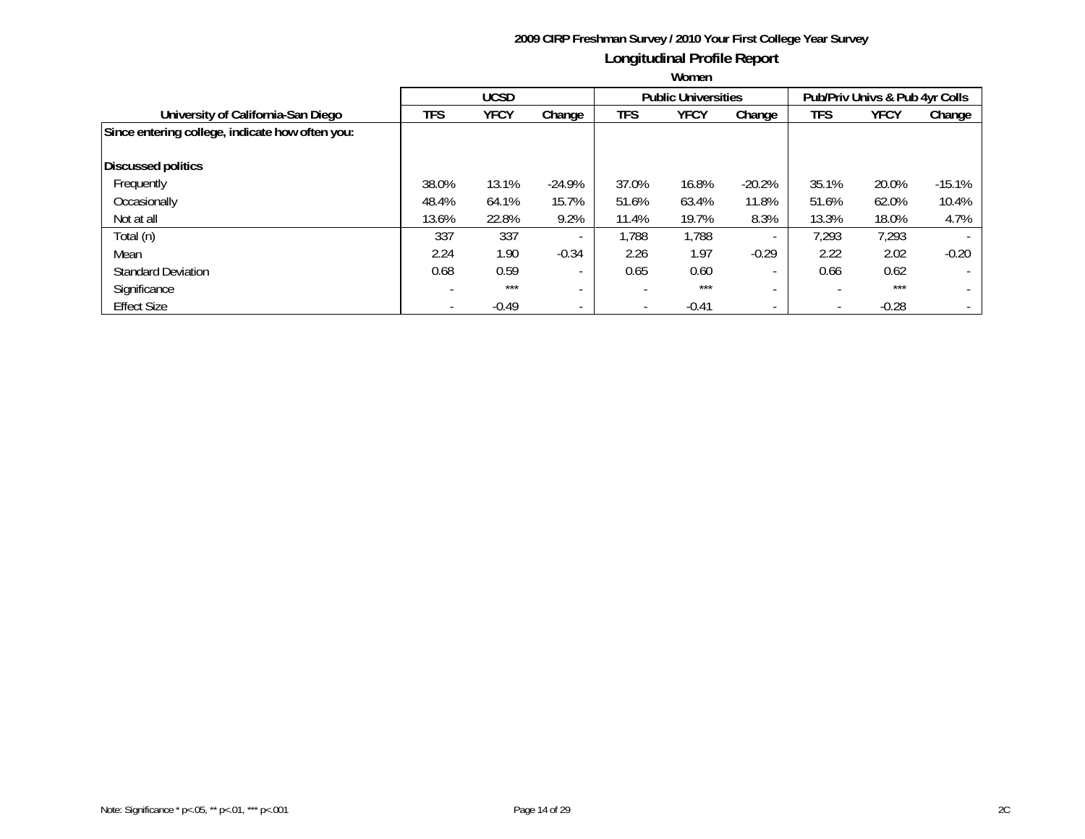|                                                 |            | <b>UCSD</b> |                          |                          | <b>Public Universities</b> |                          | Pub/Priv Univs & Pub 4yr Colls |             |          |
|-------------------------------------------------|------------|-------------|--------------------------|--------------------------|----------------------------|--------------------------|--------------------------------|-------------|----------|
| University of California-San Diego              | <b>TFS</b> | <b>YFCY</b> | Change                   | TFS                      | <b>YFCY</b>                | Change                   | TFS                            | <b>YFCY</b> | Change   |
| Since entering college, indicate how often you: |            |             |                          |                          |                            |                          |                                |             |          |
| <b>Discussed politics</b>                       |            |             |                          |                          |                            |                          |                                |             |          |
| Frequently                                      | 38.0%      | 13.1%       | $-24.9%$                 | 37.0%                    | 16.8%                      | $-20.2%$                 | 35.1%                          | 20.0%       | $-15.1%$ |
| Occasionally                                    | 48.4%      | 64.1%       | 15.7%                    | 51.6%                    | 63.4%                      | 11.8%                    | 51.6%                          | 62.0%       | 10.4%    |
| Not at all                                      | 13.6%      | 22.8%       | 9.2%                     | 11.4%                    | 19.7%                      | 8.3%                     | 13.3%                          | 18.0%       | 4.7%     |
| Total (n)                                       | 337        | 337         | $\overline{\phantom{a}}$ | 1,788                    | 1,788                      |                          | 7,293                          | 7,293       |          |
| Mean                                            | 2.24       | 1.90        | $-0.34$                  | 2.26                     | 1.97                       | $-0.29$                  | 2.22                           | 2.02        | $-0.20$  |
| <b>Standard Deviation</b>                       | 0.68       | 0.59        | $\overline{\phantom{a}}$ | 0.65                     | 0.60                       |                          | 0.66                           | 0.62        |          |
| Significance                                    |            | $***$       | $\overline{\phantom{0}}$ | $\overline{\phantom{a}}$ | $***$                      |                          | $\overline{\phantom{0}}$       | $***$       |          |
| <b>Effect Size</b>                              |            | $-0.49$     | $\overline{\phantom{a}}$ | $\overline{\phantom{a}}$ | $-0.41$                    | $\overline{\phantom{a}}$ | $\overline{\phantom{a}}$       | $-0.28$     |          |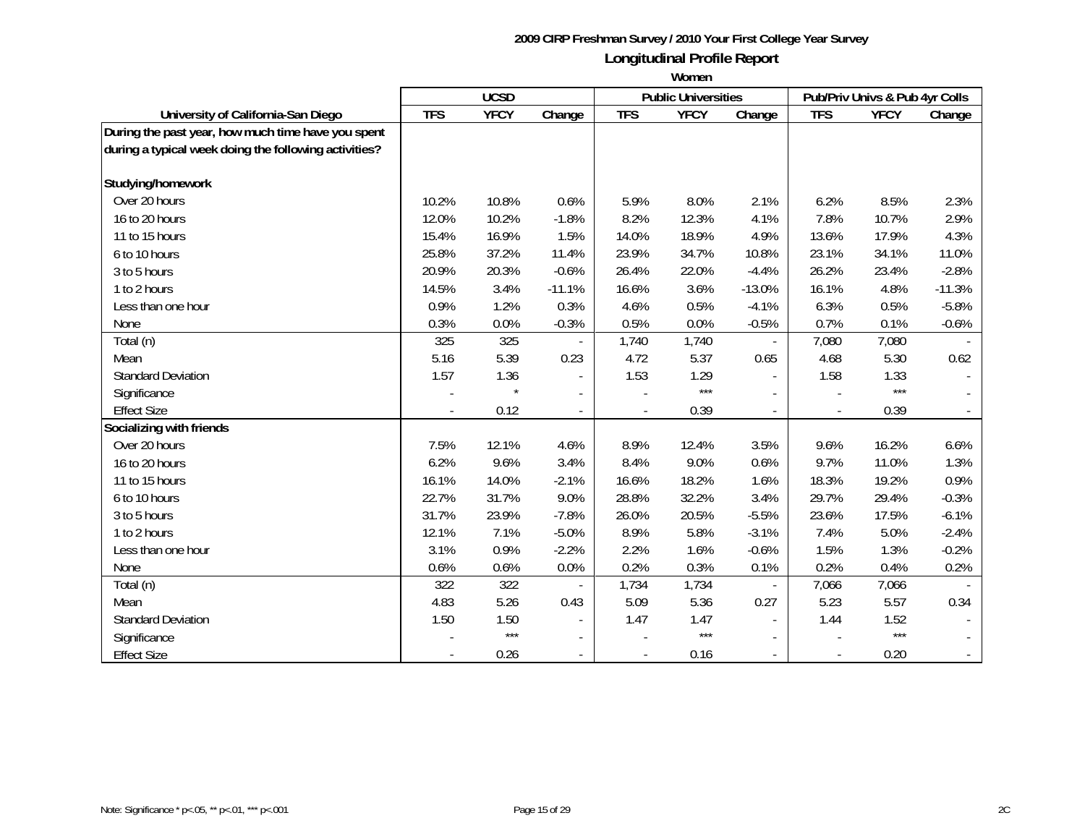|                                                       | <b>UCSD</b> |             |                          |                          | <b>Public Universities</b> |          | Pub/Priv Univs & Pub 4yr Colls |             |          |
|-------------------------------------------------------|-------------|-------------|--------------------------|--------------------------|----------------------------|----------|--------------------------------|-------------|----------|
| University of California-San Diego                    | <b>TFS</b>  | <b>YFCY</b> | Change                   | <b>TFS</b>               | <b>YFCY</b>                | Change   | <b>TFS</b>                     | <b>YFCY</b> | Change   |
| During the past year, how much time have you spent    |             |             |                          |                          |                            |          |                                |             |          |
| during a typical week doing the following activities? |             |             |                          |                          |                            |          |                                |             |          |
|                                                       |             |             |                          |                          |                            |          |                                |             |          |
| Studying/homework                                     |             |             |                          |                          |                            |          |                                |             |          |
| Over 20 hours                                         | 10.2%       | 10.8%       | 0.6%                     | 5.9%                     | 8.0%                       | 2.1%     | 6.2%                           | 8.5%        | 2.3%     |
| 16 to 20 hours                                        | 12.0%       | 10.2%       | $-1.8%$                  | 8.2%                     | 12.3%                      | 4.1%     | 7.8%                           | 10.7%       | 2.9%     |
| 11 to 15 hours                                        | 15.4%       | 16.9%       | 1.5%                     | 14.0%                    | 18.9%                      | 4.9%     | 13.6%                          | 17.9%       | 4.3%     |
| 6 to 10 hours                                         | 25.8%       | 37.2%       | 11.4%                    | 23.9%                    | 34.7%                      | 10.8%    | 23.1%                          | 34.1%       | 11.0%    |
| 3 to 5 hours                                          | 20.9%       | 20.3%       | $-0.6%$                  | 26.4%                    | 22.0%                      | $-4.4%$  | 26.2%                          | 23.4%       | $-2.8%$  |
| 1 to 2 hours                                          | 14.5%       | 3.4%        | $-11.1%$                 | 16.6%                    | 3.6%                       | $-13.0%$ | 16.1%                          | 4.8%        | $-11.3%$ |
| Less than one hour                                    | 0.9%        | 1.2%        | 0.3%                     | 4.6%                     | 0.5%                       | $-4.1%$  | 6.3%                           | 0.5%        | $-5.8%$  |
| None                                                  | 0.3%        | 0.0%        | $-0.3%$                  | 0.5%                     | 0.0%                       | $-0.5%$  | 0.7%                           | 0.1%        | $-0.6%$  |
| Total (n)                                             | 325         | 325         |                          | 1,740                    | 1,740                      |          | 7,080                          | 7,080       |          |
| Mean                                                  | 5.16        | 5.39        | 0.23                     | 4.72                     | 5.37                       | 0.65     | 4.68                           | 5.30        | 0.62     |
| <b>Standard Deviation</b>                             | 1.57        | 1.36        | $\overline{\phantom{a}}$ | 1.53                     | 1.29                       |          | 1.58                           | 1.33        |          |
| Significance                                          |             |             | $\blacksquare$           |                          | $***$                      |          |                                | $***$       |          |
| <b>Effect Size</b>                                    |             | 0.12        | $\overline{\phantom{a}}$ | $\overline{\phantom{a}}$ | 0.39                       |          | $\overline{\phantom{a}}$       | 0.39        |          |
| Socializing with friends                              |             |             |                          |                          |                            |          |                                |             |          |
| Over 20 hours                                         | 7.5%        | 12.1%       | 4.6%                     | 8.9%                     | 12.4%                      | 3.5%     | 9.6%                           | 16.2%       | 6.6%     |
| 16 to 20 hours                                        | 6.2%        | 9.6%        | 3.4%                     | 8.4%                     | 9.0%                       | 0.6%     | 9.7%                           | 11.0%       | 1.3%     |
| 11 to 15 hours                                        | 16.1%       | 14.0%       | $-2.1%$                  | 16.6%                    | 18.2%                      | 1.6%     | 18.3%                          | 19.2%       | 0.9%     |
| 6 to 10 hours                                         | 22.7%       | 31.7%       | 9.0%                     | 28.8%                    | 32.2%                      | 3.4%     | 29.7%                          | 29.4%       | $-0.3%$  |
| 3 to 5 hours                                          | 31.7%       | 23.9%       | $-7.8%$                  | 26.0%                    | 20.5%                      | $-5.5%$  | 23.6%                          | 17.5%       | $-6.1%$  |
| 1 to 2 hours                                          | 12.1%       | 7.1%        | $-5.0%$                  | 8.9%                     | 5.8%                       | $-3.1%$  | 7.4%                           | 5.0%        | $-2.4%$  |
| Less than one hour                                    | 3.1%        | 0.9%        | $-2.2%$                  | 2.2%                     | 1.6%                       | $-0.6%$  | 1.5%                           | 1.3%        | $-0.2%$  |
| None                                                  | 0.6%        | 0.6%        | 0.0%                     | 0.2%                     | 0.3%                       | 0.1%     | 0.2%                           | 0.4%        | 0.2%     |
| Total (n)                                             | 322         | 322         |                          | 1,734                    | 1,734                      |          | 7,066                          | 7,066       |          |
| Mean                                                  | 4.83        | 5.26        | 0.43                     | 5.09                     | 5.36                       | 0.27     | 5.23                           | 5.57        | 0.34     |
| <b>Standard Deviation</b>                             | 1.50        | 1.50        | $\blacksquare$           | 1.47                     | 1.47                       |          | 1.44                           | 1.52        |          |
| Significance                                          |             | $***$       |                          |                          | $***$                      |          |                                | $***$       |          |
| <b>Effect Size</b>                                    |             | 0.26        | $\overline{\phantom{a}}$ | $\overline{\phantom{a}}$ | 0.16                       |          |                                | 0.20        |          |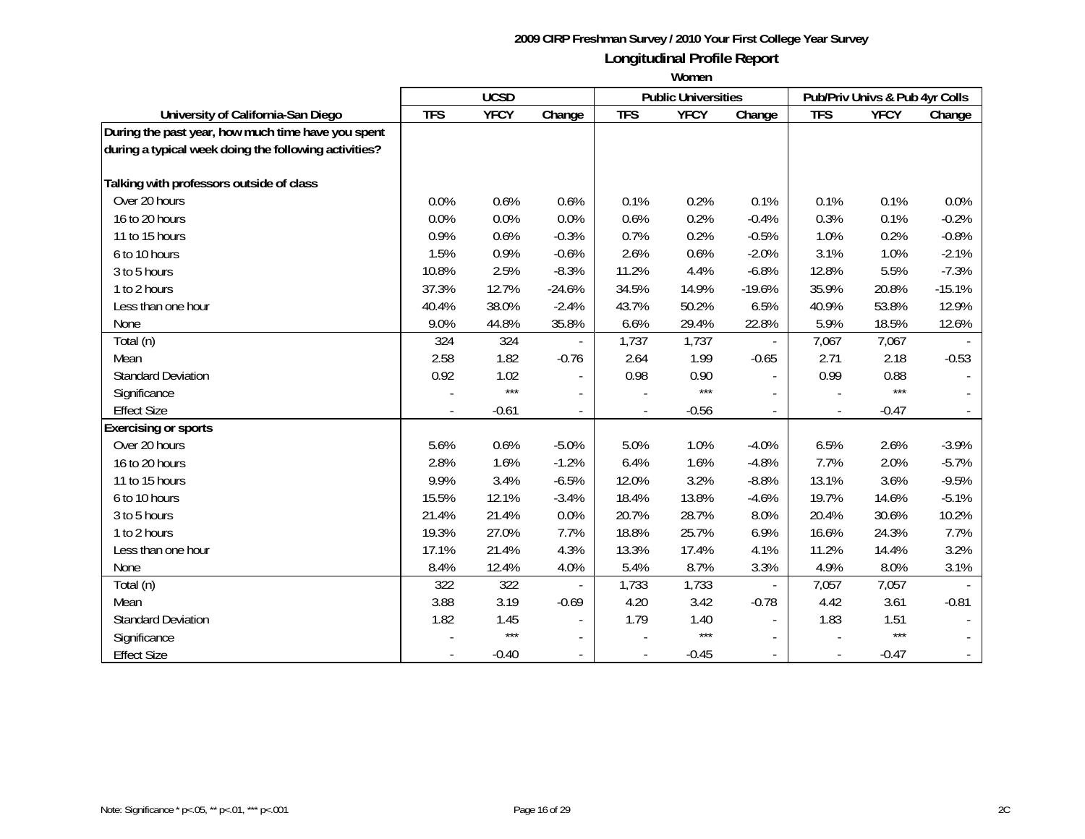|                                                       | <b>UCSD</b> |             |                          |                          | <b>Public Universities</b> |          | Pub/Priv Univs & Pub 4yr Colls |             |          |
|-------------------------------------------------------|-------------|-------------|--------------------------|--------------------------|----------------------------|----------|--------------------------------|-------------|----------|
| University of California-San Diego                    | <b>TFS</b>  | <b>YFCY</b> | Change                   | <b>TFS</b>               | <b>YFCY</b>                | Change   | <b>TFS</b>                     | <b>YFCY</b> | Change   |
| During the past year, how much time have you spent    |             |             |                          |                          |                            |          |                                |             |          |
| during a typical week doing the following activities? |             |             |                          |                          |                            |          |                                |             |          |
|                                                       |             |             |                          |                          |                            |          |                                |             |          |
| Talking with professors outside of class              |             |             |                          |                          |                            |          |                                |             |          |
| Over 20 hours                                         | 0.0%        | 0.6%        | 0.6%                     | 0.1%                     | 0.2%                       | 0.1%     | 0.1%                           | 0.1%        | 0.0%     |
| 16 to 20 hours                                        | 0.0%        | 0.0%        | 0.0%                     | 0.6%                     | 0.2%                       | $-0.4%$  | 0.3%                           | 0.1%        | $-0.2%$  |
| 11 to 15 hours                                        | 0.9%        | 0.6%        | $-0.3%$                  | 0.7%                     | 0.2%                       | $-0.5%$  | 1.0%                           | 0.2%        | $-0.8%$  |
| 6 to 10 hours                                         | 1.5%        | 0.9%        | $-0.6%$                  | 2.6%                     | 0.6%                       | $-2.0%$  | 3.1%                           | 1.0%        | $-2.1%$  |
| 3 to 5 hours                                          | 10.8%       | 2.5%        | $-8.3%$                  | 11.2%                    | 4.4%                       | $-6.8%$  | 12.8%                          | 5.5%        | $-7.3%$  |
| 1 to 2 hours                                          | 37.3%       | 12.7%       | $-24.6%$                 | 34.5%                    | 14.9%                      | $-19.6%$ | 35.9%                          | 20.8%       | $-15.1%$ |
| Less than one hour                                    | 40.4%       | 38.0%       | $-2.4%$                  | 43.7%                    | 50.2%                      | 6.5%     | 40.9%                          | 53.8%       | 12.9%    |
| None                                                  | 9.0%        | 44.8%       | 35.8%                    | 6.6%                     | 29.4%                      | 22.8%    | 5.9%                           | 18.5%       | 12.6%    |
| Total (n)                                             | 324         | 324         |                          | 1,737                    | 1,737                      |          | 7,067                          | 7,067       |          |
| Mean                                                  | 2.58        | 1.82        | $-0.76$                  | 2.64                     | 1.99                       | $-0.65$  | 2.71                           | 2.18        | $-0.53$  |
| <b>Standard Deviation</b>                             | 0.92        | 1.02        |                          | 0.98                     | 0.90                       |          | 0.99                           | 0.88        |          |
| Significance                                          |             | $***$       |                          |                          | $***$                      |          |                                | $***$       |          |
| <b>Effect Size</b>                                    |             | $-0.61$     | $\overline{\phantom{a}}$ |                          | $-0.56$                    |          |                                | $-0.47$     |          |
| <b>Exercising or sports</b>                           |             |             |                          |                          |                            |          |                                |             |          |
| Over 20 hours                                         | 5.6%        | 0.6%        | $-5.0%$                  | 5.0%                     | 1.0%                       | $-4.0%$  | 6.5%                           | 2.6%        | $-3.9%$  |
| 16 to 20 hours                                        | 2.8%        | 1.6%        | $-1.2%$                  | 6.4%                     | 1.6%                       | $-4.8%$  | 7.7%                           | 2.0%        | $-5.7%$  |
| 11 to 15 hours                                        | 9.9%        | 3.4%        | $-6.5%$                  | 12.0%                    | 3.2%                       | $-8.8%$  | 13.1%                          | 3.6%        | $-9.5%$  |
| 6 to 10 hours                                         | 15.5%       | 12.1%       | $-3.4%$                  | 18.4%                    | 13.8%                      | $-4.6%$  | 19.7%                          | 14.6%       | $-5.1%$  |
| 3 to 5 hours                                          | 21.4%       | 21.4%       | 0.0%                     | 20.7%                    | 28.7%                      | 8.0%     | 20.4%                          | 30.6%       | 10.2%    |
| 1 to 2 hours                                          | 19.3%       | 27.0%       | 7.7%                     | 18.8%                    | 25.7%                      | 6.9%     | 16.6%                          | 24.3%       | 7.7%     |
| Less than one hour                                    | 17.1%       | 21.4%       | 4.3%                     | 13.3%                    | 17.4%                      | 4.1%     | 11.2%                          | 14.4%       | 3.2%     |
| <b>None</b>                                           | 8.4%        | 12.4%       | 4.0%                     | 5.4%                     | 8.7%                       | 3.3%     | 4.9%                           | 8.0%        | 3.1%     |
| Total (n)                                             | 322         | 322         |                          | 1,733                    | 1,733                      |          | 7,057                          | 7,057       |          |
| Mean                                                  | 3.88        | 3.19        | $-0.69$                  | 4.20                     | 3.42                       | $-0.78$  | 4.42                           | 3.61        | $-0.81$  |
| <b>Standard Deviation</b>                             | 1.82        | 1.45        | $\blacksquare$           | 1.79                     | 1.40                       |          | 1.83                           | 1.51        |          |
| Significance                                          |             | $***$       |                          |                          | $***$                      |          |                                | ***         |          |
| <b>Effect Size</b>                                    |             | $-0.40$     |                          | $\overline{\phantom{a}}$ | $-0.45$                    |          |                                | $-0.47$     |          |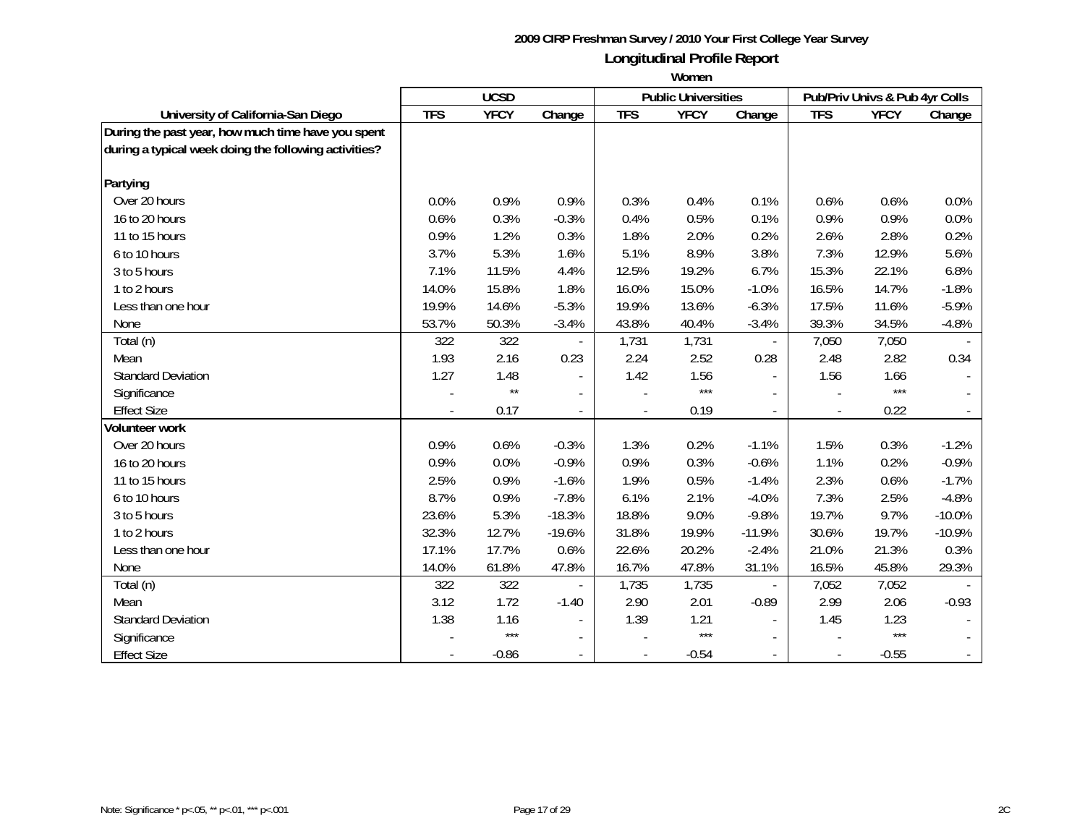|                                                       | <b>UCSD</b> |              |                          | <b>Public Universities</b> |             | Pub/Priv Univs & Pub 4yr Colls |            |             |          |
|-------------------------------------------------------|-------------|--------------|--------------------------|----------------------------|-------------|--------------------------------|------------|-------------|----------|
| University of California-San Diego                    | <b>TFS</b>  | <b>YFCY</b>  | Change                   | <b>TFS</b>                 | <b>YFCY</b> | Change                         | <b>TFS</b> | <b>YFCY</b> | Change   |
| During the past year, how much time have you spent    |             |              |                          |                            |             |                                |            |             |          |
| during a typical week doing the following activities? |             |              |                          |                            |             |                                |            |             |          |
|                                                       |             |              |                          |                            |             |                                |            |             |          |
| Partying                                              |             |              |                          |                            |             |                                |            |             |          |
| Over 20 hours                                         | 0.0%        | 0.9%         | 0.9%                     | 0.3%                       | 0.4%        | 0.1%                           | 0.6%       | 0.6%        | 0.0%     |
| 16 to 20 hours                                        | 0.6%        | 0.3%         | $-0.3%$                  | 0.4%                       | 0.5%        | 0.1%                           | 0.9%       | 0.9%        | 0.0%     |
| 11 to 15 hours                                        | 0.9%        | 1.2%         | 0.3%                     | 1.8%                       | 2.0%        | 0.2%                           | 2.6%       | 2.8%        | 0.2%     |
| 6 to 10 hours                                         | 3.7%        | 5.3%         | 1.6%                     | 5.1%                       | 8.9%        | 3.8%                           | 7.3%       | 12.9%       | 5.6%     |
| 3 to 5 hours                                          | 7.1%        | 11.5%        | 4.4%                     | 12.5%                      | 19.2%       | 6.7%                           | 15.3%      | 22.1%       | 6.8%     |
| 1 to 2 hours                                          | 14.0%       | 15.8%        | 1.8%                     | 16.0%                      | 15.0%       | $-1.0%$                        | 16.5%      | 14.7%       | $-1.8%$  |
| Less than one hour                                    | 19.9%       | 14.6%        | $-5.3%$                  | 19.9%                      | 13.6%       | $-6.3%$                        | 17.5%      | 11.6%       | $-5.9%$  |
| None                                                  | 53.7%       | 50.3%        | $-3.4%$                  | 43.8%                      | 40.4%       | $-3.4%$                        | 39.3%      | 34.5%       | $-4.8%$  |
| Total (n)                                             | 322         | 322          |                          | 1,731                      | 1,731       |                                | 7,050      | 7,050       |          |
| Mean                                                  | 1.93        | 2.16         | 0.23                     | 2.24                       | 2.52        | 0.28                           | 2.48       | 2.82        | 0.34     |
| <b>Standard Deviation</b>                             | 1.27        | 1.48         | $\blacksquare$           | 1.42                       | 1.56        |                                | 1.56       | 1.66        |          |
| Significance                                          |             | $\star\star$ | $\overline{\phantom{a}}$ |                            | $***$       |                                |            | $***$       |          |
| <b>Effect Size</b>                                    |             | 0.17         | $\overline{\phantom{a}}$ |                            | 0.19        |                                |            | 0.22        |          |
| Volunteer work                                        |             |              |                          |                            |             |                                |            |             |          |
| Over 20 hours                                         | 0.9%        | 0.6%         | $-0.3%$                  | 1.3%                       | 0.2%        | $-1.1%$                        | 1.5%       | 0.3%        | $-1.2%$  |
| 16 to 20 hours                                        | 0.9%        | 0.0%         | $-0.9%$                  | 0.9%                       | 0.3%        | $-0.6%$                        | 1.1%       | 0.2%        | $-0.9%$  |
| 11 to 15 hours                                        | 2.5%        | 0.9%         | $-1.6%$                  | 1.9%                       | 0.5%        | $-1.4%$                        | 2.3%       | 0.6%        | $-1.7%$  |
| 6 to 10 hours                                         | 8.7%        | 0.9%         | $-7.8%$                  | 6.1%                       | 2.1%        | $-4.0%$                        | 7.3%       | 2.5%        | $-4.8%$  |
| 3 to 5 hours                                          | 23.6%       | 5.3%         | $-18.3%$                 | 18.8%                      | 9.0%        | $-9.8%$                        | 19.7%      | 9.7%        | $-10.0%$ |
| 1 to 2 hours                                          | 32.3%       | 12.7%        | $-19.6%$                 | 31.8%                      | 19.9%       | $-11.9%$                       | 30.6%      | 19.7%       | $-10.9%$ |
| Less than one hour                                    | 17.1%       | 17.7%        | 0.6%                     | 22.6%                      | 20.2%       | $-2.4%$                        | 21.0%      | 21.3%       | 0.3%     |
| None                                                  | 14.0%       | 61.8%        | 47.8%                    | 16.7%                      | 47.8%       | 31.1%                          | 16.5%      | 45.8%       | 29.3%    |
| Total (n)                                             | 322         | 322          |                          | 1,735                      | 1,735       |                                | 7,052      | 7,052       |          |
| Mean                                                  | 3.12        | 1.72         | $-1.40$                  | 2.90                       | 2.01        | $-0.89$                        | 2.99       | 2.06        | $-0.93$  |
| <b>Standard Deviation</b>                             | 1.38        | 1.16         | $\blacksquare$           | 1.39                       | 1.21        |                                | 1.45       | 1.23        |          |
| Significance                                          |             | $***$        |                          |                            | $***$       |                                |            | $***$       |          |
| <b>Effect Size</b>                                    |             | $-0.86$      | $\overline{\phantom{a}}$ |                            | $-0.54$     |                                |            | $-0.55$     |          |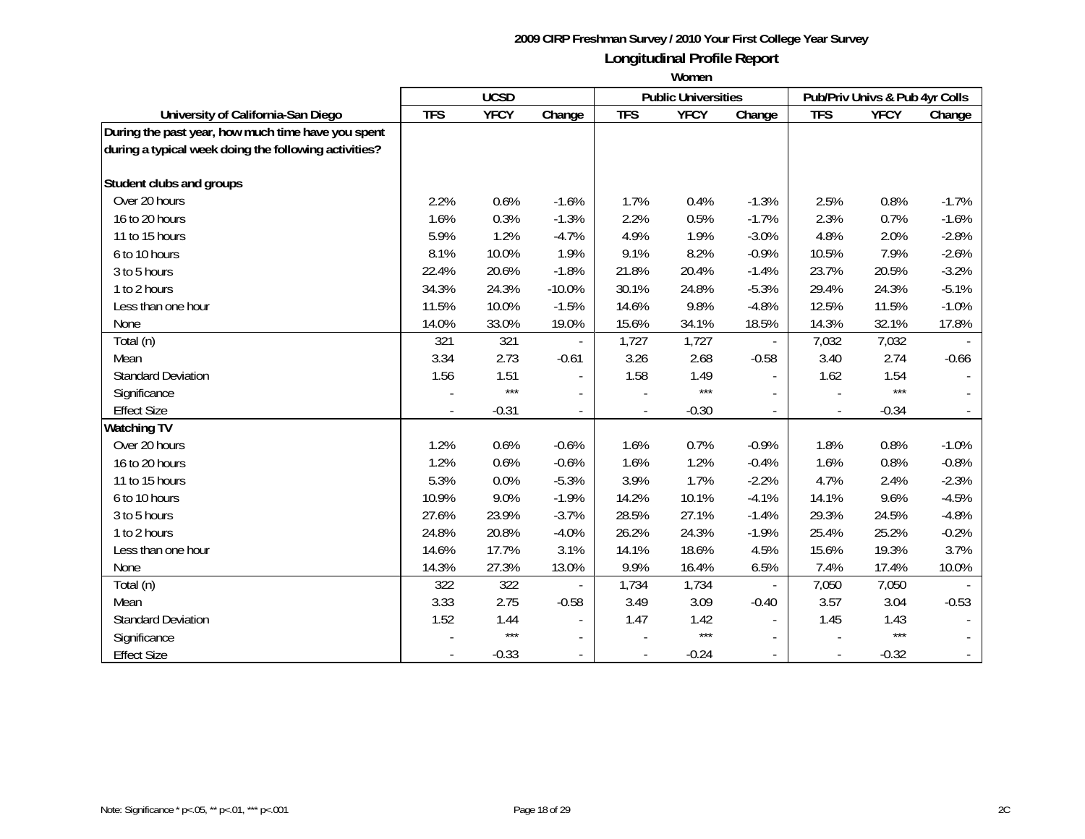|                                                       | <b>UCSD</b> |             |                          | <b>Public Universities</b> |             | Pub/Priv Univs & Pub 4yr Colls |            |             |         |
|-------------------------------------------------------|-------------|-------------|--------------------------|----------------------------|-------------|--------------------------------|------------|-------------|---------|
| University of California-San Diego                    | <b>TFS</b>  | <b>YFCY</b> | Change                   | <b>TFS</b>                 | <b>YFCY</b> | Change                         | <b>TFS</b> | <b>YFCY</b> | Change  |
| During the past year, how much time have you spent    |             |             |                          |                            |             |                                |            |             |         |
| during a typical week doing the following activities? |             |             |                          |                            |             |                                |            |             |         |
|                                                       |             |             |                          |                            |             |                                |            |             |         |
| Student clubs and groups                              |             |             |                          |                            |             |                                |            |             |         |
| Over 20 hours                                         | 2.2%        | 0.6%        | $-1.6%$                  | 1.7%                       | 0.4%        | $-1.3%$                        | 2.5%       | 0.8%        | $-1.7%$ |
| 16 to 20 hours                                        | 1.6%        | 0.3%        | $-1.3%$                  | 2.2%                       | 0.5%        | $-1.7%$                        | 2.3%       | 0.7%        | $-1.6%$ |
| 11 to 15 hours                                        | 5.9%        | 1.2%        | $-4.7%$                  | 4.9%                       | 1.9%        | $-3.0%$                        | 4.8%       | 2.0%        | $-2.8%$ |
| 6 to 10 hours                                         | 8.1%        | 10.0%       | 1.9%                     | 9.1%                       | 8.2%        | $-0.9%$                        | 10.5%      | 7.9%        | $-2.6%$ |
| 3 to 5 hours                                          | 22.4%       | 20.6%       | $-1.8%$                  | 21.8%                      | 20.4%       | $-1.4%$                        | 23.7%      | 20.5%       | $-3.2%$ |
| 1 to 2 hours                                          | 34.3%       | 24.3%       | $-10.0%$                 | 30.1%                      | 24.8%       | $-5.3%$                        | 29.4%      | 24.3%       | $-5.1%$ |
| Less than one hour                                    | 11.5%       | 10.0%       | $-1.5%$                  | 14.6%                      | 9.8%        | $-4.8%$                        | 12.5%      | 11.5%       | $-1.0%$ |
| None                                                  | 14.0%       | 33.0%       | 19.0%                    | 15.6%                      | 34.1%       | 18.5%                          | 14.3%      | 32.1%       | 17.8%   |
| Total (n)                                             | 321         | 321         |                          | 1,727                      | 1,727       |                                | 7,032      | 7,032       |         |
| Mean                                                  | 3.34        | 2.73        | $-0.61$                  | 3.26                       | 2.68        | $-0.58$                        | 3.40       | 2.74        | $-0.66$ |
| <b>Standard Deviation</b>                             | 1.56        | 1.51        | $\blacksquare$           | 1.58                       | 1.49        |                                | 1.62       | 1.54        |         |
| Significance                                          |             | $***$       | $\overline{\phantom{a}}$ |                            | $***$       |                                |            | $***$       |         |
| <b>Effect Size</b>                                    |             | $-0.31$     | $\overline{\phantom{a}}$ |                            | $-0.30$     |                                |            | $-0.34$     |         |
| <b>Watching TV</b>                                    |             |             |                          |                            |             |                                |            |             |         |
| Over 20 hours                                         | 1.2%        | 0.6%        | $-0.6%$                  | 1.6%                       | 0.7%        | $-0.9%$                        | 1.8%       | 0.8%        | $-1.0%$ |
| 16 to 20 hours                                        | 1.2%        | 0.6%        | $-0.6%$                  | 1.6%                       | 1.2%        | $-0.4%$                        | 1.6%       | 0.8%        | $-0.8%$ |
| 11 to 15 hours                                        | 5.3%        | 0.0%        | $-5.3%$                  | 3.9%                       | 1.7%        | $-2.2%$                        | 4.7%       | 2.4%        | $-2.3%$ |
| 6 to 10 hours                                         | 10.9%       | 9.0%        | $-1.9%$                  | 14.2%                      | 10.1%       | $-4.1%$                        | 14.1%      | 9.6%        | $-4.5%$ |
| 3 to 5 hours                                          | 27.6%       | 23.9%       | $-3.7%$                  | 28.5%                      | 27.1%       | $-1.4%$                        | 29.3%      | 24.5%       | $-4.8%$ |
| 1 to 2 hours                                          | 24.8%       | 20.8%       | $-4.0%$                  | 26.2%                      | 24.3%       | $-1.9%$                        | 25.4%      | 25.2%       | $-0.2%$ |
| Less than one hour                                    | 14.6%       | 17.7%       | 3.1%                     | 14.1%                      | 18.6%       | 4.5%                           | 15.6%      | 19.3%       | 3.7%    |
| None                                                  | 14.3%       | 27.3%       | 13.0%                    | 9.9%                       | 16.4%       | 6.5%                           | 7.4%       | 17.4%       | 10.0%   |
| Total (n)                                             | 322         | 322         |                          | 1,734                      | 1,734       |                                | 7,050      | 7,050       |         |
| Mean                                                  | 3.33        | 2.75        | $-0.58$                  | 3.49                       | 3.09        | $-0.40$                        | 3.57       | 3.04        | $-0.53$ |
| <b>Standard Deviation</b>                             | 1.52        | 1.44        |                          | 1.47                       | 1.42        |                                | 1.45       | 1.43        |         |
| Significance                                          |             | $***$       |                          |                            | $***$       |                                |            | $***$       |         |
| <b>Effect Size</b>                                    |             | $-0.33$     | $\sim$                   |                            | $-0.24$     |                                |            | $-0.32$     |         |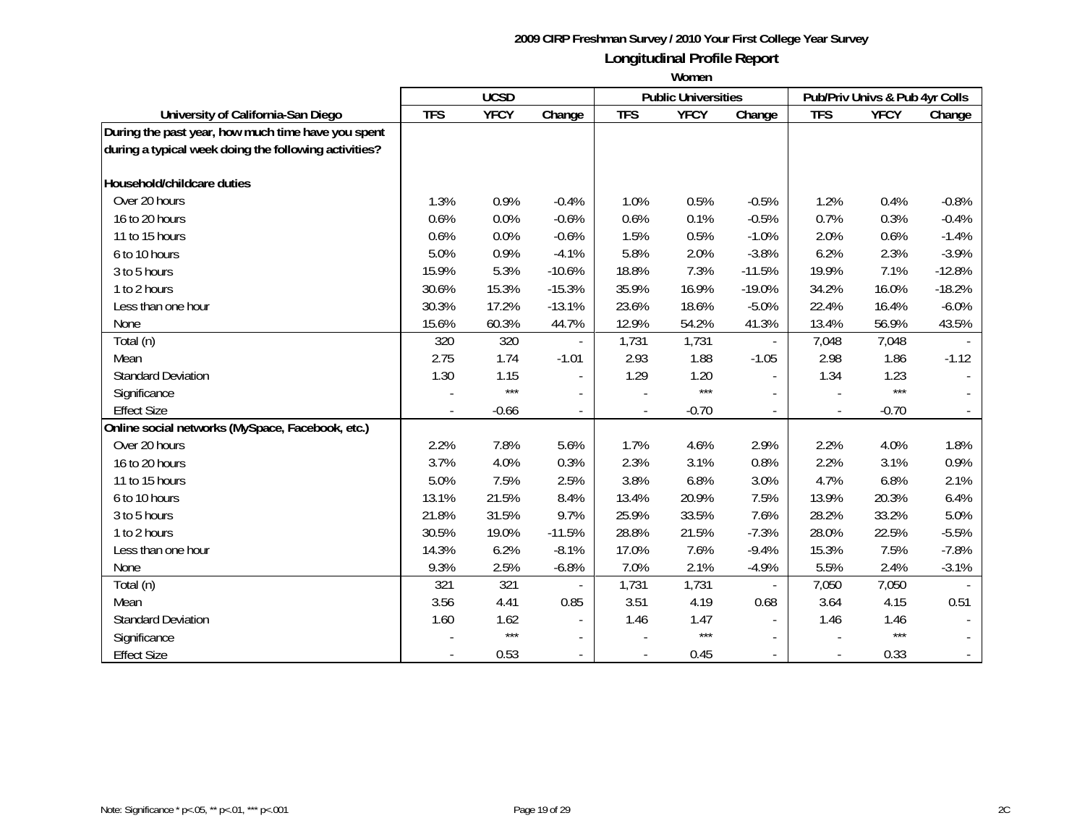|                                                       | <b>UCSD</b> |             |                          |                          | <b>Public Universities</b> |          | Pub/Priv Univs & Pub 4yr Colls |             |          |
|-------------------------------------------------------|-------------|-------------|--------------------------|--------------------------|----------------------------|----------|--------------------------------|-------------|----------|
| University of California-San Diego                    | <b>TFS</b>  | <b>YFCY</b> | Change                   | <b>TFS</b>               | <b>YFCY</b>                | Change   | <b>TFS</b>                     | <b>YFCY</b> | Change   |
| During the past year, how much time have you spent    |             |             |                          |                          |                            |          |                                |             |          |
| during a typical week doing the following activities? |             |             |                          |                          |                            |          |                                |             |          |
|                                                       |             |             |                          |                          |                            |          |                                |             |          |
| Household/childcare duties                            |             |             |                          |                          |                            |          |                                |             |          |
| Over 20 hours                                         | 1.3%        | 0.9%        | $-0.4%$                  | 1.0%                     | 0.5%                       | $-0.5%$  | 1.2%                           | 0.4%        | $-0.8%$  |
| 16 to 20 hours                                        | 0.6%        | 0.0%        | $-0.6%$                  | 0.6%                     | 0.1%                       | $-0.5%$  | 0.7%                           | 0.3%        | $-0.4%$  |
| 11 to 15 hours                                        | 0.6%        | 0.0%        | $-0.6%$                  | 1.5%                     | 0.5%                       | $-1.0%$  | 2.0%                           | 0.6%        | $-1.4%$  |
| 6 to 10 hours                                         | 5.0%        | 0.9%        | $-4.1%$                  | 5.8%                     | 2.0%                       | $-3.8%$  | 6.2%                           | 2.3%        | $-3.9%$  |
| 3 to 5 hours                                          | 15.9%       | 5.3%        | $-10.6%$                 | 18.8%                    | 7.3%                       | $-11.5%$ | 19.9%                          | 7.1%        | $-12.8%$ |
| 1 to 2 hours                                          | 30.6%       | 15.3%       | $-15.3%$                 | 35.9%                    | 16.9%                      | $-19.0%$ | 34.2%                          | 16.0%       | $-18.2%$ |
| Less than one hour                                    | 30.3%       | 17.2%       | $-13.1%$                 | 23.6%                    | 18.6%                      | $-5.0%$  | 22.4%                          | 16.4%       | $-6.0%$  |
| None                                                  | 15.6%       | 60.3%       | 44.7%                    | 12.9%                    | 54.2%                      | 41.3%    | 13.4%                          | 56.9%       | 43.5%    |
| Total (n)                                             | 320         | 320         |                          | 1,731                    | 1,731                      |          | 7,048                          | 7,048       |          |
| Mean                                                  | 2.75        | 1.74        | $-1.01$                  | 2.93                     | 1.88                       | $-1.05$  | 2.98                           | 1.86        | $-1.12$  |
| <b>Standard Deviation</b>                             | 1.30        | 1.15        | $\blacksquare$           | 1.29                     | 1.20                       |          | 1.34                           | 1.23        |          |
| Significance                                          |             | $***$       | $\overline{\phantom{a}}$ |                          | $***$                      |          |                                | $***$       |          |
| <b>Effect Size</b>                                    |             | $-0.66$     | $\overline{\phantom{a}}$ | $\overline{\phantom{a}}$ | $-0.70$                    |          | $\blacksquare$                 | $-0.70$     |          |
| Online social networks (MySpace, Facebook, etc.)      |             |             |                          |                          |                            |          |                                |             |          |
| Over 20 hours                                         | 2.2%        | 7.8%        | 5.6%                     | 1.7%                     | 4.6%                       | 2.9%     | 2.2%                           | 4.0%        | 1.8%     |
| 16 to 20 hours                                        | 3.7%        | 4.0%        | 0.3%                     | 2.3%                     | 3.1%                       | 0.8%     | 2.2%                           | 3.1%        | 0.9%     |
| 11 to 15 hours                                        | 5.0%        | 7.5%        | 2.5%                     | 3.8%                     | 6.8%                       | 3.0%     | 4.7%                           | 6.8%        | 2.1%     |
| 6 to 10 hours                                         | 13.1%       | 21.5%       | 8.4%                     | 13.4%                    | 20.9%                      | 7.5%     | 13.9%                          | 20.3%       | 6.4%     |
| 3 to 5 hours                                          | 21.8%       | 31.5%       | 9.7%                     | 25.9%                    | 33.5%                      | 7.6%     | 28.2%                          | 33.2%       | 5.0%     |
| 1 to 2 hours                                          | 30.5%       | 19.0%       | $-11.5%$                 | 28.8%                    | 21.5%                      | $-7.3%$  | 28.0%                          | 22.5%       | $-5.5%$  |
| Less than one hour                                    | 14.3%       | 6.2%        | $-8.1%$                  | 17.0%                    | 7.6%                       | $-9.4%$  | 15.3%                          | 7.5%        | $-7.8%$  |
| None                                                  | 9.3%        | 2.5%        | $-6.8%$                  | 7.0%                     | 2.1%                       | $-4.9%$  | 5.5%                           | 2.4%        | $-3.1%$  |
| Total (n)                                             | 321         | 321         |                          | 1,731                    | 1,731                      |          | 7,050                          | 7,050       |          |
| Mean                                                  | 3.56        | 4.41        | 0.85                     | 3.51                     | 4.19                       | 0.68     | 3.64                           | 4.15        | 0.51     |
| <b>Standard Deviation</b>                             | 1.60        | 1.62        |                          | 1.46                     | 1.47                       |          | 1.46                           | 1.46        |          |
| Significance                                          |             | $***$       |                          |                          | $***$                      |          |                                | $***$       |          |
| <b>Effect Size</b>                                    |             | 0.53        | $\blacksquare$           |                          | 0.45                       |          |                                | 0.33        |          |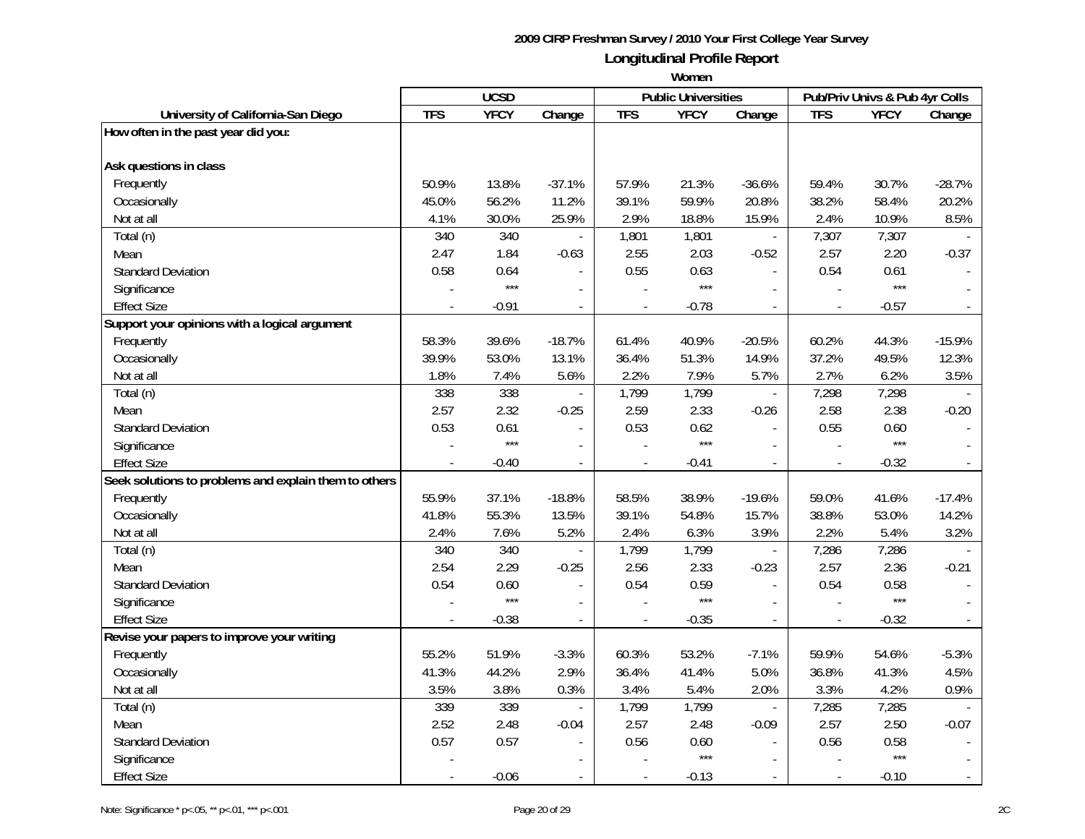|                                                       | <b>UCSD</b> |             |                | <b>Public Universities</b> |             | Pub/Priv Univs & Pub 4yr Colls |                          |             |              |
|-------------------------------------------------------|-------------|-------------|----------------|----------------------------|-------------|--------------------------------|--------------------------|-------------|--------------|
| University of California-San Diego                    | <b>TFS</b>  | <b>YFCY</b> | Change         | <b>TFS</b>                 | <b>YFCY</b> | Change                         | <b>TFS</b>               | <b>YFCY</b> | Change       |
| How often in the past year did you:                   |             |             |                |                            |             |                                |                          |             |              |
| Ask questions in class                                |             |             |                |                            |             |                                |                          |             |              |
| Frequently                                            | 50.9%       | 13.8%       | $-37.1%$       | 57.9%                      | 21.3%       | $-36.6%$                       | 59.4%                    | 30.7%       | $-28.7%$     |
| Occasionally                                          | 45.0%       | 56.2%       | 11.2%          | 39.1%                      | 59.9%       | 20.8%                          | 38.2%                    | 58.4%       | 20.2%        |
| Not at all                                            | 4.1%        | 30.0%       | 25.9%          | 2.9%                       | 18.8%       | 15.9%                          | 2.4%                     | 10.9%       | 8.5%         |
| Total (n)                                             | 340         | 340         |                | 1,801                      | 1,801       | $\overline{\phantom{a}}$       | 7,307                    | 7,307       |              |
| Mean                                                  | 2.47        | 1.84        | $-0.63$        | 2.55                       | 2.03        | $-0.52$                        | 2.57                     | 2.20        | $-0.37$      |
| <b>Standard Deviation</b>                             | 0.58        | 0.64        |                | 0.55                       | 0.63        |                                | 0.54                     | 0.61        |              |
| Significance                                          |             | $***$       |                |                            | $***$       |                                |                          | $***$       |              |
| <b>Effect Size</b>                                    |             | $-0.91$     | $\blacksquare$ |                            | $-0.78$     |                                | $\overline{\phantom{a}}$ | $-0.57$     |              |
| Support your opinions with a logical argument         |             |             |                |                            |             |                                |                          |             |              |
| Frequently                                            | 58.3%       | 39.6%       | $-18.7%$       | 61.4%                      | 40.9%       | $-20.5%$                       | 60.2%                    | 44.3%       | $-15.9%$     |
| Occasionally                                          | 39.9%       | 53.0%       | 13.1%          | 36.4%                      | 51.3%       | 14.9%                          | 37.2%                    | 49.5%       | 12.3%        |
| Not at all                                            | 1.8%        | 7.4%        | 5.6%           | 2.2%                       | 7.9%        | 5.7%                           | 2.7%                     | 6.2%        | 3.5%         |
| Total (n)                                             | 338         | 338         |                | 1,799                      | 1,799       | $\overline{\phantom{a}}$       | 7,298                    | 7,298       |              |
| Mean                                                  | 2.57        | 2.32        | $-0.25$        | 2.59                       | 2.33        | $-0.26$                        | 2.58                     | 2.38        | $-0.20$      |
| <b>Standard Deviation</b>                             | 0.53        | 0.61        | $\overline{a}$ | 0.53                       | 0.62        | $\blacksquare$                 | 0.55                     | 0.60        |              |
| Significance                                          |             | $***$       |                |                            | $***$       |                                |                          | $***$       |              |
| <b>Effect Size</b>                                    |             | $-0.40$     | $\overline{a}$ |                            | $-0.41$     | $\blacksquare$                 | $\frac{1}{2}$            | $-0.32$     |              |
| Seek solutions to problems and explain them to others |             |             |                |                            |             |                                |                          |             |              |
| Frequently                                            | 55.9%       | 37.1%       | $-18.8%$       | 58.5%                      | 38.9%       | $-19.6%$                       | 59.0%                    | 41.6%       | $-17.4%$     |
| Occasionally                                          | 41.8%       | 55.3%       | 13.5%          | 39.1%                      | 54.8%       | 15.7%                          | 38.8%                    | 53.0%       | 14.2%        |
| Not at all                                            | 2.4%        | 7.6%        | 5.2%           | 2.4%                       | 6.3%        | 3.9%                           | 2.2%                     | 5.4%        | 3.2%         |
| Total (n)                                             | 340         | 340         |                | 1,799                      | 1,799       | $\blacksquare$                 | 7,286                    | 7,286       |              |
| Mean                                                  | 2.54        | 2.29        | $-0.25$        | 2.56                       | 2.33        | $-0.23$                        | 2.57                     | 2.36        | $-0.21$      |
| <b>Standard Deviation</b>                             | 0.54        | 0.60        | $\overline{a}$ | 0.54                       | 0.59        | $\overline{\phantom{a}}$       | 0.54                     | 0.58        |              |
| Significance                                          |             | $***$       | $\overline{a}$ |                            | $***$       |                                |                          | $***$       |              |
| <b>Effect Size</b>                                    |             | $-0.38$     | $\blacksquare$ |                            | $-0.35$     | $\blacksquare$                 | $\overline{\phantom{a}}$ | $-0.32$     |              |
| Revise your papers to improve your writing            |             |             |                |                            |             |                                |                          |             |              |
| Frequently                                            | 55.2%       | 51.9%       | $-3.3%$        | 60.3%                      | 53.2%       | $-7.1%$                        | 59.9%                    | 54.6%       | $-5.3%$      |
| Occasionally                                          | 41.3%       | 44.2%       | 2.9%           | 36.4%                      | 41.4%       | 5.0%                           | 36.8%                    | 41.3%       | 4.5%         |
| Not at all                                            | 3.5%        | 3.8%        | 0.3%           | 3.4%                       | 5.4%        | 2.0%                           | 3.3%                     | 4.2%        | 0.9%         |
| Total (n)                                             | 339         | 339         | $\overline{a}$ | 1,799                      | 1,799       | $\overline{\phantom{a}}$       | 7,285                    | 7,285       |              |
| Mean                                                  | 2.52        | 2.48        | $-0.04$        | 2.57                       | 2.48        | $-0.09$                        | 2.57                     | 2.50        | $-0.07$      |
| <b>Standard Deviation</b>                             | 0.57        | 0.57        | $\blacksquare$ | 0.56                       | 0.60        | $\blacksquare$                 | 0.56                     | 0.58        | $\sim$       |
| Significance                                          |             |             |                |                            | $***$       |                                |                          | $***$       |              |
| <b>Effect Size</b>                                    |             | $-0.06$     | $\sim$         | $\overline{\phantom{a}}$   | $-0.13$     | $\sim$                         | $\blacksquare$           | $-0.10$     | $\mathbb{L}$ |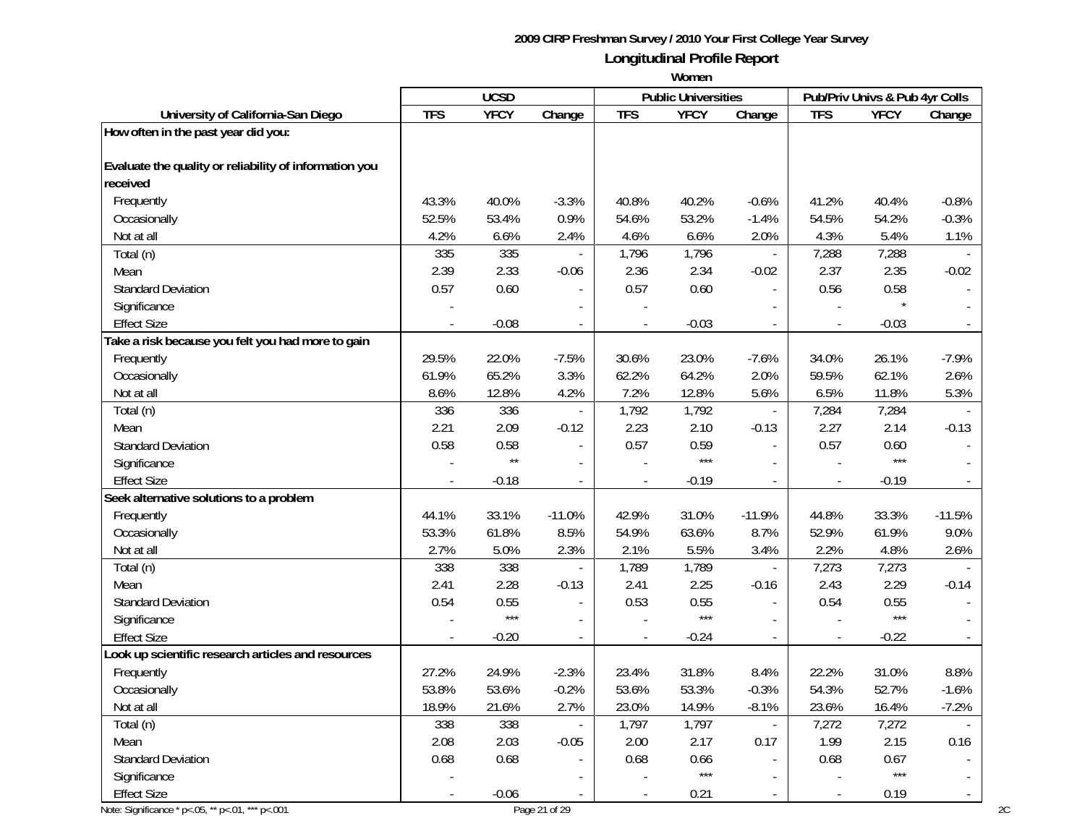|                                                        |            | <b>UCSD</b>  |                          |            | <b>Public Universities</b> |                          |            | Pub/Priv Univs & Pub 4yr Colls |                          |
|--------------------------------------------------------|------------|--------------|--------------------------|------------|----------------------------|--------------------------|------------|--------------------------------|--------------------------|
| University of California-San Diego                     | <b>TFS</b> | <b>YFCY</b>  | Change                   | <b>TFS</b> | <b>YFCY</b>                | Change                   | <b>TFS</b> | <b>YFCY</b>                    | Change                   |
| How often in the past year did you:                    |            |              |                          |            |                            |                          |            |                                |                          |
| Evaluate the quality or reliability of information you |            |              |                          |            |                            |                          |            |                                |                          |
| received                                               |            |              |                          |            |                            |                          |            |                                |                          |
| Frequently                                             | 43.3%      | 40.0%        | $-3.3%$                  | 40.8%      | 40.2%                      | $-0.6%$                  | 41.2%      | 40.4%                          | $-0.8%$                  |
| Occasionally                                           | 52.5%      | 53.4%        | 0.9%                     | 54.6%      | 53.2%                      | $-1.4%$                  | 54.5%      | 54.2%                          | $-0.3%$                  |
| Not at all                                             | 4.2%       | 6.6%         | 2.4%                     | 4.6%       | 6.6%                       | 2.0%                     | 4.3%       | 5.4%                           | 1.1%                     |
| Total (n)                                              | 335        | 335          |                          | 1,796      | 1,796                      | $\blacksquare$           | 7,288      | 7,288                          |                          |
| Mean                                                   | 2.39       | 2.33         | $-0.06$                  | 2.36       | 2.34                       | $-0.02$                  | 2.37       | 2.35                           | $-0.02$                  |
| <b>Standard Deviation</b>                              | 0.57       | 0.60         |                          | 0.57       | 0.60                       | $\overline{a}$           | 0.56       | 0.58                           |                          |
| Significance                                           |            |              |                          |            |                            |                          |            |                                |                          |
| <b>Effect Size</b>                                     |            | $-0.08$      |                          |            | $-0.03$                    |                          |            | $-0.03$                        |                          |
| Take a risk because you felt you had more to gain      |            |              |                          |            |                            |                          |            |                                |                          |
| Frequently                                             | 29.5%      | 22.0%        | $-7.5%$                  | 30.6%      | 23.0%                      | $-7.6%$                  | 34.0%      | 26.1%                          | $-7.9%$                  |
| Occasionally                                           | 61.9%      | 65.2%        | 3.3%                     | 62.2%      | 64.2%                      | 2.0%                     | 59.5%      | 62.1%                          | 2.6%                     |
| Not at all                                             | 8.6%       | 12.8%        | 4.2%                     | 7.2%       | 12.8%                      | 5.6%                     | 6.5%       | 11.8%                          | 5.3%                     |
| Total (n)                                              | 336        | 336          | $\blacksquare$           | 1,792      | 1,792                      | $\blacksquare$           | 7,284      | 7,284                          |                          |
| Mean                                                   | 2.21       | 2.09         | $-0.12$                  | 2.23       | 2.10                       | $-0.13$                  | 2.27       | 2.14                           | $-0.13$                  |
| <b>Standard Deviation</b>                              | 0.58       | 0.58         |                          | 0.57       | 0.59                       | $\overline{a}$           | 0.57       | 0.60                           |                          |
| Significance                                           |            | $\star\star$ | $\overline{\phantom{a}}$ |            | $***$                      | $\overline{\phantom{a}}$ |            | $***$                          |                          |
| <b>Effect Size</b>                                     |            | $-0.18$      |                          |            | $-0.19$                    | $\overline{\phantom{a}}$ |            | $-0.19$                        |                          |
| Seek alternative solutions to a problem                |            |              |                          |            |                            |                          |            |                                |                          |
| Frequently                                             | 44.1%      | 33.1%        | $-11.0%$                 | 42.9%      | 31.0%                      | $-11.9%$                 | 44.8%      | 33.3%                          | $-11.5%$                 |
| Occasionally                                           | 53.3%      | 61.8%        | 8.5%                     | 54.9%      | 63.6%                      | 8.7%                     | 52.9%      | 61.9%                          | 9.0%                     |
| Not at all                                             | 2.7%       | 5.0%         | 2.3%                     | 2.1%       | 5.5%                       | 3.4%                     | 2.2%       | 4.8%                           | 2.6%                     |
| Total (n)                                              | 338        | 338          | $\blacksquare$           | 1,789      | 1,789                      | $\mathbb{Z}^2$           | 7,273      | 7,273                          |                          |
| Mean                                                   | 2.41       | 2.28         | $-0.13$                  | 2.41       | 2.25                       | $-0.16$                  | 2.43       | 2.29                           | $-0.14$                  |
| <b>Standard Deviation</b>                              | 0.54       | 0.55         |                          | 0.53       | 0.55                       | $\overline{a}$           | 0.54       | 0.55                           |                          |
| Significance                                           |            | $***$        |                          |            | $***$                      | $\sim$                   |            | $***$                          |                          |
| <b>Effect Size</b>                                     |            | $-0.20$      | $\overline{a}$           |            | $-0.24$                    | $\mathbb{Z}^2$           |            | $-0.22$                        |                          |
| Look up scientific research articles and resources     |            |              |                          |            |                            |                          |            |                                |                          |
| Frequently                                             | 27.2%      | 24.9%        | $-2.3%$                  | 23.4%      | 31.8%                      | 8.4%                     | 22.2%      | 31.0%                          | 8.8%                     |
| Occasionally                                           | 53.8%      | 53.6%        | $-0.2%$                  | 53.6%      | 53.3%                      | $-0.3%$                  | 54.3%      | 52.7%                          | $-1.6%$                  |
| Not at all                                             | 18.9%      | 21.6%        | 2.7%                     | 23.0%      | 14.9%                      | $-8.1%$                  | 23.6%      | 16.4%                          | $-7.2%$                  |
| Total (n)                                              | 338        | 338          |                          | 1,797      | 1,797                      | $\blacksquare$           | 7,272      | 7,272                          |                          |
| Mean                                                   | 2.08       | 2.03         | $-0.05$                  | 2.00       | 2.17                       | 0.17                     | 1.99       | 2.15                           | 0.16                     |
| <b>Standard Deviation</b>                              | 0.68       | 0.68         | $\blacksquare$           | 0.68       | 0.66                       | $\overline{\phantom{a}}$ | 0.68       | 0.67                           |                          |
| Significance                                           |            |              |                          |            | $***$                      | $\overline{\phantom{a}}$ |            | $***$                          |                          |
| <b>Effect Size</b>                                     |            | $-0.06$      |                          |            | 0.21                       | $\blacksquare$           |            | 0.19                           | $\overline{\phantom{a}}$ |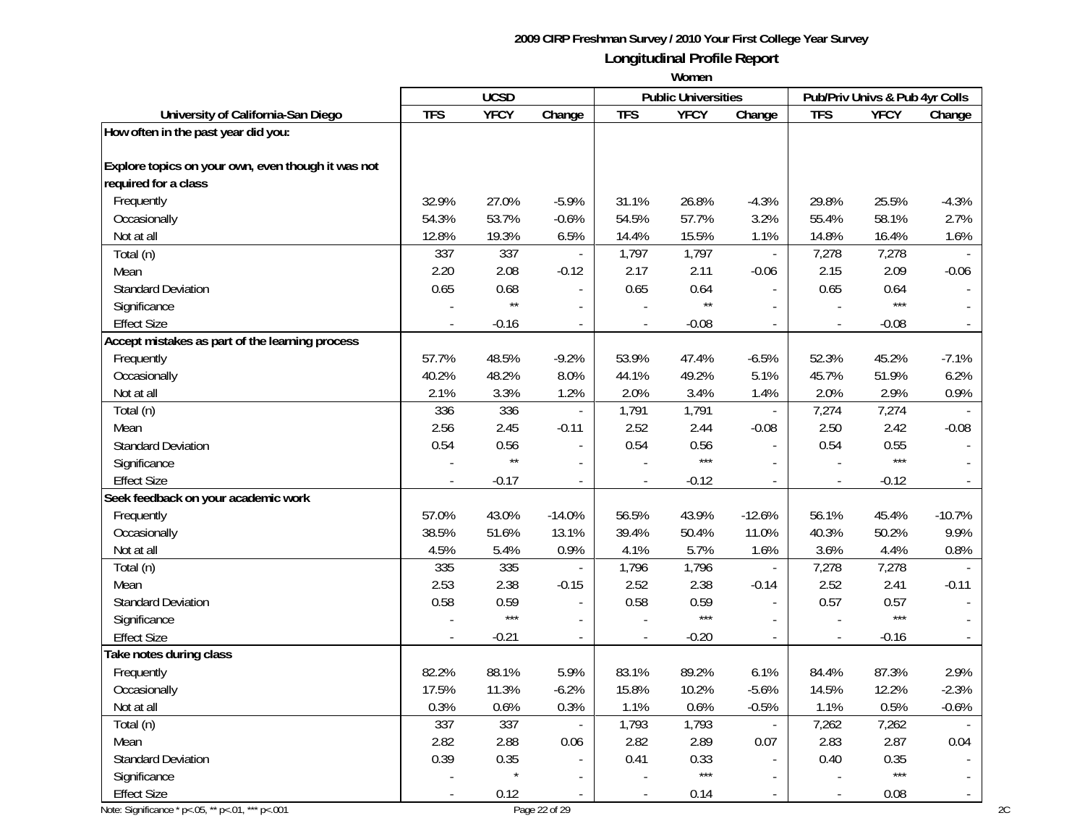|                                                    |            | <b>UCSD</b>  |                          |            | <b>Public Universities</b> |                             |            | Pub/Priv Univs & Pub 4yr Colls |                          |
|----------------------------------------------------|------------|--------------|--------------------------|------------|----------------------------|-----------------------------|------------|--------------------------------|--------------------------|
| University of California-San Diego                 | <b>TFS</b> | <b>YFCY</b>  | Change                   | <b>TFS</b> | <b>YFCY</b>                | Change                      | <b>TFS</b> | <b>YFCY</b>                    | Change                   |
| How often in the past year did you:                |            |              |                          |            |                            |                             |            |                                |                          |
| Explore topics on your own, even though it was not |            |              |                          |            |                            |                             |            |                                |                          |
| required for a class                               |            |              |                          |            |                            |                             |            |                                |                          |
| Frequently                                         | 32.9%      | 27.0%        | $-5.9%$                  | 31.1%      | 26.8%                      | $-4.3%$                     | 29.8%      | 25.5%                          | $-4.3%$                  |
| Occasionally                                       | 54.3%      | 53.7%        | $-0.6%$                  | 54.5%      | 57.7%                      | 3.2%                        | 55.4%      | 58.1%                          | 2.7%                     |
| Not at all                                         | 12.8%      | 19.3%        | 6.5%                     | 14.4%      | 15.5%                      | 1.1%                        | 14.8%      | 16.4%                          | 1.6%                     |
| Total (n)                                          | 337        | 337          | $\overline{\phantom{a}}$ | 1,797      | 1,797                      | $\mathcal{L}_{\mathcal{A}}$ | 7,278      | 7,278                          |                          |
| Mean                                               | 2.20       | 2.08         | $-0.12$                  | 2.17       | 2.11                       | $-0.06$                     | 2.15       | 2.09                           | $-0.06$                  |
| <b>Standard Deviation</b>                          | 0.65       | 0.68         |                          | 0.65       | 0.64                       | $\overline{a}$              | 0.65       | 0.64                           |                          |
| Significance                                       |            | $\star\star$ |                          |            | $\star\star$               | $\overline{a}$              |            | $***$                          |                          |
| <b>Effect Size</b>                                 |            | $-0.16$      |                          |            | $-0.08$                    | $\overline{a}$              |            | $-0.08$                        |                          |
| Accept mistakes as part of the learning process    |            |              |                          |            |                            |                             |            |                                |                          |
| Frequently                                         | 57.7%      | 48.5%        | $-9.2%$                  | 53.9%      | 47.4%                      | $-6.5%$                     | 52.3%      | 45.2%                          | $-7.1%$                  |
| Occasionally                                       | 40.2%      | 48.2%        | 8.0%                     | 44.1%      | 49.2%                      | 5.1%                        | 45.7%      | 51.9%                          | 6.2%                     |
| Not at all                                         | 2.1%       | 3.3%         | 1.2%                     | 2.0%       | 3.4%                       | 1.4%                        | 2.0%       | 2.9%                           | 0.9%                     |
| Total (n)                                          | 336        | 336          | $\blacksquare$           | 1,791      | 1,791                      | $\mathcal{L}_{\mathcal{A}}$ | 7,274      | 7,274                          |                          |
| Mean                                               | 2.56       | 2.45         | $-0.11$                  | 2.52       | 2.44                       | $-0.08$                     | 2.50       | 2.42                           | $-0.08$                  |
| <b>Standard Deviation</b>                          | 0.54       | 0.56         |                          | 0.54       | 0.56                       | $\overline{a}$              | 0.54       | 0.55                           |                          |
| Significance                                       |            | $\star\star$ | $\overline{\phantom{a}}$ |            | $***$                      | $\overline{\phantom{a}}$    |            | $***$                          |                          |
| <b>Effect Size</b>                                 |            | $-0.17$      |                          |            | $-0.12$                    | $\overline{\phantom{a}}$    |            | $-0.12$                        |                          |
| Seek feedback on your academic work                |            |              |                          |            |                            |                             |            |                                |                          |
| Frequently                                         | 57.0%      | 43.0%        | $-14.0%$                 | 56.5%      | 43.9%                      | $-12.6%$                    | 56.1%      | 45.4%                          | $-10.7%$                 |
| Occasionally                                       | 38.5%      | 51.6%        | 13.1%                    | 39.4%      | 50.4%                      | 11.0%                       | 40.3%      | 50.2%                          | 9.9%                     |
| Not at all                                         | 4.5%       | 5.4%         | 0.9%                     | 4.1%       | 5.7%                       | 1.6%                        | 3.6%       | 4.4%                           | 0.8%                     |
| Total (n)                                          | 335        | 335          |                          | 1,796      | 1,796                      | $\mathbb{Z}^2$              | 7,278      | 7,278                          |                          |
| Mean                                               | 2.53       | 2.38         | $-0.15$                  | 2.52       | 2.38                       | $-0.14$                     | 2.52       | 2.41                           | $-0.11$                  |
| <b>Standard Deviation</b>                          | 0.58       | 0.59         |                          | 0.58       | 0.59                       | $\overline{a}$              | 0.57       | 0.57                           |                          |
| Significance                                       |            | $***$        |                          |            | $***$                      | $\sim$                      |            | $***$                          |                          |
| <b>Effect Size</b>                                 |            | $-0.21$      | $\sim$                   |            | $-0.20$                    | $\mathbb{Z}^2$              |            | $-0.16$                        |                          |
| Take notes during class                            |            |              |                          |            |                            |                             |            |                                |                          |
| Frequently                                         | 82.2%      | 88.1%        | 5.9%                     | 83.1%      | 89.2%                      | 6.1%                        | 84.4%      | 87.3%                          | 2.9%                     |
| Occasionally                                       | 17.5%      | 11.3%        | $-6.2%$                  | 15.8%      | 10.2%                      | $-5.6%$                     | 14.5%      | 12.2%                          | $-2.3%$                  |
| Not at all                                         | 0.3%       | 0.6%         | 0.3%                     | 1.1%       | 0.6%                       | $-0.5%$                     | 1.1%       | 0.5%                           | $-0.6%$                  |
| Total (n)                                          | 337        | 337          |                          | 1,793      | 1,793                      | $\blacksquare$              | 7,262      | 7,262                          |                          |
| Mean                                               | 2.82       | 2.88         | 0.06                     | 2.82       | 2.89                       | 0.07                        | 2.83       | 2.87                           | 0.04                     |
| <b>Standard Deviation</b>                          | 0.39       | 0.35         | $\mathbf{r}$             | 0.41       | 0.33                       | $\omega$                    | 0.40       | 0.35                           |                          |
| Significance                                       |            |              | $\blacksquare$           |            | $***$                      | $\overline{\phantom{a}}$    |            | $***$                          |                          |
| <b>Effect Size</b>                                 |            | 0.12         | $\blacksquare$           |            | 0.14                       | $\blacksquare$              |            | 0.08                           | $\overline{\phantom{a}}$ |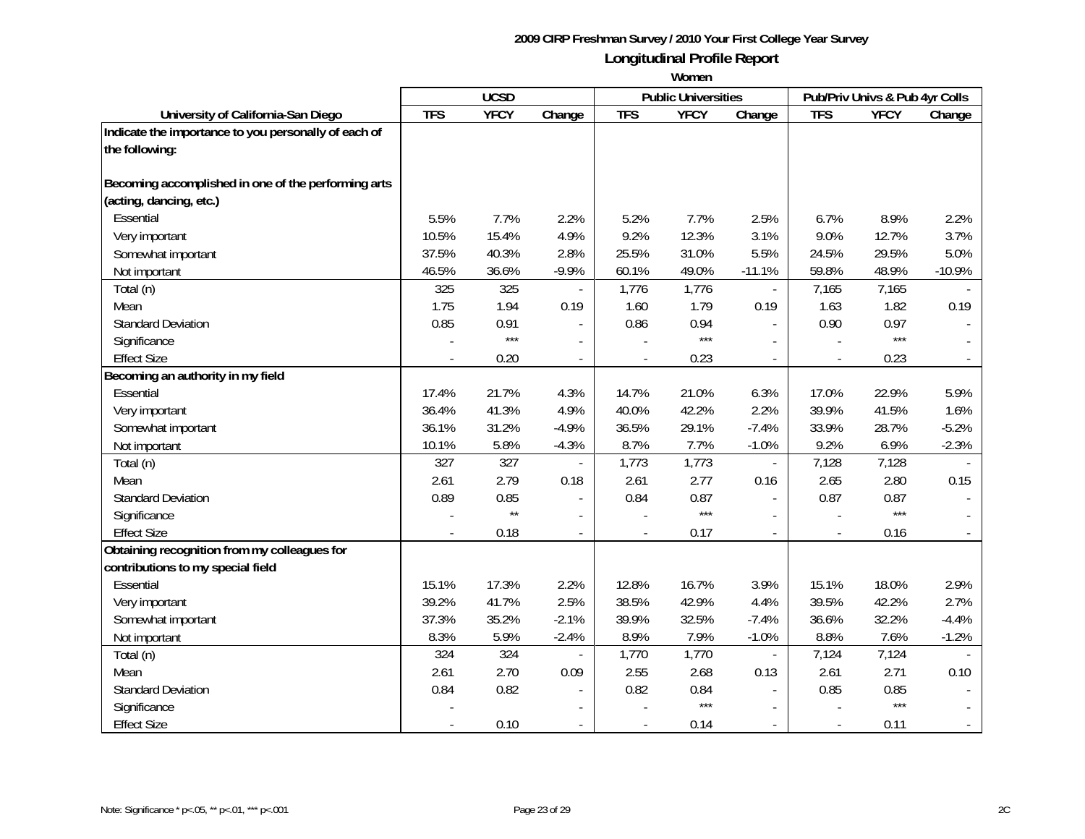|                                                      |            | <b>UCSD</b>  |                          |                          | <b>Public Universities</b> |                |            | Pub/Priv Univs & Pub 4yr Colls |          |
|------------------------------------------------------|------------|--------------|--------------------------|--------------------------|----------------------------|----------------|------------|--------------------------------|----------|
| University of California-San Diego                   | <b>TFS</b> | <b>YFCY</b>  | Change                   | <b>TFS</b>               | <b>YFCY</b>                | Change         | <b>TFS</b> | <b>YFCY</b>                    | Change   |
| Indicate the importance to you personally of each of |            |              |                          |                          |                            |                |            |                                |          |
| the following:                                       |            |              |                          |                          |                            |                |            |                                |          |
|                                                      |            |              |                          |                          |                            |                |            |                                |          |
| Becoming accomplished in one of the performing arts  |            |              |                          |                          |                            |                |            |                                |          |
| (acting, dancing, etc.)                              |            |              |                          |                          |                            |                |            |                                |          |
| <b>Essential</b>                                     | 5.5%       | 7.7%         | 2.2%                     | 5.2%                     | 7.7%                       | 2.5%           | 6.7%       | 8.9%                           | 2.2%     |
| Very important                                       | 10.5%      | 15.4%        | 4.9%                     | 9.2%                     | 12.3%                      | 3.1%           | 9.0%       | 12.7%                          | 3.7%     |
| Somewhat important                                   | 37.5%      | 40.3%        | 2.8%                     | 25.5%                    | 31.0%                      | 5.5%           | 24.5%      | 29.5%                          | 5.0%     |
| Not important                                        | 46.5%      | 36.6%        | $-9.9%$                  | 60.1%                    | 49.0%                      | $-11.1%$       | 59.8%      | 48.9%                          | $-10.9%$ |
| Total (n)                                            | 325        | 325          |                          | 1,776                    | 1,776                      | $\overline{a}$ | 7,165      | 7,165                          |          |
| Mean                                                 | 1.75       | 1.94         | 0.19                     | 1.60                     | 1.79                       | 0.19           | 1.63       | 1.82                           | 0.19     |
| <b>Standard Deviation</b>                            | 0.85       | 0.91         | $\blacksquare$           | 0.86                     | 0.94                       | $\mathbf{r}$   | 0.90       | 0.97                           |          |
| Significance                                         |            | $***$        | $\overline{\phantom{a}}$ |                          | $***$                      | $\sim$         |            | $***$                          |          |
| <b>Effect Size</b>                                   |            | 0.20         | $\blacksquare$           |                          | 0.23                       | $\sim$         |            | 0.23                           |          |
| Becoming an authority in my field                    |            |              |                          |                          |                            |                |            |                                |          |
| Essential                                            | 17.4%      | 21.7%        | 4.3%                     | 14.7%                    | 21.0%                      | 6.3%           | 17.0%      | 22.9%                          | 5.9%     |
| Very important                                       | 36.4%      | 41.3%        | 4.9%                     | 40.0%                    | 42.2%                      | 2.2%           | 39.9%      | 41.5%                          | 1.6%     |
| Somewhat important                                   | 36.1%      | 31.2%        | $-4.9%$                  | 36.5%                    | 29.1%                      | $-7.4%$        | 33.9%      | 28.7%                          | $-5.2%$  |
| Not important                                        | 10.1%      | 5.8%         | $-4.3%$                  | 8.7%                     | 7.7%                       | $-1.0%$        | 9.2%       | 6.9%                           | $-2.3%$  |
| Total (n)                                            | 327        | 327          |                          | 1,773                    | 1,773                      | $\blacksquare$ | 7,128      | 7,128                          |          |
| Mean                                                 | 2.61       | 2.79         | 0.18                     | 2.61                     | 2.77                       | 0.16           | 2.65       | 2.80                           | 0.15     |
| <b>Standard Deviation</b>                            | 0.89       | 0.85         |                          | 0.84                     | 0.87                       |                | 0.87       | 0.87                           |          |
| Significance                                         |            | $\star\star$ |                          |                          | $***$                      |                |            | $***$                          |          |
| <b>Effect Size</b>                                   |            | 0.18         |                          |                          | 0.17                       |                |            | 0.16                           |          |
| Obtaining recognition from my colleagues for         |            |              |                          |                          |                            |                |            |                                |          |
| contributions to my special field                    |            |              |                          |                          |                            |                |            |                                |          |
| Essential                                            | 15.1%      | 17.3%        | 2.2%                     | 12.8%                    | 16.7%                      | 3.9%           | 15.1%      | 18.0%                          | 2.9%     |
| Very important                                       | 39.2%      | 41.7%        | 2.5%                     | 38.5%                    | 42.9%                      | 4.4%           | 39.5%      | 42.2%                          | 2.7%     |
| Somewhat important                                   | 37.3%      | 35.2%        | $-2.1%$                  | 39.9%                    | 32.5%                      | $-7.4%$        | 36.6%      | 32.2%                          | $-4.4%$  |
| Not important                                        | 8.3%       | 5.9%         | $-2.4%$                  | 8.9%                     | 7.9%                       | $-1.0%$        | 8.8%       | 7.6%                           | $-1.2%$  |
| Total (n)                                            | 324        | 324          |                          | 1,770                    | 1,770                      |                | 7,124      | 7,124                          |          |
| Mean                                                 | 2.61       | 2.70         | 0.09                     | 2.55                     | 2.68                       | 0.13           | 2.61       | 2.71                           | 0.10     |
| <b>Standard Deviation</b>                            | 0.84       | 0.82         |                          | 0.82                     | 0.84                       |                | 0.85       | 0.85                           |          |
| Significance                                         |            |              |                          |                          | $***$                      |                |            | $***$                          |          |
| <b>Effect Size</b>                                   |            | 0.10         | $\overline{\phantom{a}}$ | $\overline{\phantom{a}}$ | 0.14                       |                |            | 0.11                           |          |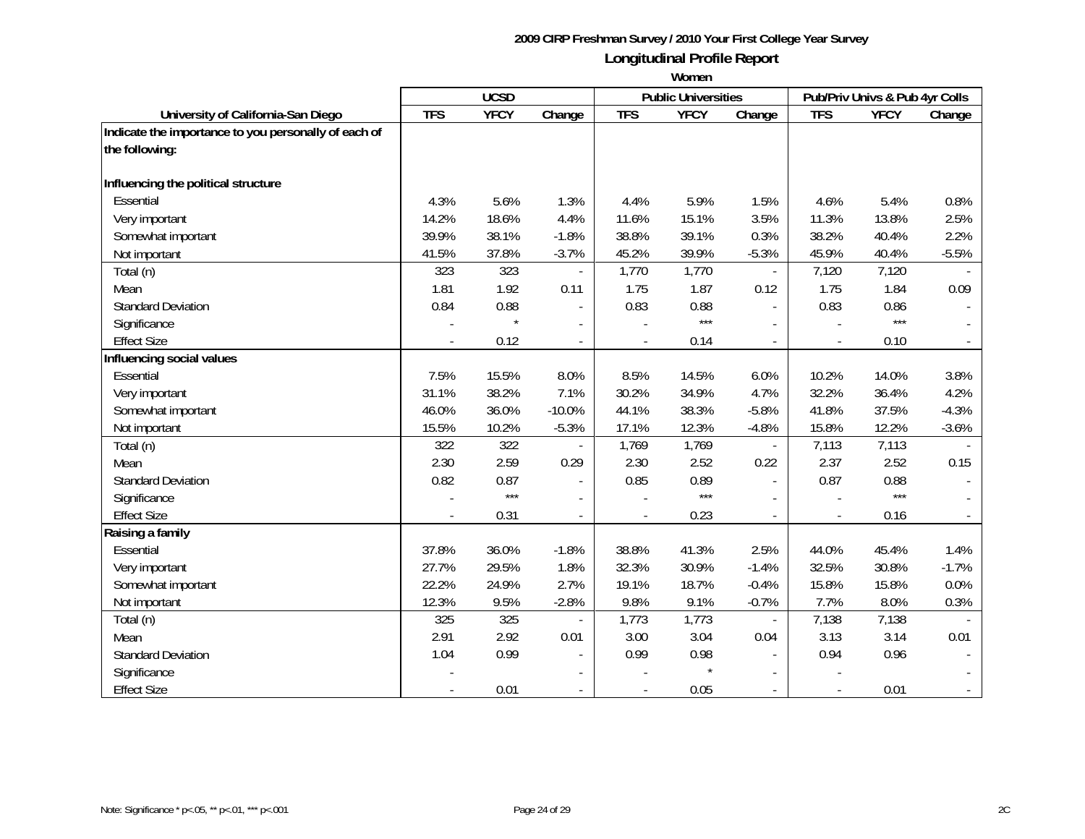|                                                      |            | <b>UCSD</b> |                          |                          | <b>Public Universities</b> |                          |            | Pub/Priv Univs & Pub 4yr Colls |         |
|------------------------------------------------------|------------|-------------|--------------------------|--------------------------|----------------------------|--------------------------|------------|--------------------------------|---------|
| University of California-San Diego                   | <b>TFS</b> | <b>YFCY</b> | Change                   | <b>TFS</b>               | <b>YFCY</b>                | Change                   | <b>TFS</b> | <b>YFCY</b>                    | Change  |
| Indicate the importance to you personally of each of |            |             |                          |                          |                            |                          |            |                                |         |
| the following:                                       |            |             |                          |                          |                            |                          |            |                                |         |
| Influencing the political structure                  |            |             |                          |                          |                            |                          |            |                                |         |
| Essential                                            | 4.3%       | 5.6%        | 1.3%                     | 4.4%                     | 5.9%                       | 1.5%                     | 4.6%       | 5.4%                           | 0.8%    |
| Very important                                       | 14.2%      | 18.6%       | 4.4%                     | 11.6%                    | 15.1%                      | 3.5%                     | 11.3%      | 13.8%                          | 2.5%    |
| Somewhat important                                   | 39.9%      | 38.1%       | $-1.8%$                  | 38.8%                    | 39.1%                      | 0.3%                     | 38.2%      | 40.4%                          | 2.2%    |
| Not important                                        | 41.5%      | 37.8%       | $-3.7%$                  | 45.2%                    | 39.9%                      | $-5.3%$                  | 45.9%      | 40.4%                          | $-5.5%$ |
| Total (n)                                            | 323        | 323         | $\blacksquare$           | 1,770                    | 1,770                      | $\overline{\phantom{a}}$ | 7,120      | 7,120                          |         |
| Mean                                                 | 1.81       | 1.92        | 0.11                     | 1.75                     | 1.87                       | 0.12                     | 1.75       | 1.84                           | 0.09    |
| <b>Standard Deviation</b>                            | 0.84       | 0.88        |                          | 0.83                     | 0.88                       | $\overline{\phantom{a}}$ | 0.83       | 0.86                           |         |
| Significance                                         |            |             |                          |                          | $***$                      |                          |            | $***$                          |         |
| <b>Effect Size</b>                                   |            | 0.12        | $\blacksquare$           |                          | 0.14                       | $\overline{\phantom{a}}$ |            | 0.10                           |         |
| Influencing social values                            |            |             |                          |                          |                            |                          |            |                                |         |
| Essential                                            | 7.5%       | 15.5%       | 8.0%                     | 8.5%                     | 14.5%                      | 6.0%                     | 10.2%      | 14.0%                          | 3.8%    |
| Very important                                       | 31.1%      | 38.2%       | 7.1%                     | 30.2%                    | 34.9%                      | 4.7%                     | 32.2%      | 36.4%                          | 4.2%    |
| Somewhat important                                   | 46.0%      | 36.0%       | $-10.0%$                 | 44.1%                    | 38.3%                      | $-5.8%$                  | 41.8%      | 37.5%                          | $-4.3%$ |
| Not important                                        | 15.5%      | 10.2%       | $-5.3%$                  | 17.1%                    | 12.3%                      | $-4.8%$                  | 15.8%      | 12.2%                          | $-3.6%$ |
| Total (n)                                            | 322        | 322         |                          | 1,769                    | 1,769                      | $\overline{\phantom{a}}$ | 7,113      | 7,113                          |         |
| Mean                                                 | 2.30       | 2.59        | 0.29                     | 2.30                     | 2.52                       | 0.22                     | 2.37       | 2.52                           | 0.15    |
| <b>Standard Deviation</b>                            | 0.82       | 0.87        | $\blacksquare$           | 0.85                     | 0.89                       | $\overline{a}$           | 0.87       | 0.88                           |         |
| Significance                                         |            | $***$       | $\blacksquare$           |                          | $***$                      | $\overline{a}$           |            | $***$                          |         |
| <b>Effect Size</b>                                   |            | 0.31        |                          |                          | 0.23                       | $\equiv$                 |            | 0.16                           |         |
| Raising a family                                     |            |             |                          |                          |                            |                          |            |                                |         |
| Essential                                            | 37.8%      | 36.0%       | $-1.8%$                  | 38.8%                    | 41.3%                      | 2.5%                     | 44.0%      | 45.4%                          | 1.4%    |
| Very important                                       | 27.7%      | 29.5%       | 1.8%                     | 32.3%                    | 30.9%                      | $-1.4%$                  | 32.5%      | 30.8%                          | $-1.7%$ |
| Somewhat important                                   | 22.2%      | 24.9%       | 2.7%                     | 19.1%                    | 18.7%                      | $-0.4%$                  | 15.8%      | 15.8%                          | 0.0%    |
| Not important                                        | 12.3%      | 9.5%        | $-2.8%$                  | 9.8%                     | 9.1%                       | $-0.7%$                  | 7.7%       | 8.0%                           | 0.3%    |
| Total (n)                                            | 325        | 325         |                          | 1,773                    | 1,773                      |                          | 7,138      | 7,138                          |         |
| Mean                                                 | 2.91       | 2.92        | 0.01                     | 3.00                     | 3.04                       | 0.04                     | 3.13       | 3.14                           | 0.01    |
| <b>Standard Deviation</b>                            | 1.04       | 0.99        |                          | 0.99                     | 0.98                       |                          | 0.94       | 0.96                           |         |
| Significance                                         |            |             |                          |                          |                            |                          |            |                                |         |
| <b>Effect Size</b>                                   |            | 0.01        | $\overline{\phantom{a}}$ | $\overline{\phantom{a}}$ | 0.05                       |                          |            | 0.01                           |         |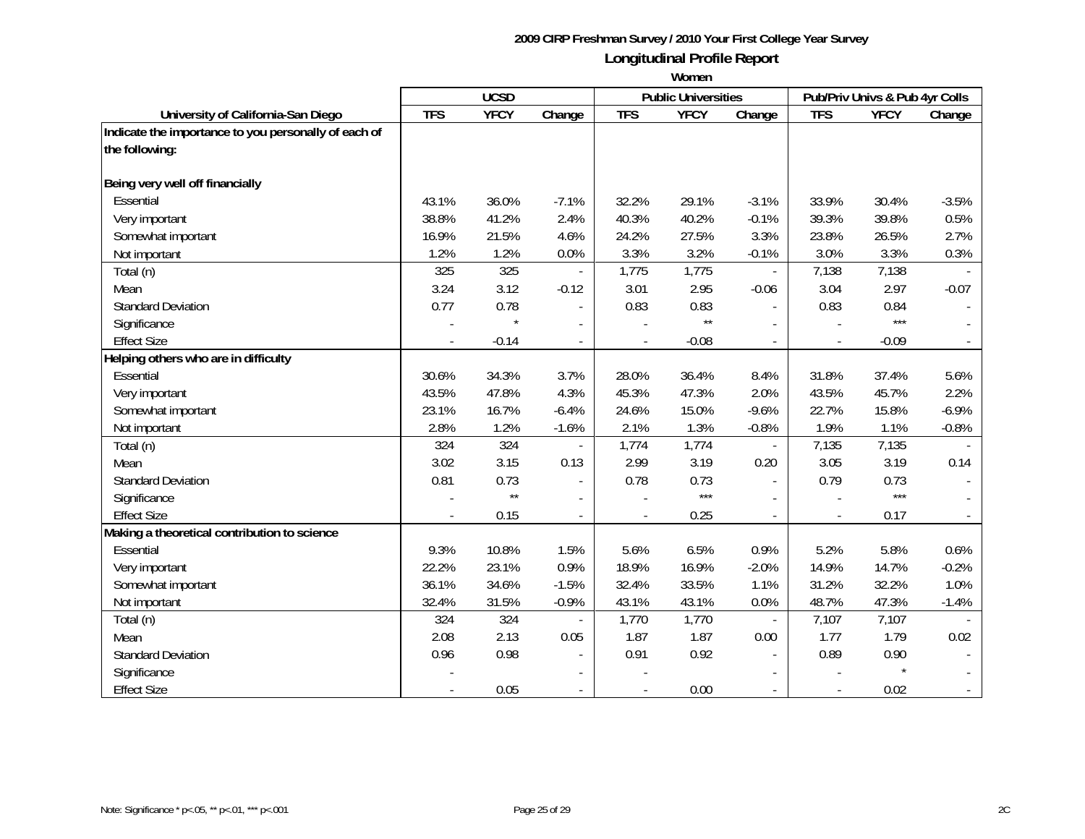|                                                      | <b>UCSD</b> |              |                          | <b>Public Universities</b> |              |                          | Pub/Priv Univs & Pub 4yr Colls |             |         |
|------------------------------------------------------|-------------|--------------|--------------------------|----------------------------|--------------|--------------------------|--------------------------------|-------------|---------|
| University of California-San Diego                   | <b>TFS</b>  | <b>YFCY</b>  | Change                   | <b>TFS</b>                 | <b>YFCY</b>  | Change                   | <b>TFS</b>                     | <b>YFCY</b> | Change  |
| Indicate the importance to you personally of each of |             |              |                          |                            |              |                          |                                |             |         |
| the following:                                       |             |              |                          |                            |              |                          |                                |             |         |
| Being very well off financially                      |             |              |                          |                            |              |                          |                                |             |         |
| Essential                                            | 43.1%       | 36.0%        | $-7.1%$                  | 32.2%                      | 29.1%        | $-3.1%$                  | 33.9%                          | 30.4%       | $-3.5%$ |
| Very important                                       | 38.8%       | 41.2%        | 2.4%                     | 40.3%                      | 40.2%        | $-0.1%$                  | 39.3%                          | 39.8%       | 0.5%    |
| Somewhat important                                   | 16.9%       | 21.5%        | 4.6%                     | 24.2%                      | 27.5%        | 3.3%                     | 23.8%                          | 26.5%       | 2.7%    |
| Not important                                        | 1.2%        | 1.2%         | 0.0%                     | 3.3%                       | 3.2%         | $-0.1%$                  | 3.0%                           | 3.3%        | 0.3%    |
| Total (n)                                            | 325         | 325          | $\overline{\phantom{a}}$ | 1,775                      | 1,775        | $\overline{\phantom{a}}$ | 7,138                          | 7,138       |         |
| Mean                                                 | 3.24        | 3.12         | $-0.12$                  | 3.01                       | 2.95         | $-0.06$                  | 3.04                           | 2.97        | $-0.07$ |
| <b>Standard Deviation</b>                            | 0.77        | 0.78         |                          | 0.83                       | 0.83         |                          | 0.83                           | 0.84        |         |
| Significance                                         |             |              |                          |                            | $\star\star$ |                          |                                | $***$       |         |
| <b>Effect Size</b>                                   |             | $-0.14$      | $\overline{\phantom{a}}$ |                            | $-0.08$      | $\overline{\phantom{a}}$ |                                | $-0.09$     |         |
| Helping others who are in difficulty                 |             |              |                          |                            |              |                          |                                |             |         |
| Essential                                            | 30.6%       | 34.3%        | 3.7%                     | 28.0%                      | 36.4%        | 8.4%                     | 31.8%                          | 37.4%       | 5.6%    |
| Very important                                       | 43.5%       | 47.8%        | 4.3%                     | 45.3%                      | 47.3%        | 2.0%                     | 43.5%                          | 45.7%       | 2.2%    |
| Somewhat important                                   | 23.1%       | 16.7%        | $-6.4%$                  | 24.6%                      | 15.0%        | $-9.6%$                  | 22.7%                          | 15.8%       | $-6.9%$ |
| Not important                                        | 2.8%        | 1.2%         | $-1.6%$                  | 2.1%                       | 1.3%         | $-0.8%$                  | 1.9%                           | 1.1%        | $-0.8%$ |
| Total (n)                                            | 324         | 324          |                          | 1,774                      | 1,774        |                          | 7,135                          | 7,135       |         |
| Mean                                                 | 3.02        | 3.15         | 0.13                     | 2.99                       | 3.19         | 0.20                     | 3.05                           | 3.19        | 0.14    |
| <b>Standard Deviation</b>                            | 0.81        | 0.73         | $\blacksquare$           | 0.78                       | 0.73         | $\overline{a}$           | 0.79                           | 0.73        |         |
| Significance                                         |             | $\star\star$ | $\blacksquare$           |                            | $***$        |                          |                                | $***$       |         |
| <b>Effect Size</b>                                   |             | 0.15         |                          |                            | 0.25         |                          |                                | 0.17        |         |
| Making a theoretical contribution to science         |             |              |                          |                            |              |                          |                                |             |         |
| Essential                                            | 9.3%        | 10.8%        | 1.5%                     | 5.6%                       | 6.5%         | 0.9%                     | 5.2%                           | 5.8%        | 0.6%    |
| Very important                                       | 22.2%       | 23.1%        | 0.9%                     | 18.9%                      | 16.9%        | $-2.0%$                  | 14.9%                          | 14.7%       | $-0.2%$ |
| Somewhat important                                   | 36.1%       | 34.6%        | $-1.5%$                  | 32.4%                      | 33.5%        | 1.1%                     | 31.2%                          | 32.2%       | 1.0%    |
| Not important                                        | 32.4%       | 31.5%        | $-0.9%$                  | 43.1%                      | 43.1%        | 0.0%                     | 48.7%                          | 47.3%       | $-1.4%$ |
| Total (n)                                            | 324         | 324          |                          | 1,770                      | 1,770        | $\overline{\phantom{a}}$ | 7,107                          | 7,107       |         |
| Mean                                                 | 2.08        | 2.13         | 0.05                     | 1.87                       | 1.87         | 0.00                     | 1.77                           | 1.79        | 0.02    |
| <b>Standard Deviation</b>                            | 0.96        | 0.98         |                          | 0.91                       | 0.92         | $\sim$                   | 0.89                           | 0.90        |         |
| Significance                                         |             |              |                          |                            |              |                          |                                |             |         |
| <b>Effect Size</b>                                   |             | 0.05         | $\overline{\phantom{a}}$ |                            | 0.00         |                          |                                | 0.02        |         |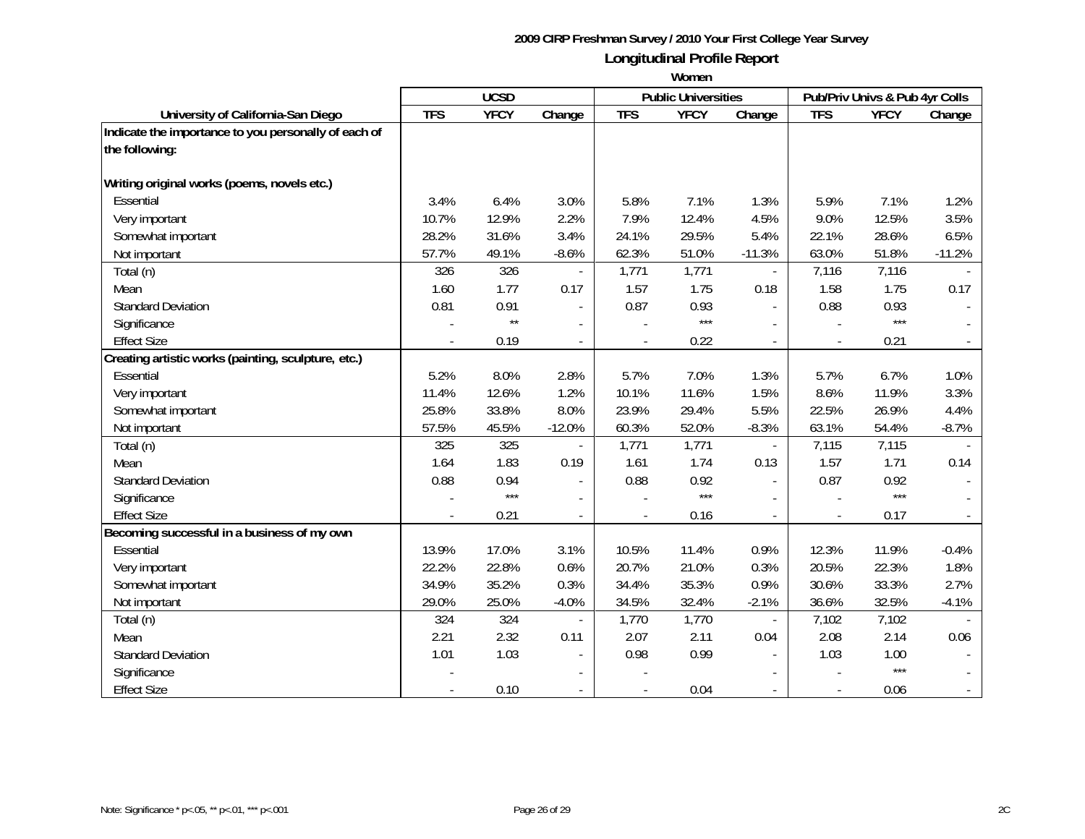|                                                      | <b>UCSD</b> |              |                          |            | <b>Public Universities</b> |                             | Pub/Priv Univs & Pub 4yr Colls |             |          |
|------------------------------------------------------|-------------|--------------|--------------------------|------------|----------------------------|-----------------------------|--------------------------------|-------------|----------|
| University of California-San Diego                   | <b>TFS</b>  | <b>YFCY</b>  | Change                   | <b>TFS</b> | <b>YFCY</b>                | Change                      | <b>TFS</b>                     | <b>YFCY</b> | Change   |
| Indicate the importance to you personally of each of |             |              |                          |            |                            |                             |                                |             |          |
| the following:                                       |             |              |                          |            |                            |                             |                                |             |          |
|                                                      |             |              |                          |            |                            |                             |                                |             |          |
| Writing original works (poems, novels etc.)          |             |              |                          |            |                            |                             |                                |             |          |
| Essential                                            | 3.4%        | 6.4%         | 3.0%                     | 5.8%       | 7.1%                       | 1.3%                        | 5.9%                           | 7.1%        | 1.2%     |
| Very important                                       | 10.7%       | 12.9%        | 2.2%                     | 7.9%       | 12.4%                      | 4.5%                        | 9.0%                           | 12.5%       | 3.5%     |
| Somewhat important                                   | 28.2%       | 31.6%        | 3.4%                     | 24.1%      | 29.5%                      | 5.4%                        | 22.1%                          | 28.6%       | 6.5%     |
| Not important                                        | 57.7%       | 49.1%        | $-8.6%$                  | 62.3%      | 51.0%                      | $-11.3%$                    | 63.0%                          | 51.8%       | $-11.2%$ |
| Total (n)                                            | 326         | 326          | $\overline{\phantom{a}}$ | 1,771      | 1,771                      | $\mathcal{L}_{\mathcal{A}}$ | 7,116                          | 7,116       |          |
| Mean                                                 | 1.60        | 1.77         | 0.17                     | 1.57       | 1.75                       | 0.18                        | 1.58                           | 1.75        | 0.17     |
| <b>Standard Deviation</b>                            | 0.81        | 0.91         | $\overline{\phantom{a}}$ | 0.87       | 0.93                       | $\mathbf{r}$                | 0.88                           | 0.93        |          |
| Significance                                         |             | $\star\star$ |                          |            | $***$                      |                             |                                | $***$       |          |
| <b>Effect Size</b>                                   |             | 0.19         | $\overline{\phantom{a}}$ |            | 0.22                       | $\overline{\phantom{a}}$    |                                | 0.21        |          |
| Creating artistic works (painting, sculpture, etc.)  |             |              |                          |            |                            |                             |                                |             |          |
| Essential                                            | 5.2%        | 8.0%         | 2.8%                     | 5.7%       | 7.0%                       | 1.3%                        | 5.7%                           | 6.7%        | 1.0%     |
| Very important                                       | 11.4%       | 12.6%        | 1.2%                     | 10.1%      | 11.6%                      | 1.5%                        | 8.6%                           | 11.9%       | 3.3%     |
| Somewhat important                                   | 25.8%       | 33.8%        | 8.0%                     | 23.9%      | 29.4%                      | 5.5%                        | 22.5%                          | 26.9%       | 4.4%     |
| Not important                                        | 57.5%       | 45.5%        | $-12.0%$                 | 60.3%      | 52.0%                      | $-8.3%$                     | 63.1%                          | 54.4%       | $-8.7%$  |
| Total (n)                                            | 325         | 325          |                          | 1,771      | 1,771                      |                             | 7,115                          | 7,115       |          |
| Mean                                                 | 1.64        | 1.83         | 0.19                     | 1.61       | 1.74                       | 0.13                        | 1.57                           | 1.71        | 0.14     |
| <b>Standard Deviation</b>                            | 0.88        | 0.94         | $\blacksquare$           | 0.88       | 0.92                       |                             | 0.87                           | 0.92        |          |
| Significance                                         |             | $***$        | $\blacksquare$           |            | $***$                      |                             |                                | $***$       |          |
| <b>Effect Size</b>                                   |             | 0.21         |                          |            | 0.16                       | $\overline{a}$              |                                | 0.17        |          |
| Becoming successful in a business of my own          |             |              |                          |            |                            |                             |                                |             |          |
| Essential                                            | 13.9%       | 17.0%        | 3.1%                     | 10.5%      | 11.4%                      | 0.9%                        | 12.3%                          | 11.9%       | $-0.4%$  |
| Very important                                       | 22.2%       | 22.8%        | 0.6%                     | 20.7%      | 21.0%                      | 0.3%                        | 20.5%                          | 22.3%       | 1.8%     |
| Somewhat important                                   | 34.9%       | 35.2%        | 0.3%                     | 34.4%      | 35.3%                      | 0.9%                        | 30.6%                          | 33.3%       | 2.7%     |
| Not important                                        | 29.0%       | 25.0%        | $-4.0%$                  | 34.5%      | 32.4%                      | $-2.1%$                     | 36.6%                          | 32.5%       | $-4.1%$  |
| Total (n)                                            | 324         | 324          |                          | 1,770      | 1,770                      |                             | 7,102                          | 7,102       |          |
| Mean                                                 | 2.21        | 2.32         | 0.11                     | 2.07       | 2.11                       | 0.04                        | 2.08                           | 2.14        | 0.06     |
| <b>Standard Deviation</b>                            | 1.01        | 1.03         |                          | 0.98       | 0.99                       |                             | 1.03                           | 1.00        |          |
| Significance                                         |             |              |                          |            |                            |                             |                                | $***$       |          |
| <b>Effect Size</b>                                   |             | 0.10         | $\overline{\phantom{a}}$ |            | 0.04                       |                             |                                | 0.06        |          |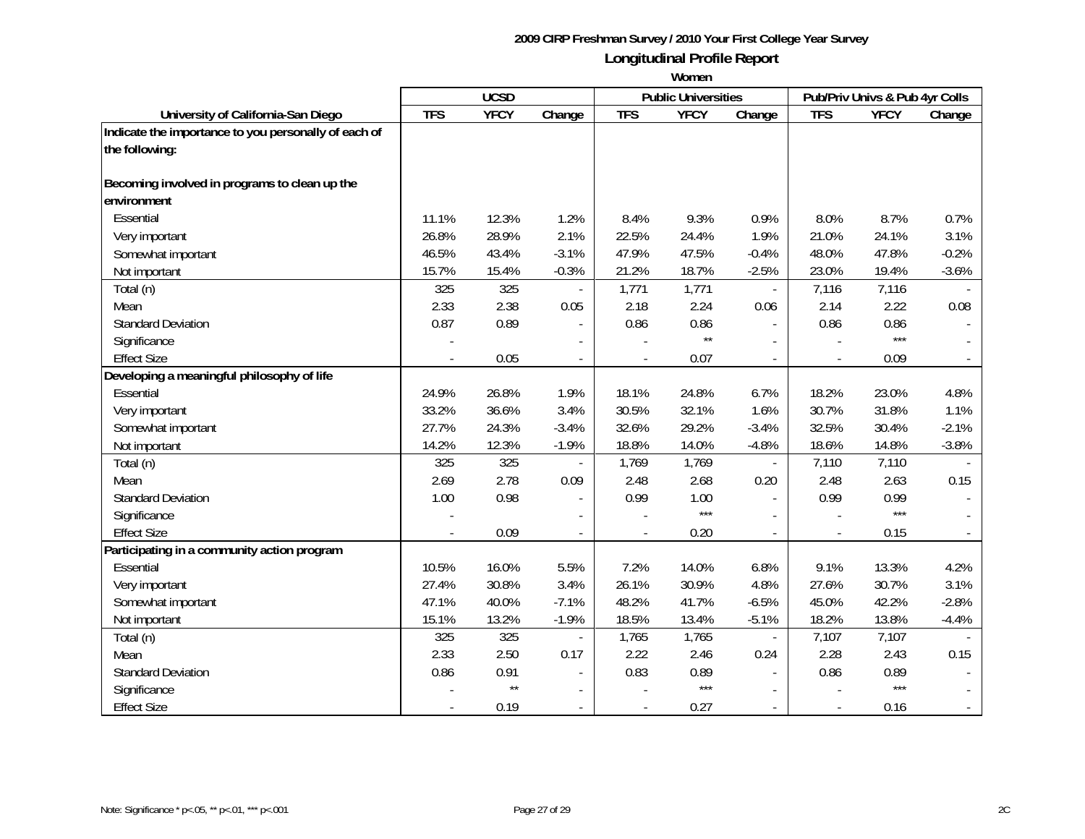|                                                      | <b>UCSD</b> |              |                          | <b>Public Universities</b> |              |                          | Pub/Priv Univs & Pub 4yr Colls |             |         |
|------------------------------------------------------|-------------|--------------|--------------------------|----------------------------|--------------|--------------------------|--------------------------------|-------------|---------|
| University of California-San Diego                   | <b>TFS</b>  | <b>YFCY</b>  | Change                   | <b>TFS</b>                 | <b>YFCY</b>  | Change                   | <b>TFS</b>                     | <b>YFCY</b> | Change  |
| Indicate the importance to you personally of each of |             |              |                          |                            |              |                          |                                |             |         |
| the following:                                       |             |              |                          |                            |              |                          |                                |             |         |
|                                                      |             |              |                          |                            |              |                          |                                |             |         |
| Becoming involved in programs to clean up the        |             |              |                          |                            |              |                          |                                |             |         |
| environment                                          |             |              |                          |                            |              |                          |                                |             |         |
| Essential                                            | 11.1%       | 12.3%        | 1.2%                     | 8.4%                       | 9.3%         | 0.9%                     | 8.0%                           | 8.7%        | 0.7%    |
| Very important                                       | 26.8%       | 28.9%        | 2.1%                     | 22.5%                      | 24.4%        | 1.9%                     | 21.0%                          | 24.1%       | 3.1%    |
| Somewhat important                                   | 46.5%       | 43.4%        | $-3.1%$                  | 47.9%                      | 47.5%        | $-0.4%$                  | 48.0%                          | 47.8%       | $-0.2%$ |
| Not important                                        | 15.7%       | 15.4%        | $-0.3%$                  | 21.2%                      | 18.7%        | $-2.5%$                  | 23.0%                          | 19.4%       | $-3.6%$ |
| Total (n)                                            | 325         | 325          |                          | 1,771                      | 1,771        | $\blacksquare$           | 7,116                          | 7,116       |         |
| Mean                                                 | 2.33        | 2.38         | 0.05                     | 2.18                       | 2.24         | 0.06                     | 2.14                           | 2.22        | 0.08    |
| <b>Standard Deviation</b>                            | 0.87        | 0.89         | $\overline{\phantom{a}}$ | 0.86                       | 0.86         | $\overline{a}$           | 0.86                           | 0.86        |         |
| Significance                                         |             |              | $\overline{\phantom{a}}$ |                            | $\star\star$ |                          |                                | $***$       |         |
| <b>Effect Size</b>                                   |             | 0.05         | $\overline{\phantom{a}}$ | $\overline{\phantom{a}}$   | 0.07         | $\sim$                   |                                | 0.09        |         |
| Developing a meaningful philosophy of life           |             |              |                          |                            |              |                          |                                |             |         |
| Essential                                            | 24.9%       | 26.8%        | 1.9%                     | 18.1%                      | 24.8%        | 6.7%                     | 18.2%                          | 23.0%       | 4.8%    |
| Very important                                       | 33.2%       | 36.6%        | 3.4%                     | 30.5%                      | 32.1%        | 1.6%                     | 30.7%                          | 31.8%       | 1.1%    |
| Somewhat important                                   | 27.7%       | 24.3%        | $-3.4%$                  | 32.6%                      | 29.2%        | $-3.4%$                  | 32.5%                          | 30.4%       | $-2.1%$ |
| Not important                                        | 14.2%       | 12.3%        | $-1.9%$                  | 18.8%                      | 14.0%        | $-4.8%$                  | 18.6%                          | 14.8%       | $-3.8%$ |
| Total (n)                                            | 325         | 325          |                          | 1,769                      | 1,769        | $\blacksquare$           | 7,110                          | 7,110       |         |
| Mean                                                 | 2.69        | 2.78         | 0.09                     | 2.48                       | 2.68         | 0.20                     | 2.48                           | 2.63        | 0.15    |
| <b>Standard Deviation</b>                            | 1.00        | 0.98         |                          | 0.99                       | 1.00         | $\overline{\phantom{a}}$ | 0.99                           | 0.99        |         |
| Significance                                         |             |              |                          |                            | $***$        |                          |                                | $***$       |         |
| <b>Effect Size</b>                                   |             | 0.09         |                          |                            | 0.20         |                          |                                | 0.15        |         |
| Participating in a community action program          |             |              |                          |                            |              |                          |                                |             |         |
| Essential                                            | 10.5%       | 16.0%        | 5.5%                     | 7.2%                       | 14.0%        | 6.8%                     | 9.1%                           | 13.3%       | 4.2%    |
| Very important                                       | 27.4%       | 30.8%        | 3.4%                     | 26.1%                      | 30.9%        | 4.8%                     | 27.6%                          | 30.7%       | 3.1%    |
| Somewhat important                                   | 47.1%       | 40.0%        | $-7.1%$                  | 48.2%                      | 41.7%        | $-6.5%$                  | 45.0%                          | 42.2%       | $-2.8%$ |
| Not important                                        | 15.1%       | 13.2%        | $-1.9%$                  | 18.5%                      | 13.4%        | $-5.1%$                  | 18.2%                          | 13.8%       | $-4.4%$ |
| Total (n)                                            | 325         | 325          | $\blacksquare$           | 1,765                      | 1,765        | $\overline{\phantom{a}}$ | 7,107                          | 7,107       |         |
| Mean                                                 | 2.33        | 2.50         | 0.17                     | 2.22                       | 2.46         | 0.24                     | 2.28                           | 2.43        | 0.15    |
| <b>Standard Deviation</b>                            | 0.86        | 0.91         |                          | 0.83                       | 0.89         | $\blacksquare$           | 0.86                           | 0.89        |         |
| Significance                                         |             | $\star\star$ |                          |                            | $***$        | $\sim$                   |                                | $***$       |         |
| <b>Effect Size</b>                                   |             | 0.19         | $\overline{a}$           | $\overline{\phantom{a}}$   | 0.27         |                          |                                | 0.16        |         |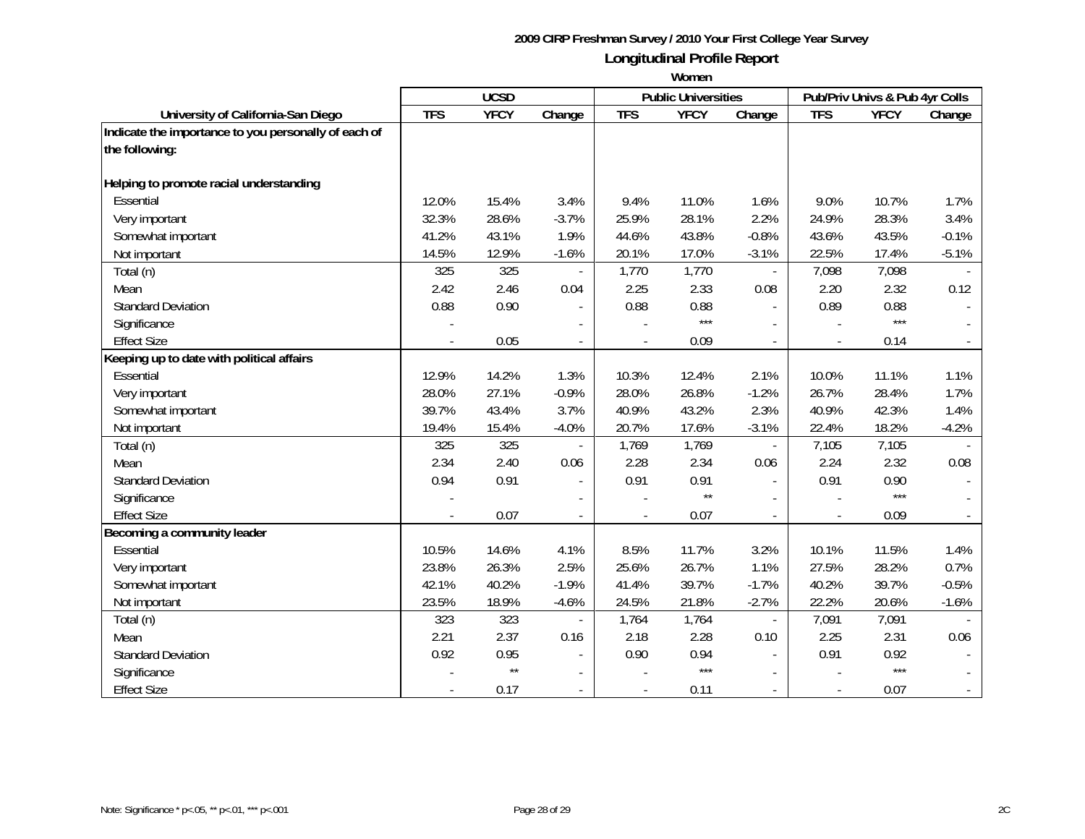|                                                      | <b>UCSD</b> |              |                          |                          | <b>Public Universities</b> |                             | Pub/Priv Univs & Pub 4yr Colls |             |         |
|------------------------------------------------------|-------------|--------------|--------------------------|--------------------------|----------------------------|-----------------------------|--------------------------------|-------------|---------|
| University of California-San Diego                   | <b>TFS</b>  | <b>YFCY</b>  | Change                   | <b>TFS</b>               | <b>YFCY</b>                | Change                      | <b>TFS</b>                     | <b>YFCY</b> | Change  |
| Indicate the importance to you personally of each of |             |              |                          |                          |                            |                             |                                |             |         |
| the following:                                       |             |              |                          |                          |                            |                             |                                |             |         |
|                                                      |             |              |                          |                          |                            |                             |                                |             |         |
| Helping to promote racial understanding              |             |              |                          |                          |                            |                             |                                |             |         |
| Essential                                            | 12.0%       | 15.4%        | 3.4%                     | 9.4%                     | 11.0%                      | 1.6%                        | 9.0%                           | 10.7%       | 1.7%    |
| Very important                                       | 32.3%       | 28.6%        | $-3.7%$                  | 25.9%                    | 28.1%                      | 2.2%                        | 24.9%                          | 28.3%       | 3.4%    |
| Somewhat important                                   | 41.2%       | 43.1%        | 1.9%                     | 44.6%                    | 43.8%                      | $-0.8%$                     | 43.6%                          | 43.5%       | $-0.1%$ |
| Not important                                        | 14.5%       | 12.9%        | $-1.6%$                  | 20.1%                    | 17.0%                      | $-3.1%$                     | 22.5%                          | 17.4%       | $-5.1%$ |
| Total (n)                                            | 325         | 325          | $\overline{\phantom{a}}$ | 1,770                    | 1,770                      | $\mathcal{L}_{\mathcal{A}}$ | 7,098                          | 7,098       |         |
| Mean                                                 | 2.42        | 2.46         | 0.04                     | 2.25                     | 2.33                       | 0.08                        | 2.20                           | 2.32        | 0.12    |
| <b>Standard Deviation</b>                            | 0.88        | 0.90         |                          | 0.88                     | 0.88                       | $\mathbf{r}$                | 0.89                           | 0.88        |         |
| Significance                                         |             |              |                          |                          | $***$                      |                             |                                | $***$       |         |
| <b>Effect Size</b>                                   |             | 0.05         | $\overline{\phantom{a}}$ |                          | 0.09                       | $\overline{\phantom{a}}$    |                                | 0.14        |         |
| Keeping up to date with political affairs            |             |              |                          |                          |                            |                             |                                |             |         |
| Essential                                            | 12.9%       | 14.2%        | 1.3%                     | 10.3%                    | 12.4%                      | 2.1%                        | 10.0%                          | 11.1%       | 1.1%    |
| Very important                                       | 28.0%       | 27.1%        | $-0.9%$                  | 28.0%                    | 26.8%                      | $-1.2%$                     | 26.7%                          | 28.4%       | 1.7%    |
| Somewhat important                                   | 39.7%       | 43.4%        | 3.7%                     | 40.9%                    | 43.2%                      | 2.3%                        | 40.9%                          | 42.3%       | 1.4%    |
| Not important                                        | 19.4%       | 15.4%        | $-4.0%$                  | 20.7%                    | 17.6%                      | $-3.1%$                     | 22.4%                          | 18.2%       | $-4.2%$ |
| Total (n)                                            | 325         | 325          |                          | 1,769                    | 1,769                      |                             | 7,105                          | 7,105       |         |
| Mean                                                 | 2.34        | 2.40         | 0.06                     | 2.28                     | 2.34                       | 0.06                        | 2.24                           | 2.32        | 0.08    |
| <b>Standard Deviation</b>                            | 0.94        | 0.91         | $\blacksquare$           | 0.91                     | 0.91                       |                             | 0.91                           | 0.90        |         |
| Significance                                         |             |              | $\blacksquare$           |                          | $\star\star$               |                             |                                | $***$       |         |
| <b>Effect Size</b>                                   |             | 0.07         |                          |                          | 0.07                       | $\overline{a}$              |                                | 0.09        |         |
| Becoming a community leader                          |             |              |                          |                          |                            |                             |                                |             |         |
| Essential                                            | 10.5%       | 14.6%        | 4.1%                     | 8.5%                     | 11.7%                      | 3.2%                        | 10.1%                          | 11.5%       | 1.4%    |
| Very important                                       | 23.8%       | 26.3%        | 2.5%                     | 25.6%                    | 26.7%                      | 1.1%                        | 27.5%                          | 28.2%       | 0.7%    |
| Somewhat important                                   | 42.1%       | 40.2%        | $-1.9%$                  | 41.4%                    | 39.7%                      | $-1.7%$                     | 40.2%                          | 39.7%       | $-0.5%$ |
| Not important                                        | 23.5%       | 18.9%        | $-4.6%$                  | 24.5%                    | 21.8%                      | $-2.7%$                     | 22.2%                          | 20.6%       | $-1.6%$ |
| Total (n)                                            | 323         | 323          |                          | 1,764                    | 1,764                      | $\blacksquare$              | 7,091                          | 7,091       |         |
| Mean                                                 | 2.21        | 2.37         | 0.16                     | 2.18                     | 2.28                       | 0.10                        | 2.25                           | 2.31        | 0.06    |
| <b>Standard Deviation</b>                            | 0.92        | 0.95         |                          | 0.90                     | 0.94                       |                             | 0.91                           | 0.92        |         |
| Significance                                         |             | $\star\star$ |                          |                          | $***$                      |                             |                                | $***$       |         |
| <b>Effect Size</b>                                   |             | 0.17         | $\overline{\phantom{a}}$ | $\overline{\phantom{a}}$ | 0.11                       |                             |                                | 0.07        |         |